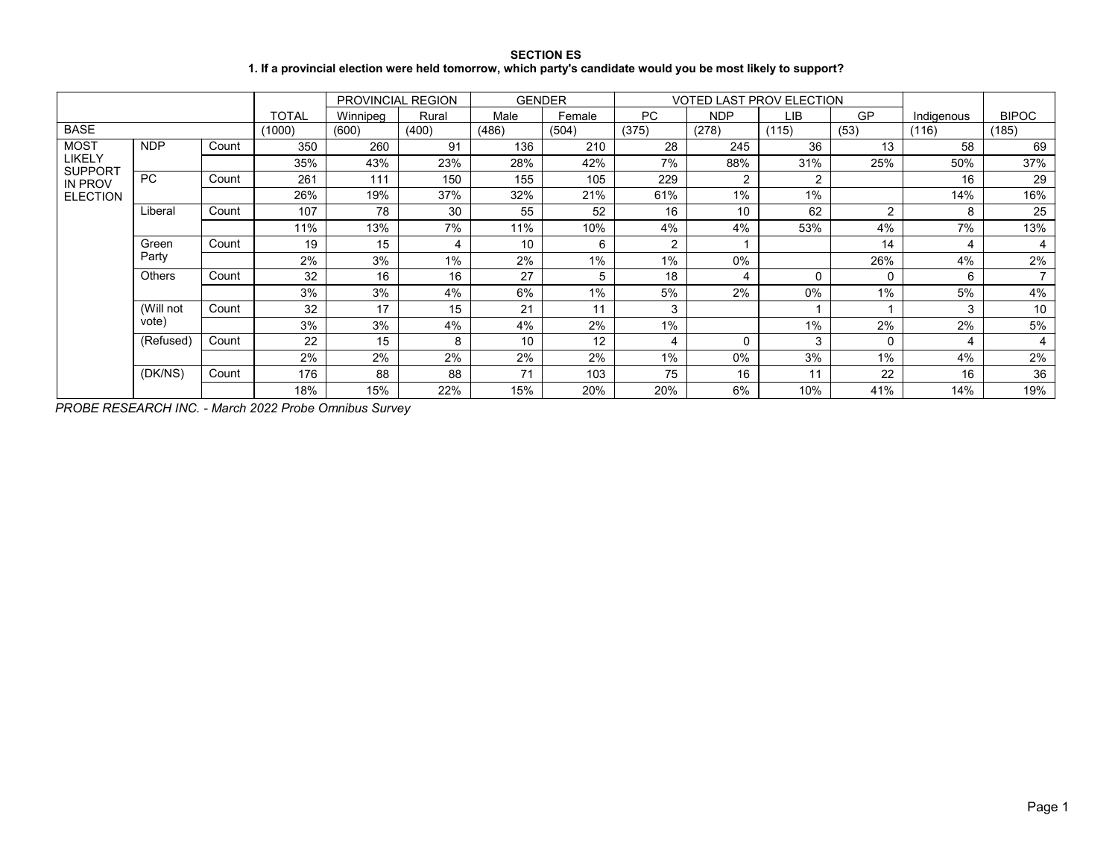### **SECTION ES 1. If a provincial election were held tomorrow, which party's candidate would you be most likely to support?**

|                                                               |               |       |              | PROVINCIAL REGION |       | <b>GENDER</b> |        |                |            | <b>VOTED LAST PROV ELECTION</b> |                |            |                |
|---------------------------------------------------------------|---------------|-------|--------------|-------------------|-------|---------------|--------|----------------|------------|---------------------------------|----------------|------------|----------------|
|                                                               |               |       | <b>TOTAL</b> | Winnipeg          | Rural | Male          | Female | PC.            | <b>NDP</b> | LIB                             | GP             | Indigenous | <b>BIPOC</b>   |
| <b>BASE</b>                                                   |               |       | (1000)       | (600)             | (400) | (486)         | (504)  | (375)          | (278)      | (115)                           | (53)           | (116)      | (185)          |
| <b>MOST</b>                                                   | <b>NDP</b>    | Count | 350          | 260               | 91    | 136           | 210    | 28             | 245        | 36                              | 13             | 58         | 69             |
| LIKELY<br><b>SUPPORT</b><br><b>IN PROV</b><br><b>ELECTION</b> |               |       | 35%          | 43%               | 23%   | 28%           | 42%    | 7%             | 88%        | 31%                             | 25%            | 50%        | 37%            |
|                                                               | PC            | Count | 261          | 111               | 150   | 155           | 105    | 229            | 2          | $\overline{2}$                  |                | 16         | 29             |
|                                                               |               |       | 26%          | 19%               | 37%   | 32%           | 21%    | 61%            | $1\%$      | $1\%$                           |                | 14%        | 16%            |
|                                                               | Liberal       | Count | 107          | 78                | 30    | 55            | 52     | 16             | 10         | 62                              | $\overline{2}$ | 8          | 25             |
|                                                               |               |       | 11%          | 13%               | 7%    | 11%           | 10%    | 4%             | 4%         | 53%                             | 4%             | 7%         | 13%            |
|                                                               | Green         | Count | 19           | 15                | 4     | 10            | 6      | $\overline{2}$ |            |                                 | 14             | 4          | 4              |
|                                                               | Party         |       | 2%           | 3%                | $1\%$ | 2%            | 1%     | 1%             | 0%         |                                 | 26%            | 4%         | 2%             |
|                                                               | <b>Others</b> | Count | 32           | 16                | 16    | 27            | 5      | 18             | 4          | $\Omega$                        | $\mathbf{0}$   | 6          | $\overline{ }$ |
|                                                               |               |       | 3%           | 3%                | 4%    | 6%            | 1%     | 5%             | 2%         | 0%                              | 1%             | 5%         | 4%             |
|                                                               | (Will not     | Count | 32           | 17                | 15    | 21            | 11     | 3              |            |                                 |                | 3          | 10             |
|                                                               | vote)         |       | 3%           | 3%                | 4%    | 4%            | 2%     | 1%             |            | $1\%$                           | 2%             | 2%         | 5%             |
|                                                               | (Refused)     | Count | 22           | 15                | 8     | 10            | 12     | 4              | 0          | 3                               | 0              | 4          | 4              |
|                                                               |               |       | 2%           | 2%                | 2%    | 2%            | 2%     | 1%             | $0\%$      | 3%                              | 1%             | 4%         | 2%             |
|                                                               | (DK/NS)       | Count | 176          | 88                | 88    | 71            | 103    | 75             | 16         | 11                              | 22             | 16         | 36             |
|                                                               |               |       | 18%          | 15%               | 22%   | 15%           | 20%    | 20%            | 6%         | 10%                             | 41%            | 14%        | 19%            |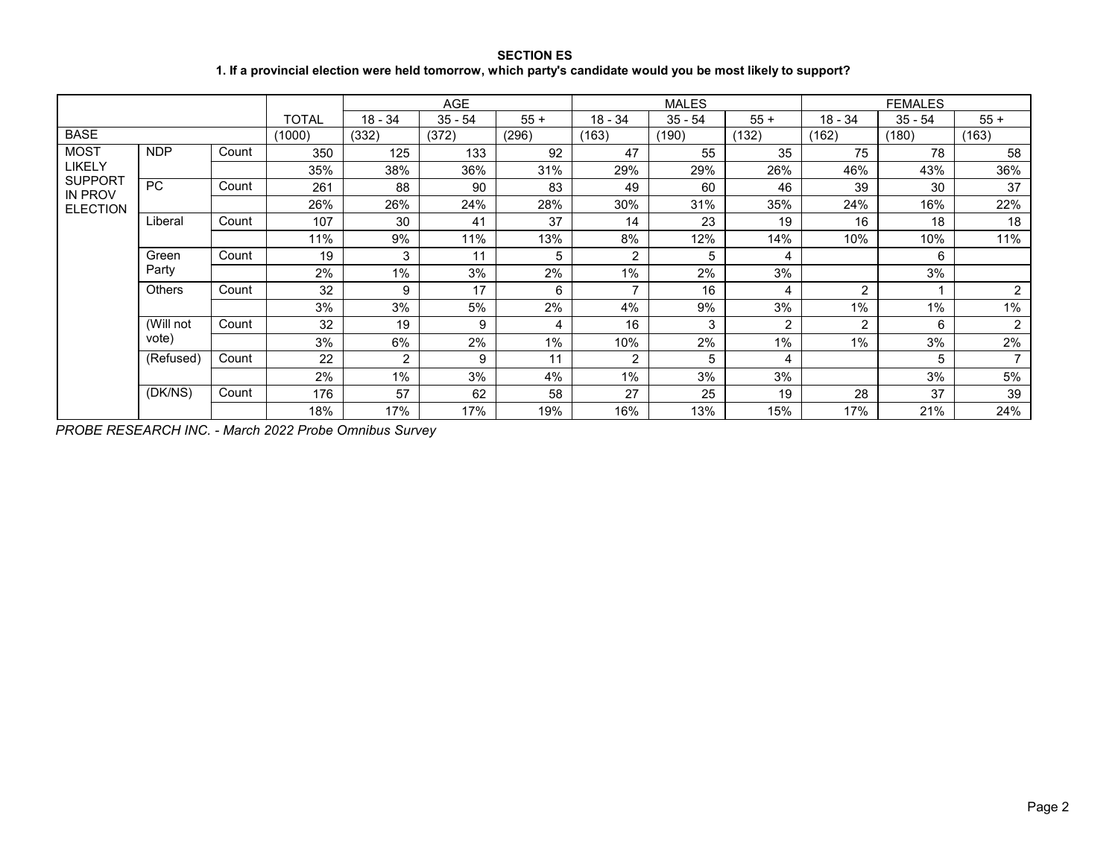## **SECTION ES 1. If a provincial election were held tomorrow, which party's candidate would you be most likely to support?**

|                                                     |               |       |              |                | <b>AGE</b> |        |                | <b>MALES</b> |                |                | <b>FEMALES</b> |                |
|-----------------------------------------------------|---------------|-------|--------------|----------------|------------|--------|----------------|--------------|----------------|----------------|----------------|----------------|
|                                                     |               |       | <b>TOTAL</b> | $18 - 34$      | $35 - 54$  | $55 +$ | $18 - 34$      | $35 - 54$    | $55 +$         | $18 - 34$      | $35 - 54$      | $55 +$         |
| <b>BASE</b>                                         |               |       | (1000)       | (332)          | (372)      | (296)  | (163)          | (190)        | (132)          | (162)          | (180)          | (163)          |
| <b>MOST</b>                                         | <b>NDP</b>    | Count | 350          | 125            | 133        | 92     | 47             | 55           | 35             | 75             | 78             | 58             |
| LIKELY                                              |               |       | 35%          | 38%            | 36%        | 31%    | 29%            | 29%          | 26%            | 46%            | 43%            | 36%            |
| <b>SUPPORT</b><br><b>IN PROV</b><br><b>ELECTION</b> | <b>PC</b>     | Count | 261          | 88             | 90         | 83     | 49             | 60           | 46             | 39             | 30             | 37             |
|                                                     |               |       | 26%          | 26%            | 24%        | 28%    | 30%            | 31%          | 35%            | 24%            | 16%            | 22%            |
|                                                     | Liberal       | Count | 107          | 30             | 41         | 37     | 14             | 23           | 19             | 16             | 18             | 18             |
|                                                     |               |       | 11%          | 9%             | 11%        | 13%    | 8%             | 12%          | 14%            | 10%            | 10%            | 11%            |
|                                                     | Green         | Count | 19           | 3              | 11         | 5      | 2              | 5            | 4              |                | 6              |                |
|                                                     | Party         |       | 2%           | 1%             | 3%         | 2%     | 1%             | 2%           | 3%             |                | 3%             |                |
|                                                     | <b>Others</b> | Count | 32           | 9              | 17         | 6      | $\overline{7}$ | 16           | 4              | $\overline{2}$ |                | $\overline{2}$ |
|                                                     |               |       | 3%           | 3%             | 5%         | 2%     | 4%             | 9%           | 3%             | $1\%$          | 1%             | 1%             |
|                                                     | (Will not     | Count | 32           | 19             | 9          | 4      | 16             | 3            | $\overline{2}$ | 2              | 6              | $\overline{2}$ |
|                                                     | vote)         |       | 3%           | 6%             | 2%         | $1\%$  | 10%            | 2%           | 1%             | $1\%$          | 3%             | 2%             |
|                                                     | (Refused)     | Count | 22           | $\overline{2}$ | 9          | 11     | 2              | 5            | 4              |                | 5              | $\overline{7}$ |
|                                                     |               |       | 2%           | 1%             | 3%         | 4%     | 1%             | 3%           | 3%             |                | 3%             | 5%             |
|                                                     | (DK/NS)       | Count | 176          | 57             | 62         | 58     | 27             | 25           | 19             | 28             | 37             | 39             |
|                                                     |               |       | 18%          | 17%            | 17%        | 19%    | 16%            | 13%          | 15%            | 17%            | 21%            | 24%            |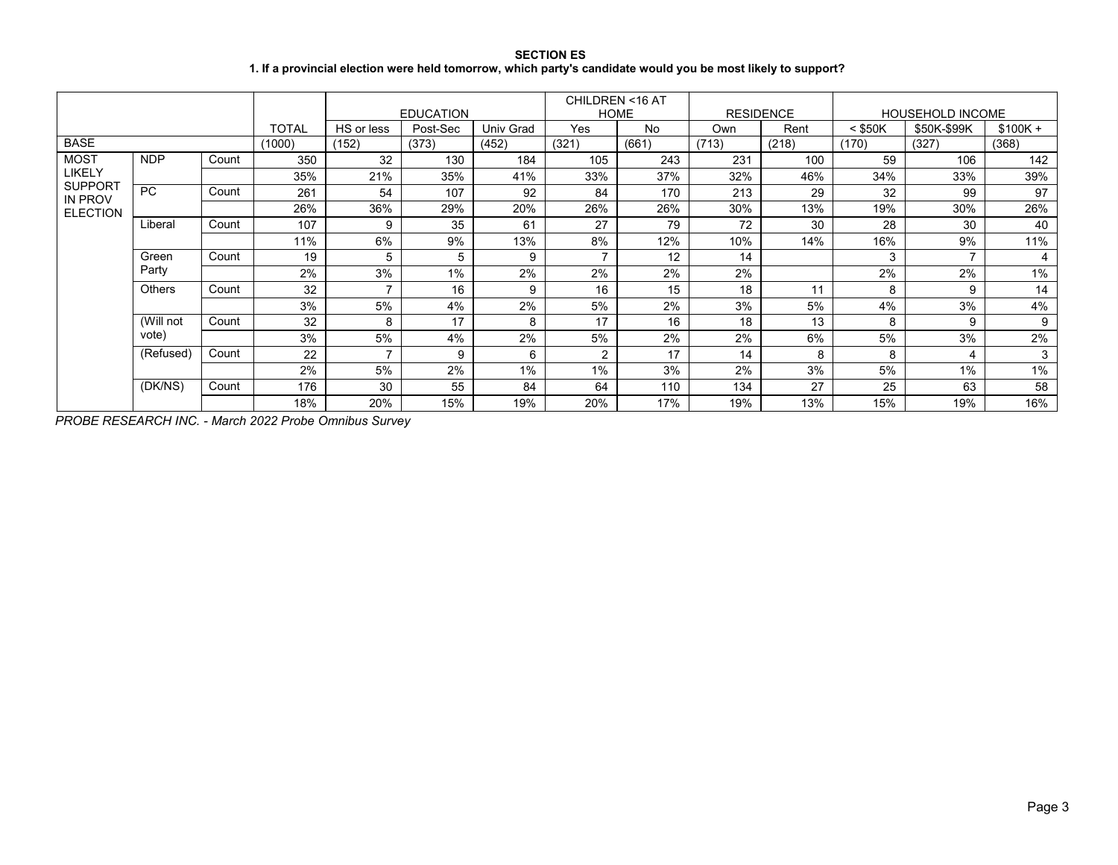### **SECTION ES 1. If a provincial election were held tomorrow, which party's candidate would you be most likely to support?**

|                                              |            |       |              |            | <b>EDUCATION</b> |           | CHILDREN <16 AT<br><b>HOME</b> |       | <b>RESIDENCE</b> |       |           | <b>HOUSEHOLD INCOME</b> |           |
|----------------------------------------------|------------|-------|--------------|------------|------------------|-----------|--------------------------------|-------|------------------|-------|-----------|-------------------------|-----------|
|                                              |            |       | <b>TOTAL</b> | HS or less | Post-Sec         | Univ Grad | Yes                            | No    | Own              | Rent  | $<$ \$50K | \$50K-\$99K             | $$100K +$ |
| <b>BASE</b>                                  |            |       | (1000)       | (152)      | (373)            | (452)     | (321)                          | (661) | (713)            | (218) | (170)     | (327)                   | (368)     |
| <b>MOST</b>                                  | <b>NDP</b> | Count | 350          | 32         | 130              | 184       | 105                            | 243   | 231              | 100   | 59        | 106                     | 142       |
| LIKELY                                       |            |       | 35%          | 21%        | 35%              | 41%       | 33%                            | 37%   | 32%              | 46%   | 34%       | 33%                     | 39%       |
| <b>SUPPORT</b><br>IN PROV<br><b>ELECTION</b> | PC         | Count | 261          | 54         | 107              | 92        | 84                             | 170   | 213              | 29    | 32        | 99                      | 97        |
|                                              |            |       | 26%          | 36%        | 29%              | 20%       | 26%                            | 26%   | 30%              | 13%   | 19%       | 30%                     | 26%       |
|                                              | Liberal    | Count | 107          | 9          | 35               | 61        | 27                             | 79    | 72               | 30    | 28        | 30                      | 40        |
|                                              |            |       | 11%          | 6%         | 9%               | 13%       | 8%                             | 12%   | 10%              | 14%   | 16%       | 9%                      | 11%       |
|                                              | Green      | Count | 19           | 5          | 5                | 9         | -                              | 12    | 14               |       | 3         | $\overline{ }$          | 4         |
|                                              | Party      |       | 2%           | 3%         | 1%               | 2%        | 2%                             | 2%    | 2%               |       | 2%        | 2%                      | 1%        |
|                                              | Others     | Count | 32           |            | 16               | 9         | 16                             | 15    | 18               | 11    | 8         | 9                       | 14        |
|                                              |            |       | 3%           | 5%         | 4%               | 2%        | 5%                             | 2%    | 3%               | 5%    | 4%        | 3%                      | 4%        |
|                                              | (Will not  | Count | 32           | 8          | 17               | 8         | 17                             | 16    | 18               | 13    | 8         | 9                       | 9         |
|                                              | vote)      |       | 3%           | 5%         | 4%               | 2%        | 5%                             | 2%    | 2%               | 6%    | 5%        | 3%                      | 2%        |
|                                              | (Refused)  | Count | 22           |            | 9                | 6         | 2                              | 17    | 14               | 8     | 8         | 4                       | 3         |
|                                              |            |       | 2%           | 5%         | 2%               | 1%        | 1%                             | 3%    | 2%               | 3%    | 5%        | 1%                      | 1%        |
|                                              | (DK/NS)    | Count | 176          | 30         | 55               | 84        | 64                             | 110   | 134              | 27    | 25        | 63                      | 58        |
|                                              |            |       | 18%          | 20%        | 15%              | 19%       | 20%                            | 17%   | 19%              | 13%   | 15%       | 19%                     | 16%       |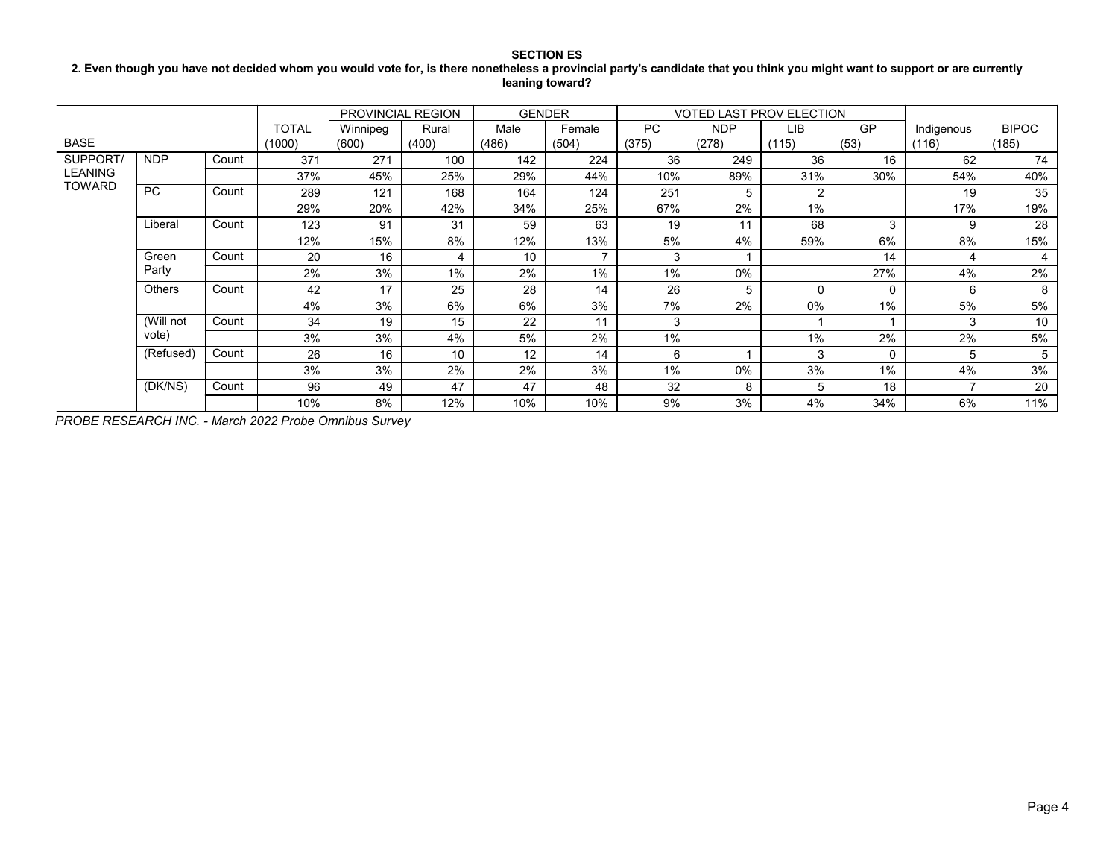### **2. Even though you have not decided whom you would vote for, is there nonetheless a provincial party's candidate that you think you might want to support or are currently leaning toward?**

|                |               |       |              |          | PROVINCIAL REGION |       | <b>GENDER</b> |           | <b>VOTED LAST PROV ELECTION</b> |                |          |                |                |
|----------------|---------------|-------|--------------|----------|-------------------|-------|---------------|-----------|---------------------------------|----------------|----------|----------------|----------------|
|                |               |       | <b>TOTAL</b> | Winnipeg | Rural             | Male  | Female        | <b>PC</b> | <b>NDP</b>                      | LIB            | GP       | Indigenous     | <b>BIPOC</b>   |
| <b>BASE</b>    |               |       | (1000)       | (600)    | (400)             | (486) | (504)         | (375)     | (278)                           | (115)          | (53)     | (116)          | (185)          |
| <b>SUPPORT</b> | <b>NDP</b>    | Count | 371          | 271      | 100               | 142   | 224           | 36        | 249                             | 36             | 16       | 62             | 74             |
| LEANING        |               |       | 37%          | 45%      | 25%               | 29%   | 44%           | 10%       | 89%                             | 31%            | 30%      | 54%            | 40%            |
| TOWARD         | <b>PC</b>     | Count | 289          | 121      | 168               | 164   | 124           | 251       | 5                               | $\overline{2}$ |          | 19             | 35             |
|                |               |       | 29%          | 20%      | 42%               | 34%   | 25%           | 67%       | 2%                              | 1%             |          | 17%            | 19%            |
|                | Liberal       | Count | 123          | 91       | 31                | 59    | 63            | 19        | 11                              | 68             | 3        | 9              | 28             |
|                |               |       | 12%          | 15%      | 8%                | 12%   | 13%           | 5%        | 4%                              | 59%            | 6%       | 8%             | 15%            |
|                | Green         | Count | 20           | 16       | 4                 | 10    |               | 3         |                                 |                | 14       | 4              | $\overline{4}$ |
|                | Party         |       | 2%           | 3%       | $1\%$             | 2%    | 1%            | 1%        | $0\%$                           |                | 27%      | 4%             | 2%             |
|                | <b>Others</b> | Count | 42           | 17       | 25                | 28    | 14            | 26        | 5                               | 0              | $\Omega$ | 6              | 8              |
|                |               |       | 4%           | 3%       | 6%                | 6%    | 3%            | 7%        | 2%                              | $0\%$          | 1%       | 5%             | 5%             |
|                | (Will not     | Count | 34           | 19       | 15                | 22    | 11            | 3         |                                 |                |          | 3              | 10             |
|                | vote)         |       | 3%           | 3%       | 4%                | 5%    | 2%            | 1%        |                                 | 1%             | 2%       | 2%             | 5%             |
|                | (Refused)     | Count | 26           | 16       | 10                | 12    | 14            | 6         |                                 | 3              | $\Omega$ | 5              | 5              |
|                |               |       | 3%           | 3%       | 2%                | 2%    | 3%            | 1%        | 0%                              | 3%             | 1%       | 4%             | 3%             |
|                | (DK/NS)       | Count | 96           | 49       | 47                | 47    | 48            | 32        | 8                               | 5              | 18       | $\overline{ }$ | 20             |
|                |               |       | 10%          | 8%       | 12%               | 10%   | 10%           | 9%        | 3%                              | 4%             | 34%      | 6%             | 11%            |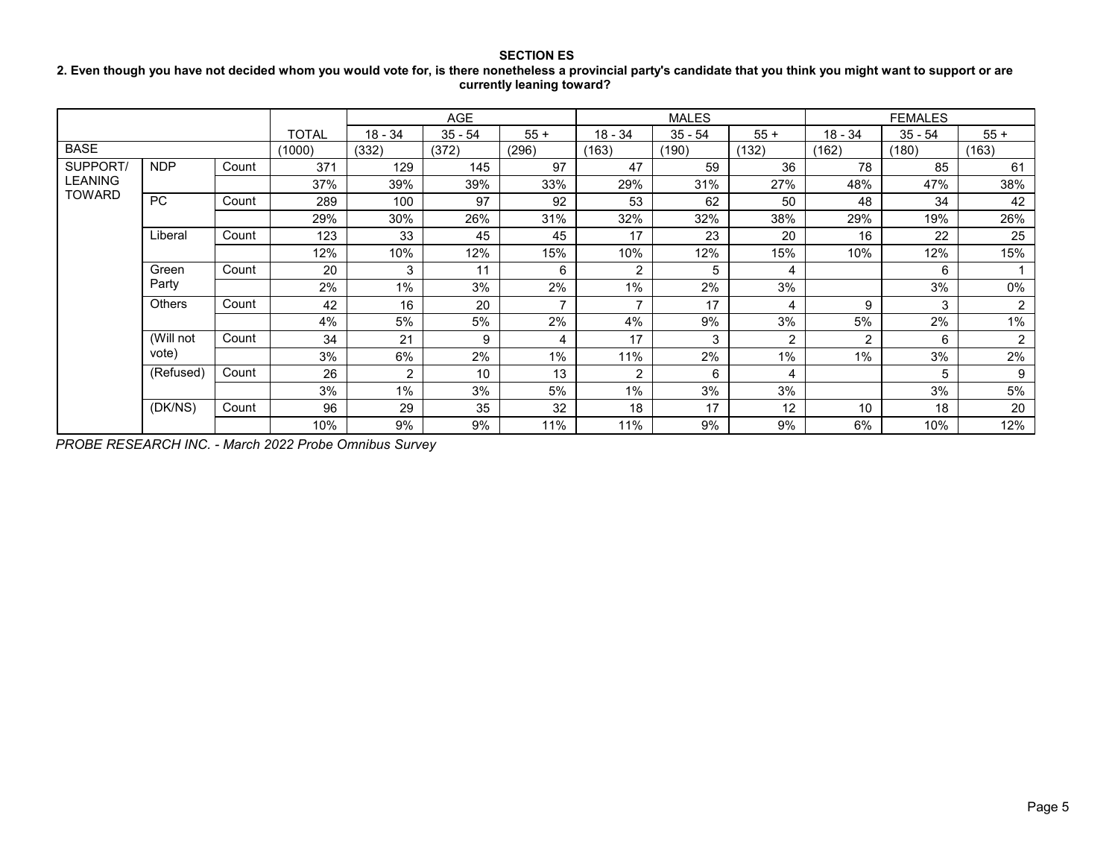### **SECTION ES 2. Even though you have not decided whom you would vote for, is there nonetheless a provincial party's candidate that you think you might want to support or are currently leaning toward?**

|                |               |       |        |                | AGE       |                |                | <b>MALES</b> |                |           | <b>FEMALES</b> |                |
|----------------|---------------|-------|--------|----------------|-----------|----------------|----------------|--------------|----------------|-----------|----------------|----------------|
|                |               |       | TOTAL  | $18 - 34$      | $35 - 54$ | $55+$          | $18 - 34$      | $35 - 54$    | $55 +$         | $18 - 34$ | $35 - 54$      | $55+$          |
| <b>BASE</b>    |               |       | (1000) | (332)          | (372)     | (296)          | (163)          | (190)        | (132)          | (162)     | (180)          | (163)          |
| SUPPORT/       | <b>NDP</b>    | Count | 371    | 129            | 145       | 97             | 47             | 59           | 36             | 78        | 85             | 61             |
| <b>LEANING</b> |               |       | 37%    | 39%            | 39%       | 33%            | 29%            | 31%          | 27%            | 48%       | 47%            | 38%            |
| <b>TOWARD</b>  | <b>PC</b>     | Count | 289    | 100            | 97        | 92             | 53             | 62           | 50             | 48        | 34             | 42             |
|                |               |       | 29%    | 30%            | 26%       | 31%            | 32%            | 32%          | 38%            | 29%       | 19%            | 26%            |
|                | Liberal       | Count | 123    | 33             | 45        | 45             | 17             | 23           | 20             | 16        | 22             | 25             |
|                |               |       | 12%    | 10%            | 12%       | 15%            | 10%            | 12%          | 15%            | 10%       | 12%            | 15%            |
|                | Green         | Count | 20     | 3              | 11        | 6              | 2              | 5            | 4              |           | 6              |                |
|                | Party         |       | 2%     | 1%             | 3%        | 2%             | 1%             | 2%           | 3%             |           | 3%             | $0\%$          |
|                | <b>Others</b> | Count | 42     | 16             | 20        | $\overline{ }$ | $\overline{ }$ | 17           | 4              | 9         | 3              | $\overline{2}$ |
|                |               |       | 4%     | 5%             | 5%        | 2%             | 4%             | 9%           | 3%             | 5%        | 2%             | $1\%$          |
|                | (Will not     | Count | 34     | 21             | 9         | 4              | 17             | 3            | $\overline{2}$ | 2         | 6              | $\overline{2}$ |
|                | vote)         |       | 3%     | 6%             | 2%        | 1%             | 11%            | 2%           | $1\%$          | 1%        | 3%             | 2%             |
|                | (Refused)     | Count | 26     | $\overline{2}$ | 10        | 13             | 2              | 6            | 4              |           | 5              | 9              |
|                |               |       | 3%     | $1\%$          | 3%        | 5%             | 1%             | 3%           | 3%             |           | 3%             | 5%             |
|                | (DK/NS)       | Count | 96     | 29             | 35        | 32             | 18             | 17           | 12             | 10        | 18             | 20             |
|                |               |       | 10%    | 9%             | 9%        | 11%            | 11%            | 9%           | 9%             | 6%        | 10%            | 12%            |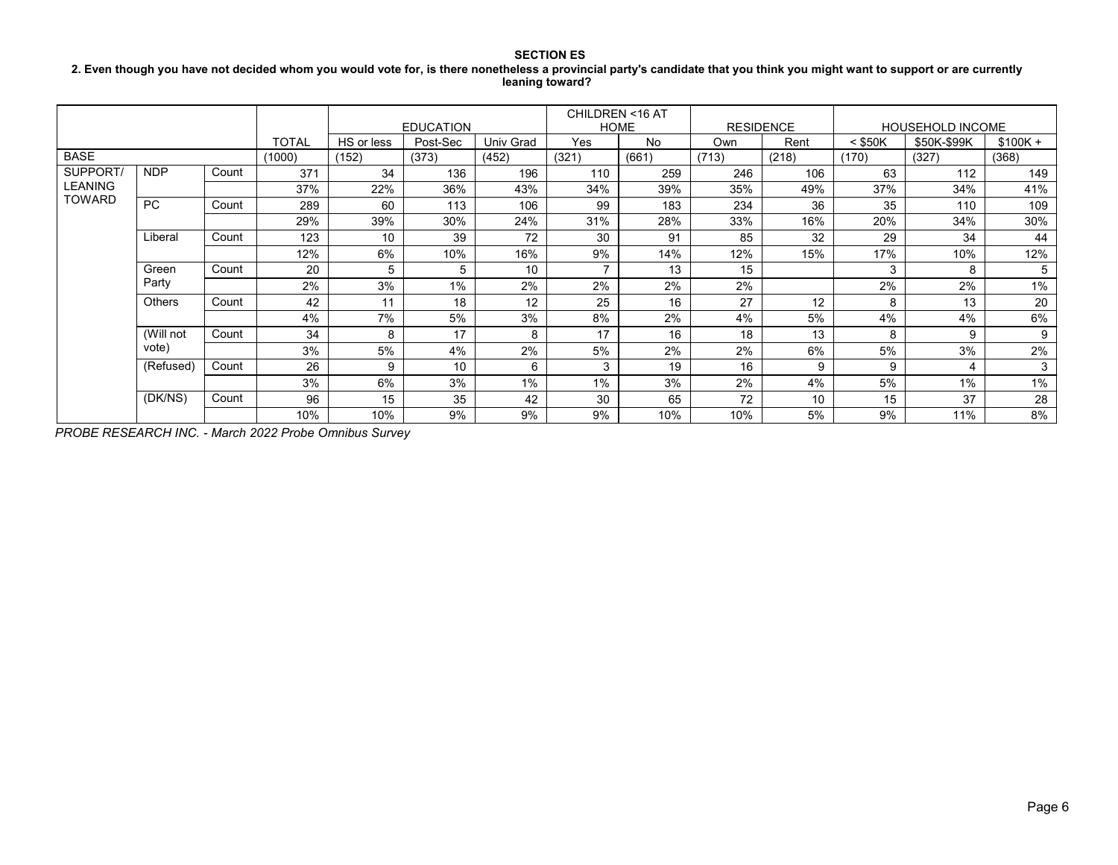#### **2. Even though you have not decided whom you would vote for, is there nonetheless a provincial party's candidate that you think you might want to support or are currently leaning toward?**

|                |               |       |              |            | <b>EDUCATION</b> |           | CHILDREN <16 AT<br><b>HOME</b> |           | <b>RESIDENCE</b> |       |           | <b>HOUSEHOLD INCOME</b> |           |
|----------------|---------------|-------|--------------|------------|------------------|-----------|--------------------------------|-----------|------------------|-------|-----------|-------------------------|-----------|
|                |               |       | <b>TOTAL</b> | HS or less | Post-Sec         | Univ Grad | Yes                            | <b>No</b> | Own              | Rent  | $<$ \$50K | \$50K-\$99K             | $$100K +$ |
| <b>BASE</b>    |               |       | (1000)       | (152)      | (373)            | (452)     | (321)                          | (661)     | (713)            | (218) | (170)     | (327)                   | (368)     |
| SUPPORT/       | <b>NDP</b>    | Count | 371          | 34         | 136              | 196       | 110                            | 259       | 246              | 106   | 63        | 112                     | 149       |
| <b>LEANING</b> |               |       | 37%          | 22%        | 36%              | 43%       | 34%                            | 39%       | 35%              | 49%   | 37%       | 34%                     | 41%       |
| <b>TOWARD</b>  | PC            | Count | 289          | 60         | 113              | 106       | 99                             | 183       | 234              | 36    | 35        | 110                     | 109       |
|                |               |       | 29%          | 39%        | 30%              | 24%       | 31%                            | 28%       | 33%              | 16%   | 20%       | 34%                     | 30%       |
|                | Liberal       | Count | 123          | 10         | 39               | 72        | 30                             | 91        | 85               | 32    | 29        | 34                      | 44        |
|                |               |       | 12%          | 6%         | 10%              | 16%       | 9%                             | 14%       | 12%              | 15%   | 17%       | 10%                     | 12%       |
|                | Green         | Count | 20           | 5          | 5                | 10        | $\overline{ }$                 | 13        | 15               |       | 3         | 8                       | 5         |
|                | Party         |       | 2%           | 3%         | $1\%$            | 2%        | 2%                             | 2%        | 2%               |       | 2%        | 2%                      | 1%        |
|                | <b>Others</b> | Count | 42           | 11         | 18               | 12        | 25                             | 16        | 27               | 12    | 8         | 13                      | 20        |
|                |               |       | 4%           | 7%         | 5%               | 3%        | 8%                             | 2%        | 4%               | 5%    | 4%        | 4%                      | 6%        |
|                | (Will not     | Count | 34           | 8          | 17               | 8         | 17                             | 16        | 18               | 13    | 8         | 9                       | 9         |
|                | vote)         |       | 3%           | 5%         | 4%               | 2%        | 5%                             | 2%        | 2%               | 6%    | 5%        | 3%                      | 2%        |
|                | (Refused)     | Count | 26           | 9          | 10               | 6         | 3                              | 19        | 16               | 9     | 9         | 4                       | 3         |
|                |               |       | 3%           | 6%         | 3%               | $1\%$     | $1\%$                          | 3%        | 2%               | 4%    | 5%        | 1%                      | 1%        |
|                | (DK/NS)       | Count | 96           | 15         | 35               | 42        | 30                             | 65        | 72               | 10    | 15        | 37                      | 28        |
|                |               |       | 10%          | 10%        | 9%               | 9%        | 9%                             | 10%       | 10%              | 5%    | 9%        | 11%                     | 8%        |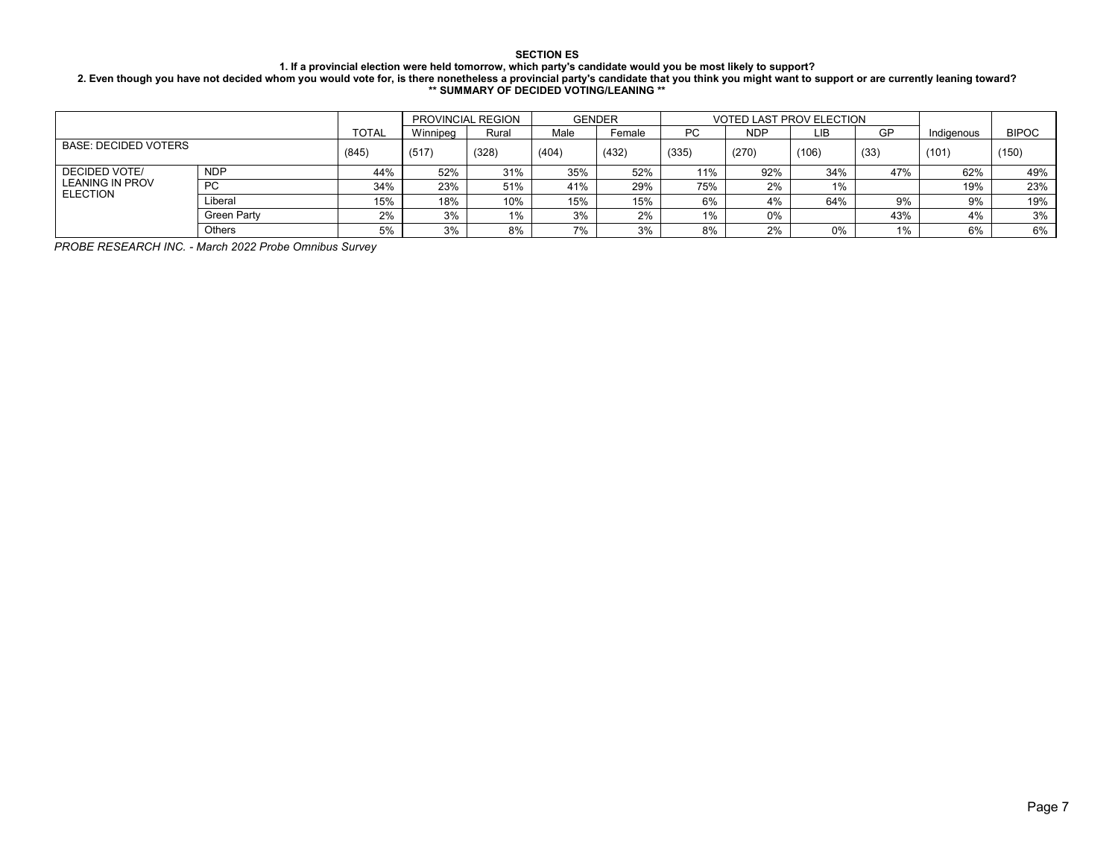#### **1. If a provincial election were held tomorrow, which party's candidate would you be most likely to support?**

**2. Even though you have not decided whom you would vote for, is there nonetheless a provincial party's candidate that you think you might want to support or are currently leaning toward? \*\* SUMMARY OF DECIDED VOTING/LEANING \*\***

|                                           |                    |              |          | <b>PROVINCIAL REGION</b> |       | <b>GENDER</b> |           |       | <b>VOTED LAST PROV ELECTION</b> |       |            |              |
|-------------------------------------------|--------------------|--------------|----------|--------------------------|-------|---------------|-----------|-------|---------------------------------|-------|------------|--------------|
|                                           |                    | <b>TOTAL</b> | Winnipeg | Rural                    | Male  | Female        | <b>PC</b> | NDP   | LIB                             | GP    | Indigenous | <b>BIPOC</b> |
| <b>BASE: DECIDED VOTERS</b>               | (845)              | (517)        | (328)    | (404)                    | (432) | (335)         | (270)     | (106) | (33)                            | (101) | (150)      |              |
| <b>DECIDED VOTE/</b>                      | <b>NDP</b>         | 44%          | 52%      | 31%                      | 35%   | 52%           | 11%       | 92%   | 34%                             | 47%   | 62%        | 49%          |
| <b>LEANING IN PROV</b><br><b>ELECTION</b> | <b>PC</b>          | 34%          | 23%      | 51%                      | 41%   | 29%           | 75%       | 2%    | $1\%$                           |       | 19%        | 23%          |
|                                           | Liberal            | 15%          | 18%      | 10%                      | 15%   | 15%           | 6%        | 4%    | 64%                             | 9%    | 9%         | 19%          |
|                                           | <b>Green Party</b> | 2%           | 3%       | 1%                       | 3%    | 2%            | 1%        | 0%    |                                 | 43%   | 4%         | 3%           |
|                                           | Others             | 5%           | 3%       | 8%                       | 7%    | 3%            | 8%        | 2%    | 0%                              | 1%    | 6%         | 6%           |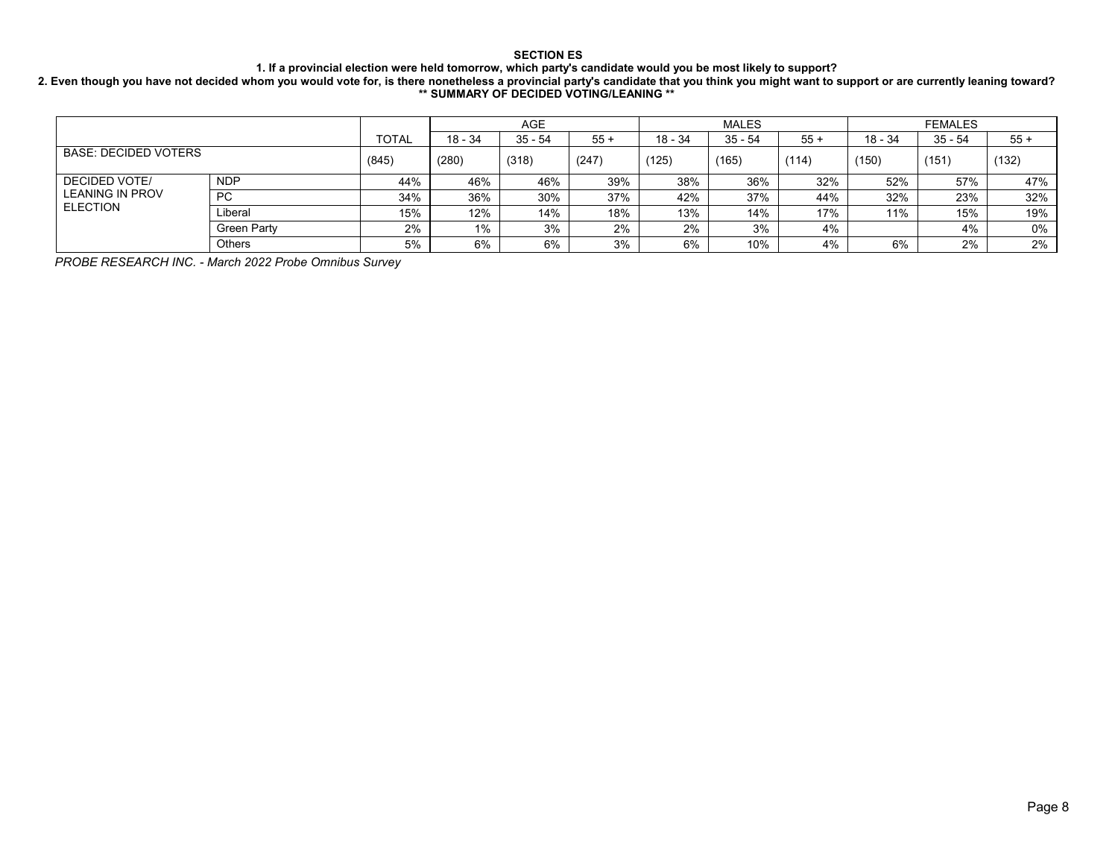#### **1. If a provincial election were held tomorrow, which party's candidate would you be most likely to support?**

#### **2. Even though you have not decided whom you would vote for, is there nonetheless a provincial party's candidate that you think you might want to support or are currently leaning toward? \*\* SUMMARY OF DECIDED VOTING/LEANING \*\***

|                             |                    |              |           | <b>AGE</b> |       |           | <b>MALES</b> |       |         | <b>FEMALES</b> |       |
|-----------------------------|--------------------|--------------|-----------|------------|-------|-----------|--------------|-------|---------|----------------|-------|
|                             |                    | <b>TOTAL</b> | $18 - 34$ | 35 - 54    | $55+$ | $18 - 34$ | $35 - 54$    | $55+$ | 18 - 34 | $35 - 54$      | $55+$ |
| <b>BASE: DECIDED VOTERS</b> | (845)              | (280)        | (318)     | (247)      | (125) | (165)     | (114)        | (150) | (151)   | (132)          |       |
| <b>DECIDED VOTE/</b>        | <b>NDP</b>         | 44%          | 46%       | 46%        | 39%   | 38%       | 36%          | 32%   | 52%     | 57%            | 47%   |
| <b>LEANING IN PROV</b>      | <b>PC</b>          | 34%          | 36%       | 30%        | 37%   | 42%       | 37%          | 44%   | 32%     | 23%            | 32%   |
| <b>ELECTION</b>             | _iberal            | 15%          | 12%       | 14%        | 18%   | 13%       | 14%          | 17%   | 11%     | 15%            | 19%   |
|                             | <b>Green Party</b> | 2%           | 1%        | 3%         | 2%    | 2%        | 3%           | 4%    |         | 4%             | 0%    |
|                             | <b>Others</b>      | 5%           | 6%        | 6%         | 3%    | 6%        | 10%          | 4%    | 6%      | 2%             | 2%    |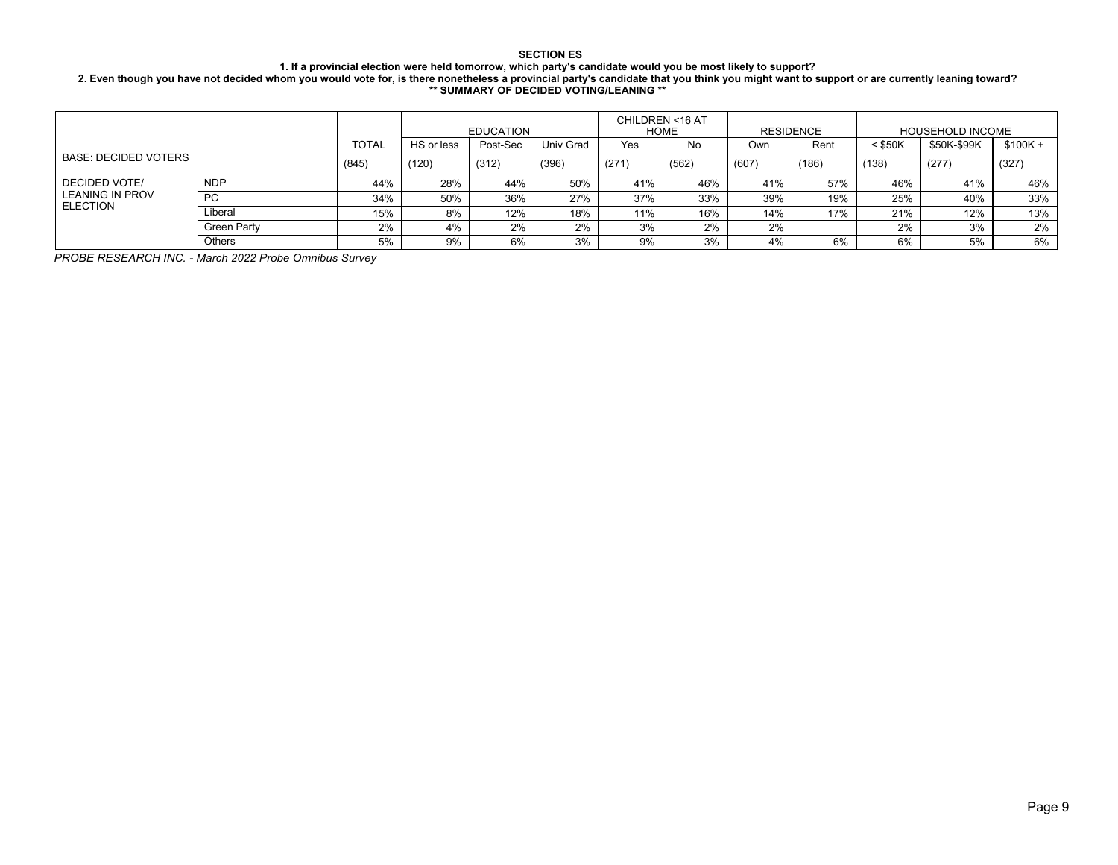#### **1. If a provincial election were held tomorrow, which party's candidate would you be most likely to support?**

**2. Even though you have not decided whom you would vote for, is there nonetheless a provincial party's candidate that you think you might want to support or are currently leaning toward? \*\* SUMMARY OF DECIDED VOTING/LEANING \*\***

|                                    |               |              |            | <b>EDUCATION</b> |           | CHILDREN <16 AT | HOME  | <b>RESIDENCE</b> |       |           | <b>HOUSEHOLD INCOME</b> |           |
|------------------------------------|---------------|--------------|------------|------------------|-----------|-----------------|-------|------------------|-------|-----------|-------------------------|-----------|
|                                    |               | <b>TOTAL</b> | HS or less | Post-Sec         | Univ Grad | Yes             | No    | Own              | Rent  | $<$ \$50K | \$50K-\$99K             | $$100K +$ |
| <b>BASE: DECIDED VOTERS</b>        | (845)         | (120)        | (312)      | (396)            | (271)     | (562)           | (607) | (186)            | (138) | (277)     | (327)                   |           |
| DECIDED VOTE/                      | <b>NDP</b>    | 44%          | 28%        | 44%              | 50%       | 41%             | 46%   | 41%              | 57%   | 46%       | 41%                     | 46%       |
| LEANING IN PROV<br><b>ELECTION</b> | <b>PC</b>     | 34%          | 50%        | 36%              | 27%       | 37%             | 33%   | 39%              | 19%   | 25%       | 40%                     | 33%       |
|                                    | Liberal       | 15%          | 8%         | 12%              | 18%       | 11%             | 16%   | 14%              | 17%   | 21%       | 12%                     | 13%       |
|                                    | Green Party   | 2%           | 4%         | 2%               | 2%        | 3%              | 2%    | 2%               |       | 2%        | 3%                      | 2%        |
|                                    | <b>Others</b> | 5%           | 9%         | 6%               | 3%        | 9%              | 3%    | 4%               | 6%    | 6%        | 5%                      | 6%        |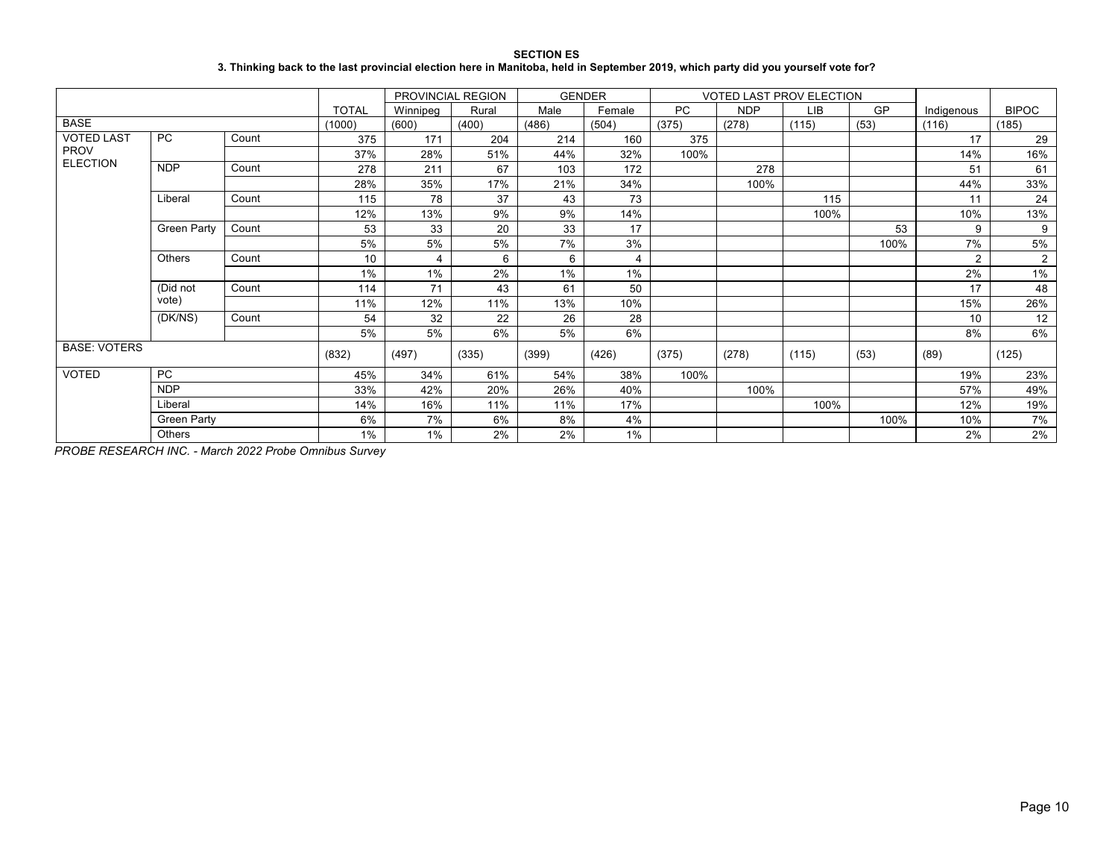| <b>SECTION ES</b>                                                                                                                 |
|-----------------------------------------------------------------------------------------------------------------------------------|
| 3. Thinking back to the last provincial election here in Manitoba, held in September 2019, which party did you yourself vote for? |

|                     |                    |       |              |          | PROVINCIAL REGION | <b>GENDER</b> |        |           |            | <b>VOTED LAST PROV ELECTION</b> |      |                |                |
|---------------------|--------------------|-------|--------------|----------|-------------------|---------------|--------|-----------|------------|---------------------------------|------|----------------|----------------|
|                     |                    |       | <b>TOTAL</b> | Winnipeg | Rural             | Male          | Female | <b>PC</b> | <b>NDP</b> | LIB                             | GP   | Indigenous     | <b>BIPOC</b>   |
| <b>BASE</b>         |                    |       | (1000)       | (600)    | (400)             | (486)         | (504)  | (375)     | (278)      | (115)                           | (53) | (116)          | (185)          |
| <b>VOTED LAST</b>   | <b>PC</b>          | Count | 375          | 171      | 204               | 214           | 160    | 375       |            |                                 |      | 17             | 29             |
| <b>PROV</b>         |                    |       | 37%          | 28%      | 51%               | 44%           | 32%    | 100%      |            |                                 |      | 14%            | 16%            |
| <b>ELECTION</b>     | <b>NDP</b>         | Count | 278          | 211      | 67                | 103           | 172    |           | 278        |                                 |      | 51             | 61             |
|                     |                    |       | 28%          | 35%      | 17%               | 21%           | 34%    |           | 100%       |                                 |      | 44%            | 33%            |
|                     | Liberal            | Count | 115          | 78       | 37                | 43            | 73     |           |            | 115                             |      | 11             | 24             |
|                     |                    |       | 12%          | 13%      | 9%                | 9%            | 14%    |           |            | 100%                            |      | 10%            | 13%            |
|                     | <b>Green Party</b> | Count | 53           | 33       | 20                | 33            | 17     |           |            |                                 | 53   | 9              | 9              |
|                     |                    |       | 5%           | 5%       | 5%                | 7%            | 3%     |           |            |                                 | 100% | 7%             | $5\%$          |
|                     | Others             | Count | 10           | 4        | 6                 | 6             | 4      |           |            |                                 |      | $\overline{2}$ | $\overline{2}$ |
|                     |                    |       | 1%           | 1%       | 2%                | $1\%$         | 1%     |           |            |                                 |      | 2%             | 1%             |
|                     | (Did not           | Count | 114          | 71       | 43                | 61            | 50     |           |            |                                 |      | 17             | 48             |
|                     | vote)              |       | 11%          | 12%      | 11%               | 13%           | 10%    |           |            |                                 |      | 15%            | 26%            |
|                     | (DK/NS)            | Count | 54           | 32       | 22                | 26            | 28     |           |            |                                 |      | 10             | 12             |
|                     |                    |       | 5%           | 5%       | 6%                | 5%            | 6%     |           |            |                                 |      | 8%             | 6%             |
| <b>BASE: VOTERS</b> |                    |       | (832)        | (497)    | (335)             | (399)         | (426)  | (375)     | (278)      | (115)                           | (53) | (89)           | (125)          |
| <b>VOTED</b>        | <b>PC</b>          |       | 45%          | 34%      | 61%               | 54%           | 38%    | 100%      |            |                                 |      | 19%            | 23%            |
|                     | <b>NDP</b>         |       | 33%          | 42%      | 20%               | 26%           | 40%    |           | 100%       |                                 |      | 57%            | 49%            |
|                     | Liberal            |       | 14%          | 16%      | 11%               | 11%           | 17%    |           |            | 100%                            |      | 12%            | 19%            |
|                     | Green Party        |       | 6%           | 7%       | 6%                | 8%            | 4%     |           |            |                                 | 100% | 10%            | 7%             |
|                     | Others             |       | 1%           | 1%       | 2%                | 2%            | 1%     |           |            |                                 |      | 2%             | 2%             |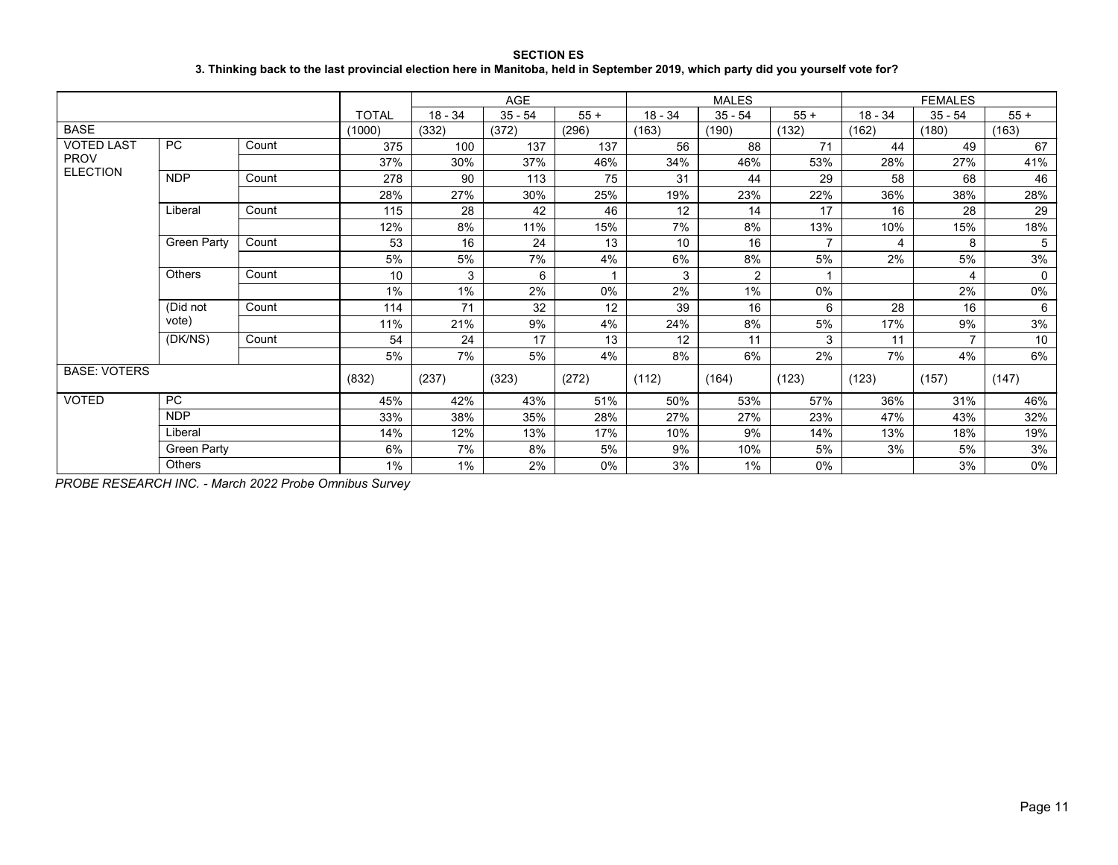### **SECTION ES 3. Thinking back to the last provincial election here in Manitoba, held in September 2019, which party did you yourself vote for?**

|                     |                    |       |              |           | <b>AGE</b> |       |           | <b>MALES</b>   |                |           | <b>FEMALES</b> |       |
|---------------------|--------------------|-------|--------------|-----------|------------|-------|-----------|----------------|----------------|-----------|----------------|-------|
|                     |                    |       | <b>TOTAL</b> | $18 - 34$ | $35 - 54$  | $55+$ | $18 - 34$ | $35 - 54$      | $55+$          | $18 - 34$ | $35 - 54$      | $55+$ |
| <b>BASE</b>         |                    |       | (1000)       | (332)     | (372)      | (296) | (163)     | (190)          | (132)          | (162)     | (180)          | (163) |
| <b>VOTED LAST</b>   | <b>PC</b>          | Count | 375          | 100       | 137        | 137   | 56        | 88             | 71             | 44        | 49             | 67    |
| <b>PROV</b>         |                    |       | 37%          | 30%       | 37%        | 46%   | 34%       | 46%            | 53%            | 28%       | 27%            | 41%   |
| <b>ELECTION</b>     | <b>NDP</b>         | Count | 278          | 90        | 113        | 75    | 31        | 44             | 29             | 58        | 68             | 46    |
|                     |                    |       | 28%          | 27%       | 30%        | 25%   | 19%       | 23%            | 22%            | 36%       | 38%            | 28%   |
|                     | Liberal            | Count | 115          | 28        | 42         | 46    | 12        | 14             | 17             | 16        | 28             | 29    |
|                     |                    |       | 12%          | 8%        | 11%        | 15%   | 7%        | 8%             | 13%            | 10%       | 15%            | 18%   |
|                     | <b>Green Party</b> | Count | 53           | 16        | 24         | 13    | 10        | 16             | $\overline{7}$ | 4         | 8              | 5     |
|                     |                    |       | 5%           | 5%        | 7%         | 4%    | 6%        | 8%             | 5%             | 2%        | 5%             | 3%    |
|                     | <b>Others</b>      | Count | 10           | 3         | 6          |       | 3         | $\overline{2}$ | 1              |           | 4              | 0     |
|                     |                    |       | 1%           | $1\%$     | 2%         | $0\%$ | 2%        | $1\%$          | 0%             |           | 2%             | 0%    |
|                     | (Did not           | Count | 114          | 71        | 32         | 12    | 39        | 16             | 6              | 28        | 16             | 6     |
|                     | vote)              |       | 11%          | 21%       | 9%         | 4%    | 24%       | 8%             | 5%             | 17%       | 9%             | 3%    |
|                     | (DK/NS)            | Count | 54           | 24        | 17         | 13    | 12        | 11             | 3              | 11        | $\overline{7}$ | 10    |
|                     |                    |       | 5%           | 7%        | 5%         | 4%    | 8%        | 6%             | 2%             | 7%        | 4%             | 6%    |
| <b>BASE: VOTERS</b> |                    |       | (832)        | (237)     | (323)      | (272) | (112)     | (164)          | (123)          | (123)     | (157)          | (147) |
| <b>VOTED</b>        | <b>PC</b>          |       | 45%          | 42%       | 43%        | 51%   | 50%       | 53%            | 57%            | 36%       | 31%            | 46%   |
|                     | <b>NDP</b>         |       | 33%          | 38%       | 35%        | 28%   | 27%       | 27%            | 23%            | 47%       | 43%            | 32%   |
|                     | Liberal            |       | 14%          | 12%       | 13%        | 17%   | 10%       | 9%             | 14%            | 13%       | 18%            | 19%   |
|                     | <b>Green Party</b> |       | 6%           | 7%        | 8%         | 5%    | 9%        | 10%            | 5%             | 3%        | 5%             | 3%    |
|                     | <b>Others</b>      |       | 1%           | $1\%$     | 2%         | 0%    | 3%        | 1%             | 0%             |           | 3%             | 0%    |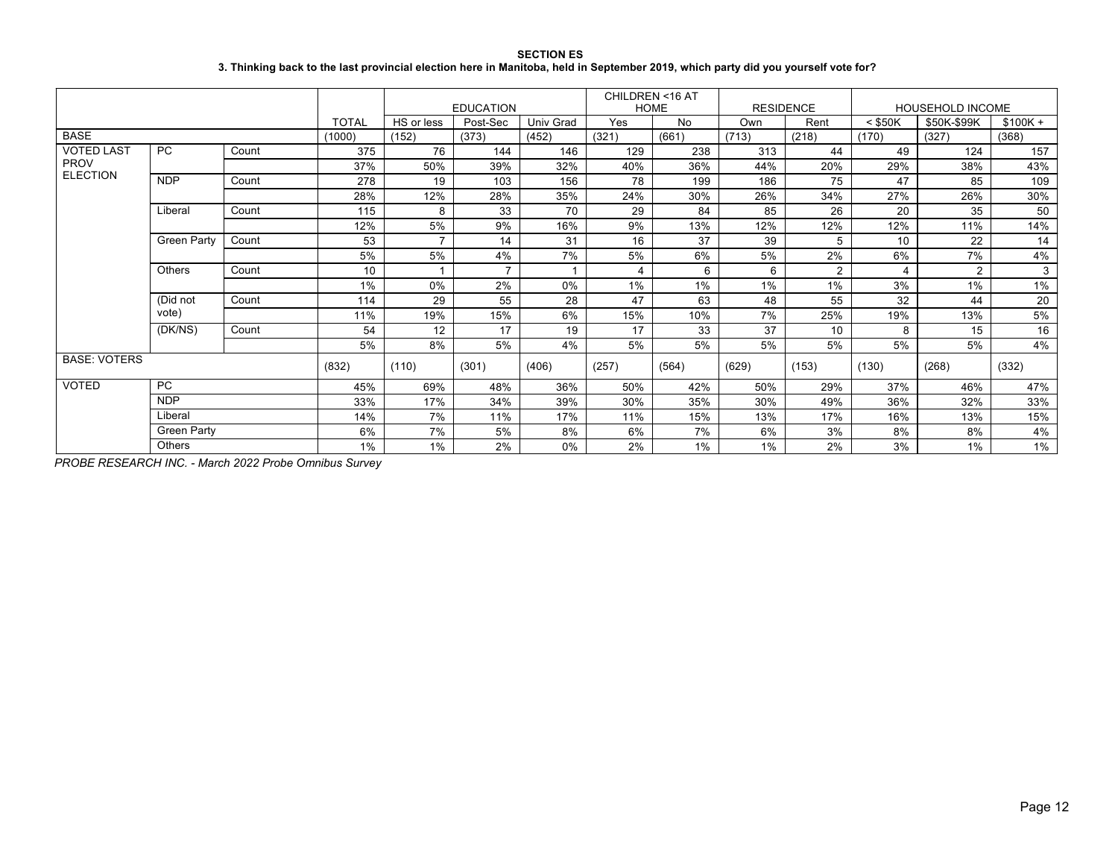**SECTION ES 3. Thinking back to the last provincial election here in Manitoba, held in September 2019, which party did you yourself vote for?**

|                     |                    |       |              |                | <b>EDUCATION</b> |                  | CHILDREN <16 AT | <b>HOME</b> | <b>RESIDENCE</b> |                |           | <b>HOUSEHOLD INCOME</b> |           |
|---------------------|--------------------|-------|--------------|----------------|------------------|------------------|-----------------|-------------|------------------|----------------|-----------|-------------------------|-----------|
|                     |                    |       | <b>TOTAL</b> | HS or less     | Post-Sec         | <b>Univ Grad</b> | Yes             | No          | Own              | Rent           | $<$ \$50K | \$50K-\$99K             | $$100K +$ |
| <b>BASE</b>         |                    |       | (1000)       | (152)          | (373)            | (452)            | (321)           | (661)       | (713)            | (218)          | (170)     | (327)                   | (368)     |
| <b>VOTED LAST</b>   | <b>PC</b>          | Count | 375          | 76             | 144              | 146              | 129             | 238         | 313              | 44             | 49        | 124                     | 157       |
| <b>PROV</b>         |                    |       | 37%          | 50%            | 39%              | 32%              | 40%             | 36%         | 44%              | 20%            | 29%       | 38%                     | 43%       |
| <b>ELECTION</b>     | <b>NDP</b>         | Count | 278          | 19             | 103              | 156              | 78              | 199         | 186              | 75             | 47        | 85                      | 109       |
|                     |                    |       | 28%          | 12%            | 28%              | 35%              | 24%             | 30%         | 26%              | 34%            | 27%       | 26%                     | 30%       |
|                     | Liberal            | Count | 115          | 8              | 33               | 70               | 29              | 84          | 85               | 26             | 20        | 35                      | 50        |
|                     |                    |       | 12%          | 5%             | 9%               | 16%              | 9%              | 13%         | 12%              | 12%            | 12%       | 11%                     | 14%       |
|                     | <b>Green Party</b> | Count | 53           | $\overline{ }$ | 14               | 31               | 16              | 37          | 39               | 5              | 10        | 22                      | 14        |
|                     |                    |       | 5%           | 5%             | 4%               | 7%               | 5%              | 6%          | 5%               | 2%             | 6%        | 7%                      | 4%        |
|                     | Others             | Count | 10           |                |                  |                  |                 | 6           | 6                | $\overline{2}$ |           | 2                       | 3         |
|                     |                    |       | 1%           | 0%             | 2%               | 0%               | 1%              | 1%          | 1%               | 1%             | 3%        | 1%                      | 1%        |
|                     | (Did not           | Count | 114          | 29             | 55               | 28               | 47              | 63          | 48               | 55             | 32        | 44                      | 20        |
|                     | vote)              |       | 11%          | 19%            | 15%              | 6%               | 15%             | 10%         | 7%               | 25%            | 19%       | 13%                     | 5%        |
|                     | (DK/NS)            | Count | 54           | 12             | 17               | 19               | 17              | 33          | 37               | 10             | 8         | 15                      | 16        |
|                     |                    |       | 5%           | 8%             | 5%               | 4%               | 5%              | 5%          | 5%               | 5%             | 5%        | 5%                      | 4%        |
| <b>BASE: VOTERS</b> |                    |       | (832)        | (110)          | (301)            | (406)            | (257)           | (564)       | (629)            | (153)          | (130)     | (268)                   | (332)     |
| <b>VOTED</b>        | <b>PC</b>          |       | 45%          | 69%            | 48%              | 36%              | 50%             | 42%         | 50%              | 29%            | 37%       | 46%                     | 47%       |
|                     | <b>NDP</b>         |       | 33%          | 17%            | 34%              | 39%              | 30%             | 35%         | 30%              | 49%            | 36%       | 32%                     | 33%       |
|                     | Liberal            |       | 14%          | 7%             | 11%              | 17%              | 11%             | 15%         | 13%              | 17%            | 16%       | 13%                     | 15%       |
|                     | Green Party        |       | 6%           | 7%             | 5%               | 8%               | 6%              | 7%          | 6%               | 3%             | 8%        | 8%                      | 4%        |
|                     | Others             |       | 1%           | 1%             | 2%               | 0%               | 2%              | 1%          | 1%               | 2%             | 3%        | 1%                      | 1%        |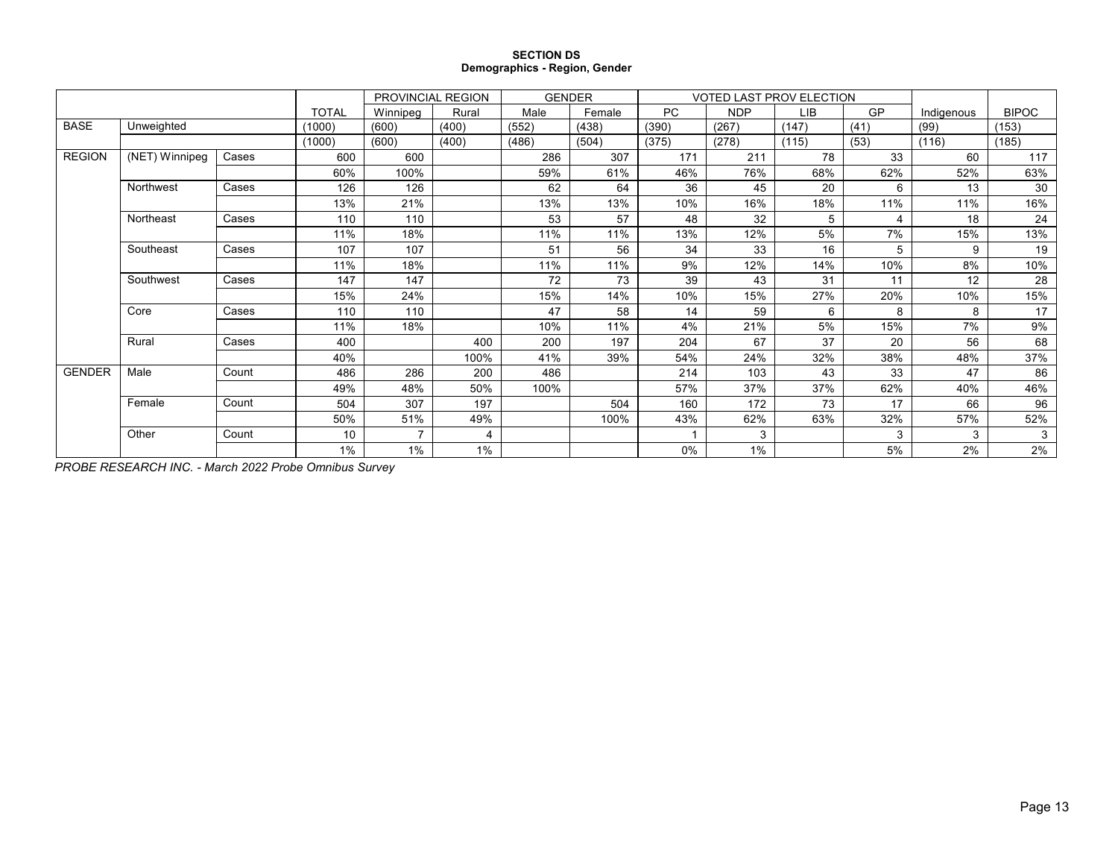#### **SECTION DS Demographics - Region, Gender**

|               |                |       |              | PROVINCIAL REGION        |       |       | <b>GENDER</b> |           | <b>VOTED LAST PROV ELECTION</b> |       |      |            |              |
|---------------|----------------|-------|--------------|--------------------------|-------|-------|---------------|-----------|---------------------------------|-------|------|------------|--------------|
|               |                |       | <b>TOTAL</b> | Winnipeg                 | Rural | Male  | Female        | <b>PC</b> | <b>NDP</b>                      | LIB   | GP   | Indigenous | <b>BIPOC</b> |
| <b>BASE</b>   | Unweighted     |       | (1000)       | (600)                    | (400) | (552) | (438)         | (390)     | (267)                           | (147) | (41) | (99)       | (153)        |
|               |                |       | (1000)       | (600)                    | (400) | (486) | (504)         | (375)     | (278)                           | (115) | (53) | (116)      | (185)        |
| <b>REGION</b> | (NET) Winnipeg | Cases | 600          | 600                      |       | 286   | 307           | 171       | 211                             | 78    | 33   | 60         | 117          |
|               |                |       | 60%          | 100%                     |       | 59%   | 61%           | 46%       | 76%                             | 68%   | 62%  | 52%        | 63%          |
|               | Northwest      | Cases | 126          | 126                      |       | 62    | 64            | 36        | 45                              | 20    | 6    | 13         | 30           |
|               |                |       | 13%          | 21%                      |       | 13%   | 13%           | 10%       | 16%                             | 18%   | 11%  | 11%        | 16%          |
|               | Northeast      | Cases | 110          | 110                      |       | 53    | 57            | 48        | 32                              | 5     | 4    | 18         | 24           |
|               |                |       | 11%          | 18%                      |       | 11%   | 11%           | 13%       | 12%                             | 5%    | 7%   | 15%        | 13%          |
|               | Southeast      | Cases | 107          | 107                      |       | 51    | 56            | 34        | 33                              | 16    | 5    | 9          | 19           |
|               |                |       | 11%          | 18%                      |       | 11%   | 11%           | 9%        | 12%                             | 14%   | 10%  | 8%         | 10%          |
|               | Southwest      | Cases | 147          | 147                      |       | 72    | 73            | 39        | 43                              | 31    | 11   | 12         | 28           |
|               |                |       | 15%          | 24%                      |       | 15%   | 14%           | 10%       | 15%                             | 27%   | 20%  | 10%        | 15%          |
|               | Core           | Cases | 110          | 110                      |       | 47    | 58            | 14        | 59                              | 6     | 8    | 8          | 17           |
|               |                |       | 11%          | 18%                      |       | 10%   | 11%           | 4%        | 21%                             | 5%    | 15%  | 7%         | 9%           |
|               | Rural          | Cases | 400          |                          | 400   | 200   | 197           | 204       | 67                              | 37    | 20   | 56         | 68           |
|               |                |       | 40%          |                          | 100%  | 41%   | 39%           | 54%       | 24%                             | 32%   | 38%  | 48%        | 37%          |
| <b>GENDER</b> | Male           | Count | 486          | 286                      | 200   | 486   |               | 214       | 103                             | 43    | 33   | 47         | 86           |
|               |                |       | 49%          | 48%                      | 50%   | 100%  |               | 57%       | 37%                             | 37%   | 62%  | 40%        | 46%          |
|               | Female         | Count | 504          | 307                      | 197   |       | 504           | 160       | 172                             | 73    | 17   | 66         | 96           |
|               |                |       | 50%          | 51%                      | 49%   |       | 100%          | 43%       | 62%                             | 63%   | 32%  | 57%        | 52%          |
|               | Other          | Count | 10           | $\overline{\phantom{a}}$ | 4     |       |               |           | 3                               |       | 3    | 3          | 3            |
|               |                |       | 1%           | 1%                       | 1%    |       |               | 0%        | 1%                              |       | 5%   | 2%         | 2%           |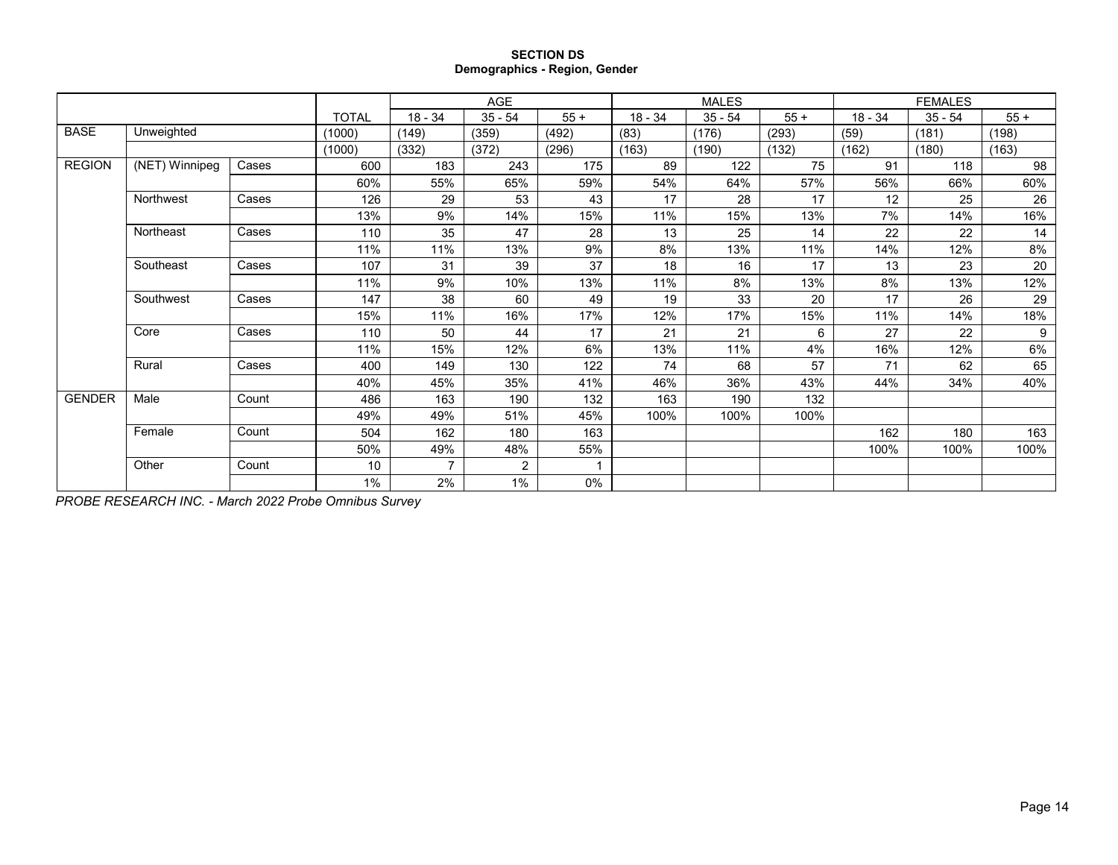### **SECTION DS Demographics - Region, Gender**

|               |                  |       |              |           | AGE            |       |           | <b>MALES</b> |        |           | <b>FEMALES</b> |       |
|---------------|------------------|-------|--------------|-----------|----------------|-------|-----------|--------------|--------|-----------|----------------|-------|
|               |                  |       | <b>TOTAL</b> | $18 - 34$ | $35 - 54$      | $55+$ | $18 - 34$ | $35 - 54$    | $55 +$ | $18 - 34$ | $35 - 54$      | $55+$ |
| <b>BASE</b>   | Unweighted       |       | (1000)       | (149)     | (359)          | (492) | (83)      | (176)        | (293)  | (59)      | (181)          | (198) |
|               |                  |       | (1000)       | (332)     | (372)          | (296) | (163)     | (190)        | (132)  | (162)     | (180)          | (163) |
| <b>REGION</b> | $(NET)$ Winnipeg | Cases | 600          | 183       | 243            | 175   | 89        | 122          | 75     | 91        | 118            | 98    |
|               |                  |       | 60%          | 55%       | 65%            | 59%   | 54%       | 64%          | 57%    | 56%       | 66%            | 60%   |
|               | Northwest        | Cases | 126          | 29        | 53             | 43    | 17        | 28           | 17     | 12        | 25             | 26    |
|               |                  |       | 13%          | 9%        | 14%            | 15%   | 11%       | 15%          | 13%    | 7%        | 14%            | 16%   |
|               | Northeast        | Cases | 110          | 35        | 47             | 28    | 13        | 25           | 14     | 22        | 22             | 14    |
|               |                  |       | 11%          | 11%       | 13%            | 9%    | 8%        | 13%          | 11%    | 14%       | 12%            | 8%    |
|               | Southeast        | Cases | 107          | 31        | 39             | 37    | 18        | 16           | 17     | 13        | 23             | 20    |
|               |                  |       | 11%          | 9%        | 10%            | 13%   | 11%       | 8%           | 13%    | 8%        | 13%            | 12%   |
|               | Southwest        | Cases | 147          | 38        | 60             | 49    | 19        | 33           | 20     | 17        | 26             | 29    |
|               |                  |       | 15%          | 11%       | 16%            | 17%   | 12%       | 17%          | 15%    | 11%       | 14%            | 18%   |
|               | Core             | Cases | 110          | 50        | 44             | 17    | 21        | 21           | 6      | 27        | 22             | 9     |
|               |                  |       | 11%          | 15%       | 12%            | 6%    | 13%       | 11%          | 4%     | 16%       | 12%            | 6%    |
|               | Rural            | Cases | 400          | 149       | 130            | 122   | 74        | 68           | 57     | 71        | 62             | 65    |
|               |                  |       | 40%          | 45%       | 35%            | 41%   | 46%       | 36%          | 43%    | 44%       | 34%            | 40%   |
| <b>GENDER</b> | Male             | Count | 486          | 163       | 190            | 132   | 163       | 190          | 132    |           |                |       |
|               |                  |       | 49%          | 49%       | 51%            | 45%   | 100%      | 100%         | 100%   |           |                |       |
|               | Female           | Count | 504          | 162       | 180            | 163   |           |              |        | 162       | 180            | 163   |
|               |                  |       | 50%          | 49%       | 48%            | 55%   |           |              |        | 100%      | 100%           | 100%  |
|               | Other            | Count | 10           | 7         | $\overline{2}$ |       |           |              |        |           |                |       |
|               |                  |       | 1%           | 2%        | 1%             | 0%    |           |              |        |           |                |       |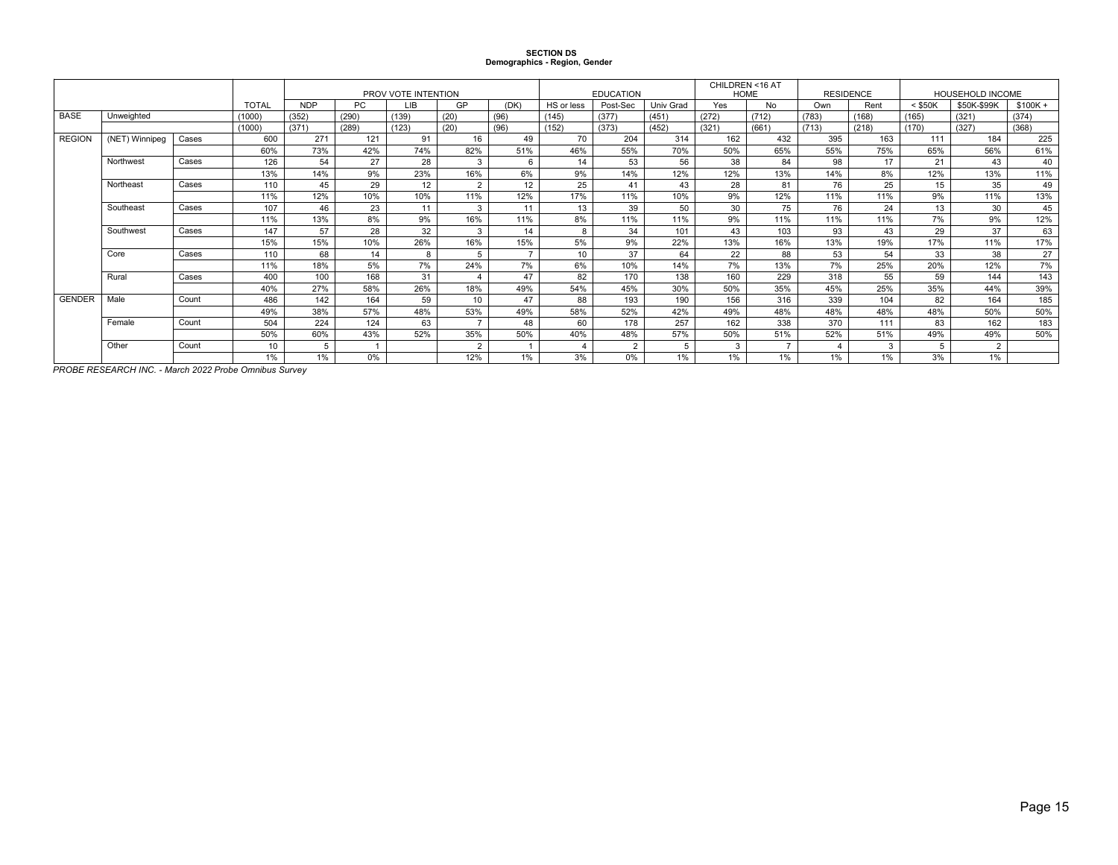# **SECTION DS Demographics - Region, Gender**

|               |                |       |              |            |       | PROV VOTE INTENTION |                  |                |            | <b>EDUCATION</b> |           | CHILDREN <16 AT<br><b>HOME</b> |       |       | <b>RESIDENCE</b> |           | HOUSEHOLD INCOME |           |
|---------------|----------------|-------|--------------|------------|-------|---------------------|------------------|----------------|------------|------------------|-----------|--------------------------------|-------|-------|------------------|-----------|------------------|-----------|
|               |                |       | <b>TOTAL</b> | <b>NDP</b> | PC    | LIB                 | GP               | (DK)           | HS or less | Post-Sec         | Univ Grad | Yes                            | No    | Own   | Rent             | $<$ \$50K | \$50K-\$99K      | $$100K +$ |
| <b>BASE</b>   | Unweighted     |       | (1000)       | (352)      | (290) | (139)               | (20)             | (96)           | (145)      | (377)            | (451)     | (272)                          | (712) | (783) | (168)            | (165)     | (321)            | (374)     |
|               |                |       | (1000)       | (371)      | (289) | (123)               | (20)             | (96)           | (152)      | (373)            | (452)     | (321)                          | (661) | (713) | (218)            | (170)     | (327)            | (368)     |
| <b>REGION</b> | (NET) Winnipeg | Cases | 600          | 271        | 121   | 91                  | 16               | 49             | 70         | 204              | 314       | 162                            | 432   | 395   | 163              | 111       | 184              | 225       |
|               |                |       | 60%          | 73%        | 42%   | 74%                 | 82%              | 51%            | 46%        | 55%              | 70%       | 50%                            | 65%   | 55%   | 75%              | 65%       | 56%              | 61%       |
|               | Northwest      | Cases | 126          | 54         | 27    | 28                  | 3                | 6              | 14         | 53               | 56        | 38                             | 84    | 98    | 17               | 21        | 43               | 40        |
|               |                |       | 13%          | 14%        | 9%    | 23%                 | 16%              | 6%             | 9%         | 14%              | 12%       | 12%                            | 13%   | 14%   | 8%               | 12%       | 13%              | 11%       |
|               | Northeast      | Cases | 110          | 45         | 29    | 12                  | $\sim$           | 12             | 25         | 41               | 43        | 28                             | 81    | 76    | 25               | 15        | 35               | 49        |
|               |                |       | 11%          | 12%        | 10%   | 10%                 | 11%              | 12%            | 17%        | 11%              | 10%       | 9%                             | 12%   | 11%   | 11%              | 9%        | 11%              | 13%       |
|               | Southeast      | Cases | 107          | 46         | 23    | 11                  | $\mathcal{R}$    | 11             | 13         | 39               | 50        | 30                             | 75    | 76    | 24               | 13        | 30               | 45        |
|               |                |       | 11%          | 13%        | 8%    | 9%                  | 16%              | 11%            | 8%         | 11%              | 11%       | 9%                             | 11%   | 11%   | 11%              | 7%        | 9%               | 12%       |
|               | Southwest      | Cases | 147          | 57         | 28    | 32                  | 3                | 14             | 8          | 34               | 101       | 43                             | 103   | 93    | 43               | 29        | 37               | 63        |
|               |                |       | 15%          | 15%        | 10%   | 26%                 | 16%              | 15%            | 5%         | 9%               | 22%       | 13%                            | 16%   | 13%   | 19%              | 17%       | 11%              | 17%       |
|               | Core           | Cases | 110          | 68         | 14    | 8                   | 5                | $\overline{7}$ | 10         | 37               | 64        | 22                             | 88    | 53    | 54               | 33        | 38               | 27        |
|               |                |       | 11%          | 18%        | 5%    | 7%                  | 24%              | 7%             | 6%         | 10%              | 14%       | 7%                             | 13%   | 7%    | 25%              | 20%       | 12%              | 7%        |
|               | Rural          | Cases | 400          | 100        | 168   | 31                  |                  | 47             | 82         | 170              | 138       | 160                            | 229   | 318   | 55               | 59        | 144              | 143       |
|               |                |       | 40%          | 27%        | 58%   | 26%                 | 18%              | 49%            | 54%        | 45%              | 30%       | 50%                            | 35%   | 45%   | 25%              | 35%       | 44%              | 39%       |
| <b>GENDER</b> | Male           | Count | 486          | 142        | 164   | 59                  | 10 <sup>10</sup> | 47             | 88         | 193              | 190       | 156                            | 316   | 339   | 104              | 82        | 164              | 185       |
|               |                |       | 49%          | 38%        | 57%   | 48%                 | 53%              | 49%            | 58%        | 52%              | 42%       | 49%                            | 48%   | 48%   | 48%              | 48%       | 50%              | 50%       |
|               | Female         | Count | 504          | 224        | 124   | 63                  |                  | 48             | 60         | 178              | 257       | 162                            | 338   | 370   | 111              | 83        | 162              | 183       |
|               |                |       | 50%          | 60%        | 43%   | 52%                 | 35%              | 50%            | 40%        | 48%              | 57%       | 50%                            | 51%   | 52%   | 51%              | 49%       | 49%              | 50%       |
|               | Other          | Count | 10           | 5          |       |                     | $\Omega$         |                |            | $\overline{2}$   |           | 3                              |       | 4     | 3                | 5         | $\overline{2}$   |           |
|               |                |       | 1%           | 1%         | 0%    |                     | 12%              | 1%             | 3%         | 0%               | 1%        | 1%                             | 1%    | 1%    | 1%               | 3%        | 1%               |           |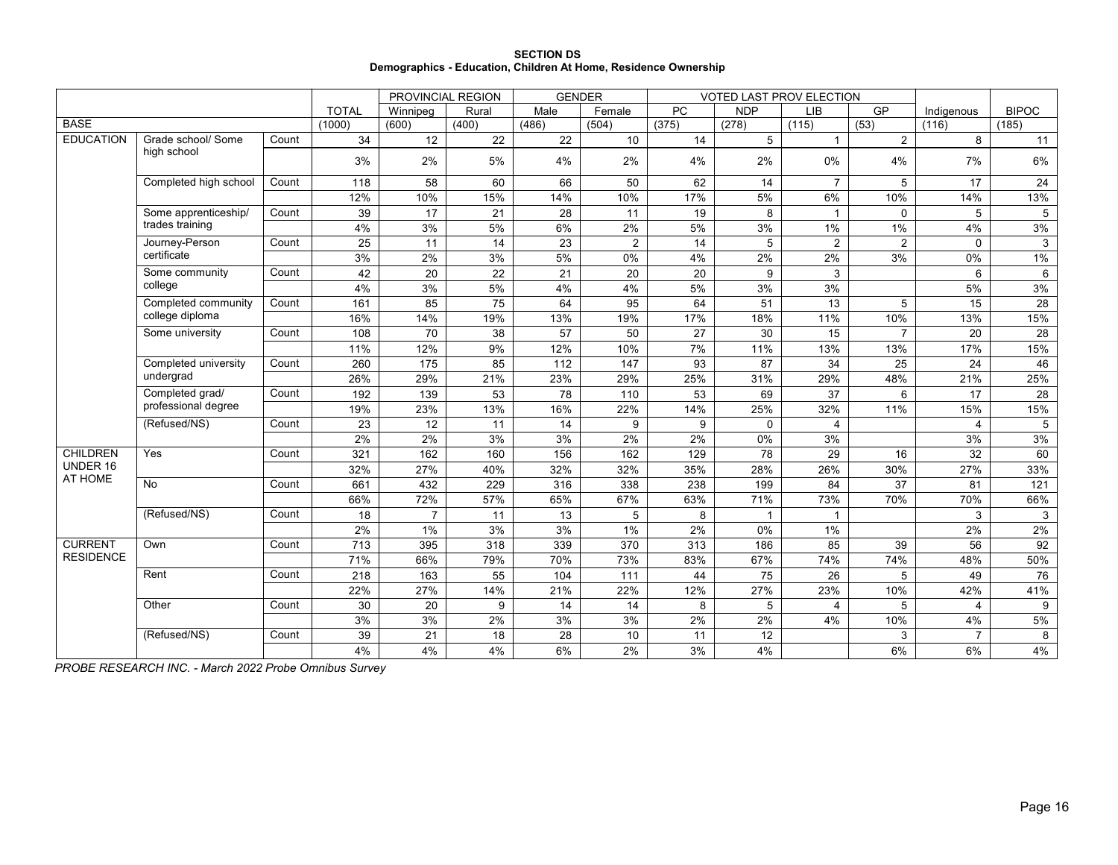|                                                                 | <b>SECTION DS</b> |  |
|-----------------------------------------------------------------|-------------------|--|
| Demographics - Education, Children At Home, Residence Ownership |                   |  |

|                  |                       |       |              | PROVINCIAL REGION |       | <b>GENDER</b> |                |                  | <b>VOTED LAST PROV ELECTION</b> |                |                |                |                 |
|------------------|-----------------------|-------|--------------|-------------------|-------|---------------|----------------|------------------|---------------------------------|----------------|----------------|----------------|-----------------|
|                  |                       |       | <b>TOTAL</b> | Winnipeg          | Rural | Male          | Female         | PC               | <b>NDP</b>                      | LIB            | GP             | Indigenous     | <b>BIPOC</b>    |
| <b>BASE</b>      |                       |       | (1000)       | (600)             | (400) | (486)         | (504)          | (375)            | (278)                           | (115)          | (53)           | (116)          | (185)           |
| <b>EDUCATION</b> | Grade school/ Some    | Count | 34           | 12                | 22    | 22            | 10             | 14               | $5\overline{)}$                 | $\mathbf{1}$   | $\overline{2}$ | 8              | 11              |
|                  | high school           |       | 3%           | 2%                | 5%    | 4%            | 2%             | 4%               | 2%                              | $0\%$          | 4%             | 7%             | 6%              |
|                  | Completed high school | Count | 118          | 58                | 60    | 66            | 50             | 62               | 14                              | $\overline{7}$ | 5              | 17             | 24              |
|                  |                       |       | 12%          | 10%               | 15%   | 14%           | 10%            | 17%              | 5%                              | 6%             | 10%            | 14%            | 13%             |
|                  | Some apprenticeship/  | Count | 39           | 17                | 21    | 28            | 11             | 19               | 8                               | $\overline{1}$ | $\mathbf 0$    | 5              | 5               |
|                  | trades training       |       | 4%           | 3%                | 5%    | 6%            | 2%             | 5%               | 3%                              | 1%             | 1%             | 4%             | 3%              |
|                  | Journey-Person        | Count | 25           | 11                | 14    | 23            | $\overline{2}$ | 14               | 5                               | $\overline{2}$ | $\overline{2}$ | $\mathbf{0}$   | 3               |
|                  | certificate           |       | 3%           | 2%                | 3%    | 5%            | 0%             | 4%               | 2%                              | 2%             | 3%             | 0%             | 1%              |
|                  | Some community        | Count | 42           | 20                | 22    | 21            | 20             | 20               | 9                               | 3              |                | 6              | 6               |
|                  | college               |       | 4%           | 3%                | 5%    | 4%            | 4%             | 5%               | 3%                              | 3%             |                | 5%             | 3%              |
|                  | Completed community   | Count | 161          | 85                | 75    | 64            | 95             | 64               | 51                              | 13             | 5              | 15             | 28              |
|                  | college diploma       |       | 16%          | 14%               | 19%   | 13%           | 19%            | 17%              | 18%                             | 11%            | 10%            | 13%            | 15%             |
|                  | Some university       | Count | 108          | 70                | 38    | 57            | 50             | 27               | 30                              | 15             | $\overline{7}$ | 20             | 28              |
|                  | Completed university  |       | 11%          | 12%               | $9\%$ | 12%           | 10%            | 7%               | 11%                             | 13%            | 13%            | 17%            | 15%             |
|                  |                       | Count | 260          | 175               | 85    | 112           | 147            | 93               | 87                              | 34             | 25             | 24             | 46              |
|                  | undergrad             |       | 26%          | 29%               | 21%   | 23%           | 29%            | 25%              | 31%                             | 29%            | 48%            | 21%            | 25%             |
|                  | Completed grad/       | Count | 192          | 139               | 53    | 78            | 110            | 53               | 69                              | 37             | 6              | 17             | 28              |
|                  | professional degree   |       | 19%          | 23%               | 13%   | 16%           | 22%            | 14%              | 25%                             | 32%            | 11%            | 15%            | 15%             |
|                  | (Refused/NS)          | Count | 23           | 12                | 11    | 14            | 9              | 9                | $\mathbf 0$                     | $\overline{4}$ |                | 4              | 5               |
|                  |                       |       | 2%           | 2%                | 3%    | 3%            | 2%             | 2%               | 0%                              | 3%             |                | 3%             | 3%              |
| <b>CHILDREN</b>  | Yes                   | Count | 321          | 162               | 160   | 156           | 162            | 129              | 78                              | 29             | 16             | 32             | 60              |
| UNDER 16         |                       |       | 32%          | 27%               | 40%   | 32%           | 32%            | 35%              | 28%                             | 26%            | 30%            | 27%            | 33%             |
| AT HOME          | No                    | Count | 661          | 432               | 229   | 316           | 338            | 238              | 199                             | 84             | 37             | 81             | 121             |
|                  |                       |       | 66%          | 72%               | 57%   | 65%           | 67%            | 63%              | 71%                             | 73%            | 70%            | 70%            | 66%             |
|                  | (Refused/NS)          | Count | 18           | $\overline{7}$    | 11    | 13            | 5              | 8                | $\mathbf{1}$                    | $\mathbf{1}$   |                | 3              | 3               |
|                  |                       |       | 2%           | 1%                | 3%    | 3%            | 1%             | $2\%$            | 0%                              | 1%             |                | $2\%$          | 2%              |
| <b>CURRENT</b>   | Own                   | Count | 713          | 395               | 318   | 339           | 370            | $\overline{313}$ | 186                             | 85             | 39             | 56             | $\overline{92}$ |
| <b>RESIDENCE</b> |                       |       | 71%          | 66%               | 79%   | 70%           | 73%            | 83%              | 67%                             | 74%            | 74%            | 48%            | 50%             |
|                  | Rent                  | Count | 218          | 163               | 55    | 104           | 111            | 44               | 75                              | 26             | 5              | 49             | 76              |
|                  |                       |       | 22%          | 27%               | 14%   | 21%           | 22%            | 12%              | 27%                             | 23%            | 10%            | 42%            | 41%             |
|                  | Other                 | Count | 30           | 20                | 9     | 14            | 14             | 8                | 5                               | $\overline{4}$ | 5              | 4              | 9               |
|                  |                       |       | 3%           | 3%                | 2%    | 3%            | 3%             | 2%               | 2%                              | 4%             | 10%            | 4%             | 5%              |
|                  | (Refused/NS)          | Count | 39           | 21                | 18    | 28            | 10             | 11               | 12                              |                | 3              | $\overline{7}$ | 8               |
|                  |                       |       | 4%           | 4%                | 4%    | 6%            | 2%             | 3%               | 4%                              |                | 6%             | 6%             | 4%              |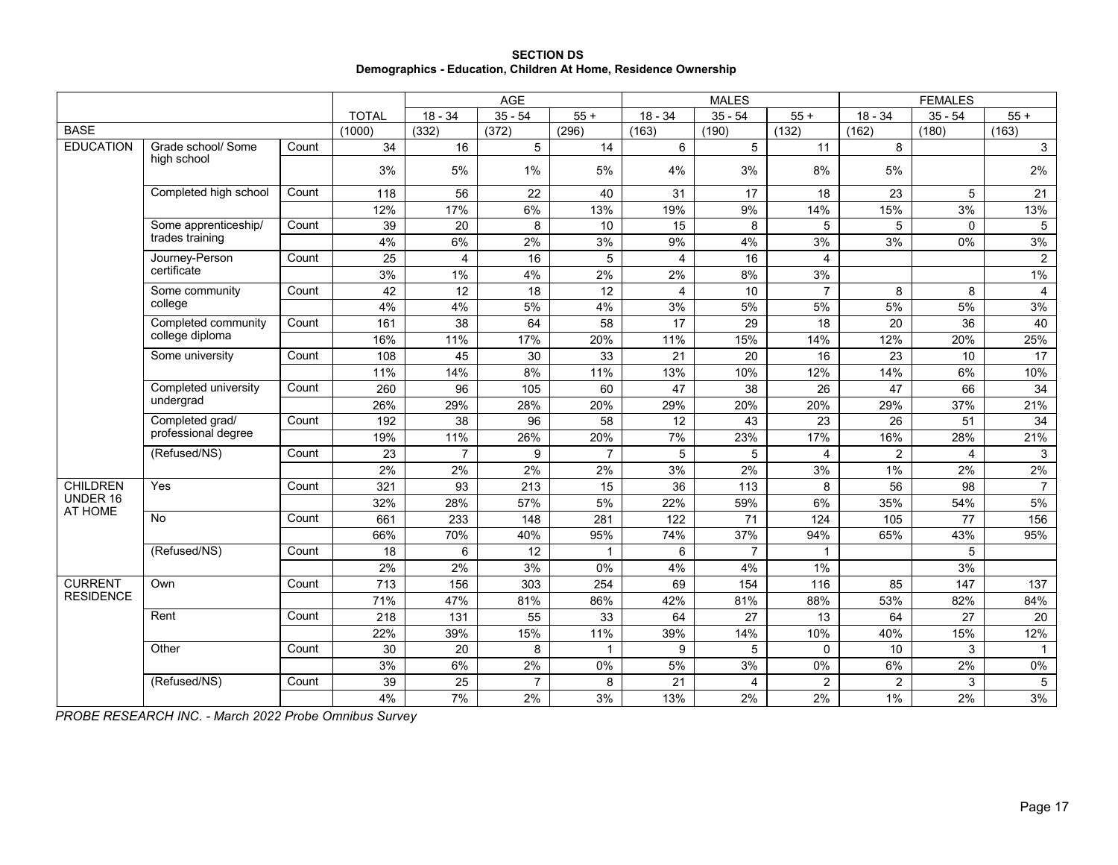| <b>SECTION DS</b>                                               |
|-----------------------------------------------------------------|
| Demographics - Education, Children At Home, Residence Ownership |

|                     |                                   |       |                 |                | AGE               |                  |                 | <b>MALES</b>    |                 |                 | <b>FEMALES</b>  |                 |
|---------------------|-----------------------------------|-------|-----------------|----------------|-------------------|------------------|-----------------|-----------------|-----------------|-----------------|-----------------|-----------------|
|                     |                                   |       | <b>TOTAL</b>    | $18 - 34$      | $35 - 54$         | $55 +$           | $18 - 34$       | $35 - 54$       | $55+$           | $18 - 34$       | $35 - 54$       | $55+$           |
| <b>BASE</b>         |                                   |       | (1000)          | (332)          | (372)             | (296)            | (163)           | (190)           | (132)           | (162)           | (180)           | (163)           |
| <b>EDUCATION</b>    | Grade school/ Some                | Count | 34              | 16             | 5                 | 14               | 6               | 5               | 11              | 8               |                 | $\mathbf{3}$    |
|                     | high school                       |       | 3%              | 5%             | 1%                | 5%               | 4%              | 3%              | 8%              | 5%              |                 | 2%              |
|                     | Completed high school             | Count | 118             | 56             | 22                | 40               | 31              | 17              | 18              | 23              | 5               | 21              |
|                     |                                   |       | 12%             | 17%            | 6%                | 13%              | 19%             | 9%              | 14%             | 15%             | 3%              | 13%             |
|                     | Some apprenticeship/              | Count | 39              | 20             | 8                 | 10               | 15              | 8               | 5               | 5               | $\Omega$        | 5               |
|                     | trades training                   |       | 4%              | 6%             | 2%                | 3%               | 9%              | 4%              | 3%              | 3%              | 0%              | 3%              |
|                     | Journey-Person                    | Count | $\overline{25}$ | 4              | 16                | 5                | $\overline{4}$  | 16              | $\overline{4}$  |                 |                 | $\overline{2}$  |
|                     | certificate                       |       | 3%              | 1%             | 4%                | 2%               | 2%              | 8%              | 3%              |                 |                 | $1\%$           |
|                     | Some community                    | Count | 42              | 12             | 18                | 12               | $\overline{4}$  | 10              | $\overline{7}$  | 8               | 8               | 4               |
|                     | college                           |       | 4%              | 4%             | 5%                | 4%               | 3%              | 5%              | 5%              | 5%              | 5%              | 3%              |
|                     | Completed community               | Count | 161             | 38             | 64                | 58               | $\overline{17}$ | $\overline{29}$ | 18              | 20              | 36              | 40              |
|                     | college diploma                   |       | 16%             | 11%            | 17%               | 20%              | 11%             | 15%             | 14%             | 12%             | 20%             | 25%             |
|                     | Some university                   | Count | 108             | 45             | 30                | 33               | 21              | 20              | 16              | 23              | 10              | 17              |
|                     |                                   |       | 11%             | 14%            | 8%                | 11%              | 13%             | 10%             | 12%             | 14%             | 6%              | 10%             |
|                     | Completed university<br>undergrad | Count | 260             | 96             | $\frac{105}{105}$ | 60               | $\overline{47}$ | 38              | $\overline{26}$ | $\overline{47}$ | 66              | 34              |
|                     |                                   |       | 26%             | 29%            | 28%               | 20%              | 29%             | 20%             | 20%             | 29%             | 37%             | 21%             |
|                     | Completed grad/                   | Count | 192             | 38             | 96                | 58               | 12              | 43              | 23              | 26              | 51              | 34              |
|                     | professional degree               |       | 19%             | 11%            | 26%               | 20%              | 7%              | 23%             | 17%             | 16%             | 28%             | 21%             |
|                     | (Refused/NS)                      | Count | 23              | $\overline{7}$ | 9                 | $\overline{7}$   | 5               | 5               | $\overline{4}$  | $\overline{a}$  | $\overline{4}$  | 3               |
|                     |                                   |       | 2%              | 2%             | 2%                | 2%               | 3%              | 2%              | 3%              | 1%              | 2%              | 2%              |
| <b>CHILDREN</b>     | Yes                               | Count | 321             | 93             | 213               | 15               | 36              | 113             | 8               | 56              | 98              | $\overline{7}$  |
| UNDER 16<br>AT HOME |                                   |       | 32%             | 28%            | 57%               | 5%               | 22%             | 59%             | 6%              | 35%             | 54%             | 5%              |
|                     | <b>No</b>                         | Count | 661             | 233            | 148               | 281              | 122             | $\overline{71}$ | $\frac{1}{24}$  | 105             | $\overline{77}$ | 156             |
|                     |                                   |       | 66%             | 70%            | 40%               | 95%              | 74%             | 37%             | 94%             | 65%             | 43%             | 95%             |
|                     | (Refused/NS)                      | Count | 18              | 6              | 12                | $\mathbf{1}$     | 6               | $\overline{7}$  | $\mathbf{1}$    |                 | 5               |                 |
|                     |                                   |       | 2%              | 2%             | 3%                | 0%               | 4%              | 4%              | $1\%$           |                 | 3%              |                 |
| <b>CURRENT</b>      | Own                               | Count | 713             | 156            | 303               | $\overline{254}$ | 69              | 154             | 116             | 85              | 147             | 137             |
| <b>RESIDENCE</b>    |                                   |       | 71%             | 47%            | 81%               | 86%              | 42%             | 81%             | 88%             | 53%             | 82%             | 84%             |
|                     | Rent                              | Count | 218             | 131            | 55                | 33               | 64              | 27              | 13              | 64              | $\overline{27}$ | 20              |
|                     |                                   |       | 22%             | 39%            | 15%               | 11%              | 39%             | 14%             | 10%             | 40%             | 15%             | 12%             |
|                     | Other                             | Count | 30              | 20             | 8                 | $\mathbf{1}$     | 9               | 5               | $\Omega$        | 10              | 3               | $\mathbf{1}$    |
|                     |                                   |       | 3%              | 6%             | 2%                | 0%               | 5%              | 3%              | 0%              | 6%              | 2%              | 0%              |
|                     | (Refused/NS)                      | Count | 39              | 25             | $\overline{7}$    | 8                | 21              | 4               | $\overline{2}$  | $\overline{2}$  | 3               | $5\phantom{.0}$ |
|                     |                                   |       | 4%              | 7%             | 2%                | 3%               | 13%             | 2%              | 2%              | 1%              | 2%              | 3%              |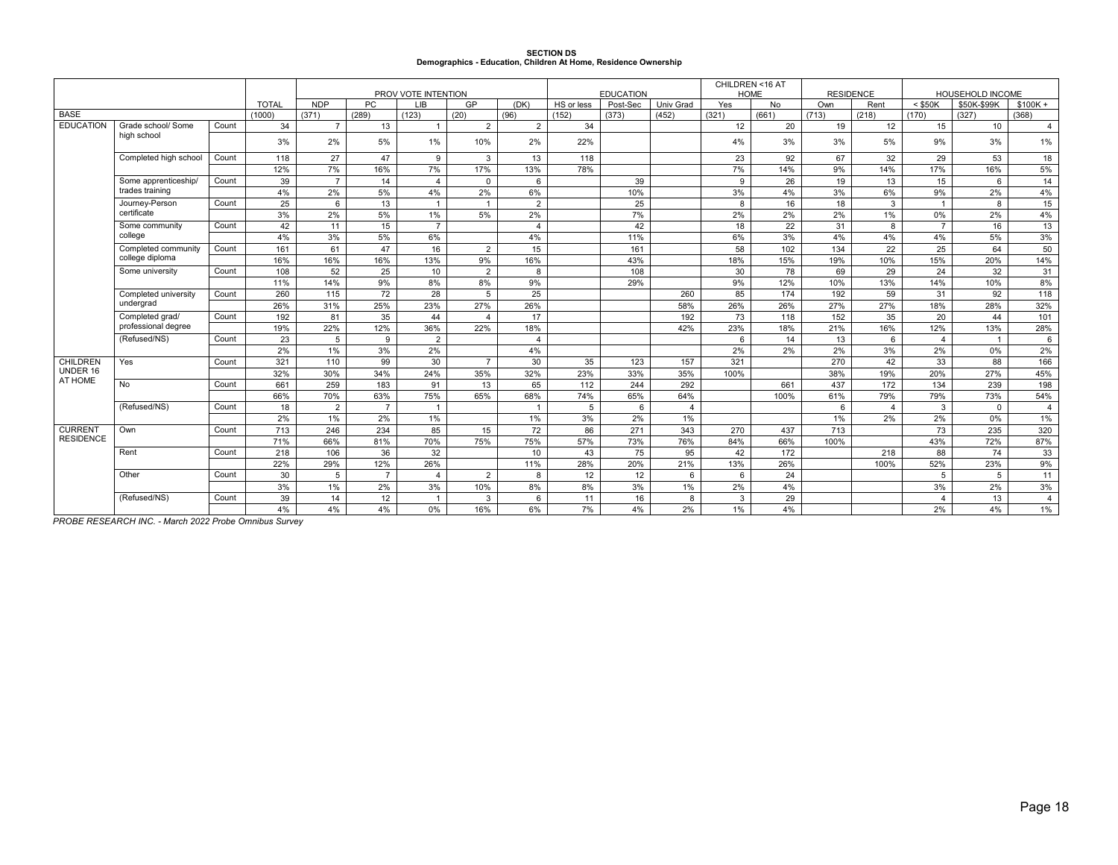# **SECTION DS Demographics - Education, Children At Home, Residence Ownership**

| PROV VOTE INTENTION<br><b>HOME</b><br><b>RESIDENCE</b><br>HOUSEHOLD INCOME<br><b>NDP</b><br><b>TOTAL</b><br><b>PC</b><br>LIB<br>GP<br>(DK)<br>HS or less<br>Post-Sec<br>Univ Grad<br>Yes<br>No<br>$<$ \$50K<br>\$50K-\$99K<br>Own<br>Rent<br>$$100K +$<br><b>BASE</b><br>(289)<br>(152)<br>(373)<br>(452)<br>(661)<br>(218)<br>(327)<br>(1000)<br>(371)<br>(123)<br>(20)<br>(321)<br>(713)<br>(170)<br>(368)<br>(96)<br><b>EDUCATION</b><br>Grade school/ Some<br>Count<br>34<br>$\overline{2}$<br>12<br>20<br>19<br>10<br>$\overline{7}$<br>13<br>$\overline{2}$<br>34<br>12<br>15<br>$\overline{1}$<br>high school<br>3%<br>2%<br>5%<br>1%<br>10%<br>2%<br>22%<br>3%<br>3%<br>5%<br>9%<br>3%<br>4%<br>27<br>47<br>9<br>$\mathbf{3}$<br>13<br>118<br>23<br>92<br>67<br>32<br>29<br>53<br>18<br>Completed high school<br>Count<br>118<br>7%<br>7%<br>17%<br>13%<br>78%<br>7%<br>9%<br>14%<br>17%<br>16%<br>5%<br>12%<br>16%<br>14%<br>14<br>Some apprenticeship/<br>Count<br>39<br>$\overline{7}$<br>14<br>$\mathbf 0$<br>39<br>9<br>26<br>19<br>13<br>15<br>$\overline{4}$<br>6<br>6<br>trades training<br>4%<br>2%<br>5%<br>4%<br>2%<br>6%<br>3%<br>3%<br>6%<br>9%<br>2%<br>4%<br>10%<br>4%<br>Journey-Person<br>Count<br>$\mathbf{3}$<br>25<br>6<br>13<br>2<br>25<br>16<br>18<br>8<br>$\overline{1}$<br>$\overline{1}$<br>8<br>$\overline{1}$<br>certificate<br>3%<br>5%<br>5%<br>2%<br>2%<br>2%<br>2%<br>$1\%$<br>0%<br>2%<br>2%<br>1%<br>7%<br>Some community<br>Count<br>42<br>11<br>15<br>$\overline{7}$<br>42<br>18<br>22<br>31<br>8<br>$\overline{7}$<br>16<br>$\overline{4}$<br>college<br>4%<br>3%<br>5%<br>6%<br>4%<br>3%<br>4%<br>4%<br>4%<br>5%<br>11%<br>6%<br>47<br>16<br>15<br>58<br>102<br>134<br>22<br>25<br>64<br>Count<br>161<br>61<br>2<br>161<br>Completed community<br>college diploma<br>16%<br>16%<br>16%<br>13%<br>9%<br>16%<br>18%<br>15%<br>19%<br>10%<br>15%<br>20%<br>43%<br>52<br>25<br>30<br>78<br>29<br>24<br>32<br>108<br>10<br>$\overline{2}$<br>108<br>69<br>Some university<br>Count<br>8<br>9%<br>8%<br>8%<br>9%<br>13%<br>14%<br>10%<br>11%<br>14%<br>29%<br>9%<br>12%<br>10%<br>59<br>72<br>28<br>5<br>25<br>85<br>174<br>192<br>92<br>Count<br>260<br>115<br>260<br>31<br>Completed university |  |  |  |  |  | <b>EDUCATION</b> | CHILDREN <16 AT |  |  |                |
|------------------------------------------------------------------------------------------------------------------------------------------------------------------------------------------------------------------------------------------------------------------------------------------------------------------------------------------------------------------------------------------------------------------------------------------------------------------------------------------------------------------------------------------------------------------------------------------------------------------------------------------------------------------------------------------------------------------------------------------------------------------------------------------------------------------------------------------------------------------------------------------------------------------------------------------------------------------------------------------------------------------------------------------------------------------------------------------------------------------------------------------------------------------------------------------------------------------------------------------------------------------------------------------------------------------------------------------------------------------------------------------------------------------------------------------------------------------------------------------------------------------------------------------------------------------------------------------------------------------------------------------------------------------------------------------------------------------------------------------------------------------------------------------------------------------------------------------------------------------------------------------------------------------------------------------------------------------------------------------------------------------------------------------------------------------------------------------------------------------------------------------------------------------------------------------------------------------------------------------|--|--|--|--|--|------------------|-----------------|--|--|----------------|
|                                                                                                                                                                                                                                                                                                                                                                                                                                                                                                                                                                                                                                                                                                                                                                                                                                                                                                                                                                                                                                                                                                                                                                                                                                                                                                                                                                                                                                                                                                                                                                                                                                                                                                                                                                                                                                                                                                                                                                                                                                                                                                                                                                                                                                          |  |  |  |  |  |                  |                 |  |  |                |
|                                                                                                                                                                                                                                                                                                                                                                                                                                                                                                                                                                                                                                                                                                                                                                                                                                                                                                                                                                                                                                                                                                                                                                                                                                                                                                                                                                                                                                                                                                                                                                                                                                                                                                                                                                                                                                                                                                                                                                                                                                                                                                                                                                                                                                          |  |  |  |  |  |                  |                 |  |  |                |
|                                                                                                                                                                                                                                                                                                                                                                                                                                                                                                                                                                                                                                                                                                                                                                                                                                                                                                                                                                                                                                                                                                                                                                                                                                                                                                                                                                                                                                                                                                                                                                                                                                                                                                                                                                                                                                                                                                                                                                                                                                                                                                                                                                                                                                          |  |  |  |  |  |                  |                 |  |  | 4              |
|                                                                                                                                                                                                                                                                                                                                                                                                                                                                                                                                                                                                                                                                                                                                                                                                                                                                                                                                                                                                                                                                                                                                                                                                                                                                                                                                                                                                                                                                                                                                                                                                                                                                                                                                                                                                                                                                                                                                                                                                                                                                                                                                                                                                                                          |  |  |  |  |  |                  |                 |  |  | 1%             |
|                                                                                                                                                                                                                                                                                                                                                                                                                                                                                                                                                                                                                                                                                                                                                                                                                                                                                                                                                                                                                                                                                                                                                                                                                                                                                                                                                                                                                                                                                                                                                                                                                                                                                                                                                                                                                                                                                                                                                                                                                                                                                                                                                                                                                                          |  |  |  |  |  |                  |                 |  |  |                |
|                                                                                                                                                                                                                                                                                                                                                                                                                                                                                                                                                                                                                                                                                                                                                                                                                                                                                                                                                                                                                                                                                                                                                                                                                                                                                                                                                                                                                                                                                                                                                                                                                                                                                                                                                                                                                                                                                                                                                                                                                                                                                                                                                                                                                                          |  |  |  |  |  |                  |                 |  |  |                |
|                                                                                                                                                                                                                                                                                                                                                                                                                                                                                                                                                                                                                                                                                                                                                                                                                                                                                                                                                                                                                                                                                                                                                                                                                                                                                                                                                                                                                                                                                                                                                                                                                                                                                                                                                                                                                                                                                                                                                                                                                                                                                                                                                                                                                                          |  |  |  |  |  |                  |                 |  |  |                |
|                                                                                                                                                                                                                                                                                                                                                                                                                                                                                                                                                                                                                                                                                                                                                                                                                                                                                                                                                                                                                                                                                                                                                                                                                                                                                                                                                                                                                                                                                                                                                                                                                                                                                                                                                                                                                                                                                                                                                                                                                                                                                                                                                                                                                                          |  |  |  |  |  |                  |                 |  |  |                |
|                                                                                                                                                                                                                                                                                                                                                                                                                                                                                                                                                                                                                                                                                                                                                                                                                                                                                                                                                                                                                                                                                                                                                                                                                                                                                                                                                                                                                                                                                                                                                                                                                                                                                                                                                                                                                                                                                                                                                                                                                                                                                                                                                                                                                                          |  |  |  |  |  |                  |                 |  |  | 15             |
|                                                                                                                                                                                                                                                                                                                                                                                                                                                                                                                                                                                                                                                                                                                                                                                                                                                                                                                                                                                                                                                                                                                                                                                                                                                                                                                                                                                                                                                                                                                                                                                                                                                                                                                                                                                                                                                                                                                                                                                                                                                                                                                                                                                                                                          |  |  |  |  |  |                  |                 |  |  | $4\%$          |
|                                                                                                                                                                                                                                                                                                                                                                                                                                                                                                                                                                                                                                                                                                                                                                                                                                                                                                                                                                                                                                                                                                                                                                                                                                                                                                                                                                                                                                                                                                                                                                                                                                                                                                                                                                                                                                                                                                                                                                                                                                                                                                                                                                                                                                          |  |  |  |  |  |                  |                 |  |  | 13             |
|                                                                                                                                                                                                                                                                                                                                                                                                                                                                                                                                                                                                                                                                                                                                                                                                                                                                                                                                                                                                                                                                                                                                                                                                                                                                                                                                                                                                                                                                                                                                                                                                                                                                                                                                                                                                                                                                                                                                                                                                                                                                                                                                                                                                                                          |  |  |  |  |  |                  |                 |  |  | 3%             |
|                                                                                                                                                                                                                                                                                                                                                                                                                                                                                                                                                                                                                                                                                                                                                                                                                                                                                                                                                                                                                                                                                                                                                                                                                                                                                                                                                                                                                                                                                                                                                                                                                                                                                                                                                                                                                                                                                                                                                                                                                                                                                                                                                                                                                                          |  |  |  |  |  |                  |                 |  |  | 50             |
|                                                                                                                                                                                                                                                                                                                                                                                                                                                                                                                                                                                                                                                                                                                                                                                                                                                                                                                                                                                                                                                                                                                                                                                                                                                                                                                                                                                                                                                                                                                                                                                                                                                                                                                                                                                                                                                                                                                                                                                                                                                                                                                                                                                                                                          |  |  |  |  |  |                  |                 |  |  | 14%            |
|                                                                                                                                                                                                                                                                                                                                                                                                                                                                                                                                                                                                                                                                                                                                                                                                                                                                                                                                                                                                                                                                                                                                                                                                                                                                                                                                                                                                                                                                                                                                                                                                                                                                                                                                                                                                                                                                                                                                                                                                                                                                                                                                                                                                                                          |  |  |  |  |  |                  |                 |  |  | 31             |
|                                                                                                                                                                                                                                                                                                                                                                                                                                                                                                                                                                                                                                                                                                                                                                                                                                                                                                                                                                                                                                                                                                                                                                                                                                                                                                                                                                                                                                                                                                                                                                                                                                                                                                                                                                                                                                                                                                                                                                                                                                                                                                                                                                                                                                          |  |  |  |  |  |                  |                 |  |  | 8%             |
|                                                                                                                                                                                                                                                                                                                                                                                                                                                                                                                                                                                                                                                                                                                                                                                                                                                                                                                                                                                                                                                                                                                                                                                                                                                                                                                                                                                                                                                                                                                                                                                                                                                                                                                                                                                                                                                                                                                                                                                                                                                                                                                                                                                                                                          |  |  |  |  |  |                  |                 |  |  | 118            |
| undergrad<br>25%<br>23%<br>27%<br>26%<br>26%<br>26%<br>27%<br>27%<br>18%<br>26%<br>31%<br>58%<br>28%                                                                                                                                                                                                                                                                                                                                                                                                                                                                                                                                                                                                                                                                                                                                                                                                                                                                                                                                                                                                                                                                                                                                                                                                                                                                                                                                                                                                                                                                                                                                                                                                                                                                                                                                                                                                                                                                                                                                                                                                                                                                                                                                     |  |  |  |  |  |                  |                 |  |  | 32%            |
| 35<br>44<br>17<br>192<br>$\overline{73}$<br>152<br>35<br>20<br>Completed grad/<br>192<br>81<br>118<br>44<br>Count<br>$\overline{4}$                                                                                                                                                                                                                                                                                                                                                                                                                                                                                                                                                                                                                                                                                                                                                                                                                                                                                                                                                                                                                                                                                                                                                                                                                                                                                                                                                                                                                                                                                                                                                                                                                                                                                                                                                                                                                                                                                                                                                                                                                                                                                                      |  |  |  |  |  |                  |                 |  |  | 101            |
| professional degree<br>22%<br>12%<br>16%<br>12%<br>19%<br>36%<br>22%<br>18%<br>42%<br>23%<br>18%<br>21%<br>13%                                                                                                                                                                                                                                                                                                                                                                                                                                                                                                                                                                                                                                                                                                                                                                                                                                                                                                                                                                                                                                                                                                                                                                                                                                                                                                                                                                                                                                                                                                                                                                                                                                                                                                                                                                                                                                                                                                                                                                                                                                                                                                                           |  |  |  |  |  |                  |                 |  |  | 28%            |
| (Refused/NS)<br>23<br>5<br>9<br>$\overline{2}$<br>14<br>13<br>6<br>Count<br>6<br>$\overline{4}$<br>$\mathbf{1}$<br>$\overline{\mathbf{4}}$                                                                                                                                                                                                                                                                                                                                                                                                                                                                                                                                                                                                                                                                                                                                                                                                                                                                                                                                                                                                                                                                                                                                                                                                                                                                                                                                                                                                                                                                                                                                                                                                                                                                                                                                                                                                                                                                                                                                                                                                                                                                                               |  |  |  |  |  |                  |                 |  |  | 6              |
| 2%<br>1%<br>3%<br>2%<br>4%<br>2%<br>2%<br>2%<br>3%<br>2%<br>$0\%$                                                                                                                                                                                                                                                                                                                                                                                                                                                                                                                                                                                                                                                                                                                                                                                                                                                                                                                                                                                                                                                                                                                                                                                                                                                                                                                                                                                                                                                                                                                                                                                                                                                                                                                                                                                                                                                                                                                                                                                                                                                                                                                                                                        |  |  |  |  |  |                  |                 |  |  | 2%             |
| CHILDREN<br>Yes<br>321<br>99<br>30<br>$\overline{7}$<br>30<br>35<br>157<br>321<br>270<br>42<br>33<br>88<br>Count<br>110<br>123                                                                                                                                                                                                                                                                                                                                                                                                                                                                                                                                                                                                                                                                                                                                                                                                                                                                                                                                                                                                                                                                                                                                                                                                                                                                                                                                                                                                                                                                                                                                                                                                                                                                                                                                                                                                                                                                                                                                                                                                                                                                                                           |  |  |  |  |  |                  |                 |  |  | 166            |
| UNDER 16<br>32%<br>30%<br>24%<br>35%<br>32%<br>23%<br>38%<br>19%<br>20%<br>27%<br>34%<br>33%<br>35%<br>100%<br>AT HOME                                                                                                                                                                                                                                                                                                                                                                                                                                                                                                                                                                                                                                                                                                                                                                                                                                                                                                                                                                                                                                                                                                                                                                                                                                                                                                                                                                                                                                                                                                                                                                                                                                                                                                                                                                                                                                                                                                                                                                                                                                                                                                                   |  |  |  |  |  |                  |                 |  |  | 45%            |
| <b>No</b><br>Count<br>259<br>183<br>91<br>13<br>65<br>292<br>661<br>437<br>172<br>134<br>239<br>661<br>112<br>244                                                                                                                                                                                                                                                                                                                                                                                                                                                                                                                                                                                                                                                                                                                                                                                                                                                                                                                                                                                                                                                                                                                                                                                                                                                                                                                                                                                                                                                                                                                                                                                                                                                                                                                                                                                                                                                                                                                                                                                                                                                                                                                        |  |  |  |  |  |                  |                 |  |  | 198            |
| 75%<br>70%<br>63%<br>65%<br>68%<br>74%<br>100%<br>61%<br>79%<br>79%<br>73%<br>66%<br>65%<br>64%                                                                                                                                                                                                                                                                                                                                                                                                                                                                                                                                                                                                                                                                                                                                                                                                                                                                                                                                                                                                                                                                                                                                                                                                                                                                                                                                                                                                                                                                                                                                                                                                                                                                                                                                                                                                                                                                                                                                                                                                                                                                                                                                          |  |  |  |  |  |                  |                 |  |  | 54%            |
| 3<br>(Refused/NS)<br>Count<br>18<br>$\overline{2}$<br>$\overline{7}$<br>5<br>6<br>$\overline{4}$<br>$\mathbf 0$<br>$\overline{1}$<br>6<br>$\overline{4}$                                                                                                                                                                                                                                                                                                                                                                                                                                                                                                                                                                                                                                                                                                                                                                                                                                                                                                                                                                                                                                                                                                                                                                                                                                                                                                                                                                                                                                                                                                                                                                                                                                                                                                                                                                                                                                                                                                                                                                                                                                                                                 |  |  |  |  |  |                  |                 |  |  | $\overline{4}$ |
| 2%<br>1%<br>2%<br>1%<br>3%<br>1%<br>1%<br>2%<br>2%<br>0%<br>1%<br>2%                                                                                                                                                                                                                                                                                                                                                                                                                                                                                                                                                                                                                                                                                                                                                                                                                                                                                                                                                                                                                                                                                                                                                                                                                                                                                                                                                                                                                                                                                                                                                                                                                                                                                                                                                                                                                                                                                                                                                                                                                                                                                                                                                                     |  |  |  |  |  |                  |                 |  |  | 1%             |
| <b>CURRENT</b><br>713<br>234<br>343<br>246<br>85<br>15<br>72<br>86<br>271<br>270<br>437<br>713<br>73<br>235<br>Own<br>Count<br><b>RESIDENCE</b>                                                                                                                                                                                                                                                                                                                                                                                                                                                                                                                                                                                                                                                                                                                                                                                                                                                                                                                                                                                                                                                                                                                                                                                                                                                                                                                                                                                                                                                                                                                                                                                                                                                                                                                                                                                                                                                                                                                                                                                                                                                                                          |  |  |  |  |  |                  |                 |  |  | 320            |
| 70%<br>66%<br>81%<br>75%<br>75%<br>57%<br>73%<br>84%<br>66%<br>43%<br>72%<br>71%<br>76%<br>100%                                                                                                                                                                                                                                                                                                                                                                                                                                                                                                                                                                                                                                                                                                                                                                                                                                                                                                                                                                                                                                                                                                                                                                                                                                                                                                                                                                                                                                                                                                                                                                                                                                                                                                                                                                                                                                                                                                                                                                                                                                                                                                                                          |  |  |  |  |  |                  |                 |  |  | 87%            |
| 36<br>32<br>Rent<br>218<br>106<br>10<br>43<br>75<br>95<br>42<br>172<br>218<br>88<br>74<br>Count<br>26%<br>23%<br>29%<br>20%<br>21%<br>22%<br>11%<br>100%                                                                                                                                                                                                                                                                                                                                                                                                                                                                                                                                                                                                                                                                                                                                                                                                                                                                                                                                                                                                                                                                                                                                                                                                                                                                                                                                                                                                                                                                                                                                                                                                                                                                                                                                                                                                                                                                                                                                                                                                                                                                                 |  |  |  |  |  |                  |                 |  |  | 33             |
| 12%<br>28%<br>13%<br>26%<br>52%<br>Other<br>Count<br>$\overline{7}$                                                                                                                                                                                                                                                                                                                                                                                                                                                                                                                                                                                                                                                                                                                                                                                                                                                                                                                                                                                                                                                                                                                                                                                                                                                                                                                                                                                                                                                                                                                                                                                                                                                                                                                                                                                                                                                                                                                                                                                                                                                                                                                                                                      |  |  |  |  |  |                  |                 |  |  | 9%             |
| $\overline{2}$<br>24<br>30<br>5<br>8<br>12<br>12<br>6<br>5<br>5<br>$\overline{4}$<br>6<br>3%<br>10%<br>8%<br>8%<br>2%<br>4%<br>3%<br>2%<br>3%<br>1%<br>2%<br>3%<br>1%                                                                                                                                                                                                                                                                                                                                                                                                                                                                                                                                                                                                                                                                                                                                                                                                                                                                                                                                                                                                                                                                                                                                                                                                                                                                                                                                                                                                                                                                                                                                                                                                                                                                                                                                                                                                                                                                                                                                                                                                                                                                    |  |  |  |  |  |                  |                 |  |  | 11<br>3%       |
| 39<br>14<br>12<br>11<br>29<br>13<br>(Refused/NS)<br>Count<br>$\overline{1}$<br>3<br>6<br>16<br>3<br>$\overline{4}$<br>8                                                                                                                                                                                                                                                                                                                                                                                                                                                                                                                                                                                                                                                                                                                                                                                                                                                                                                                                                                                                                                                                                                                                                                                                                                                                                                                                                                                                                                                                                                                                                                                                                                                                                                                                                                                                                                                                                                                                                                                                                                                                                                                  |  |  |  |  |  |                  |                 |  |  | $\overline{4}$ |
| $0\%$<br>6%<br>7%<br>2%<br>4%<br>4%<br>4%<br>16%<br>4%<br>1%<br>4%<br>2%<br>4%                                                                                                                                                                                                                                                                                                                                                                                                                                                                                                                                                                                                                                                                                                                                                                                                                                                                                                                                                                                                                                                                                                                                                                                                                                                                                                                                                                                                                                                                                                                                                                                                                                                                                                                                                                                                                                                                                                                                                                                                                                                                                                                                                           |  |  |  |  |  |                  |                 |  |  | $1\%$          |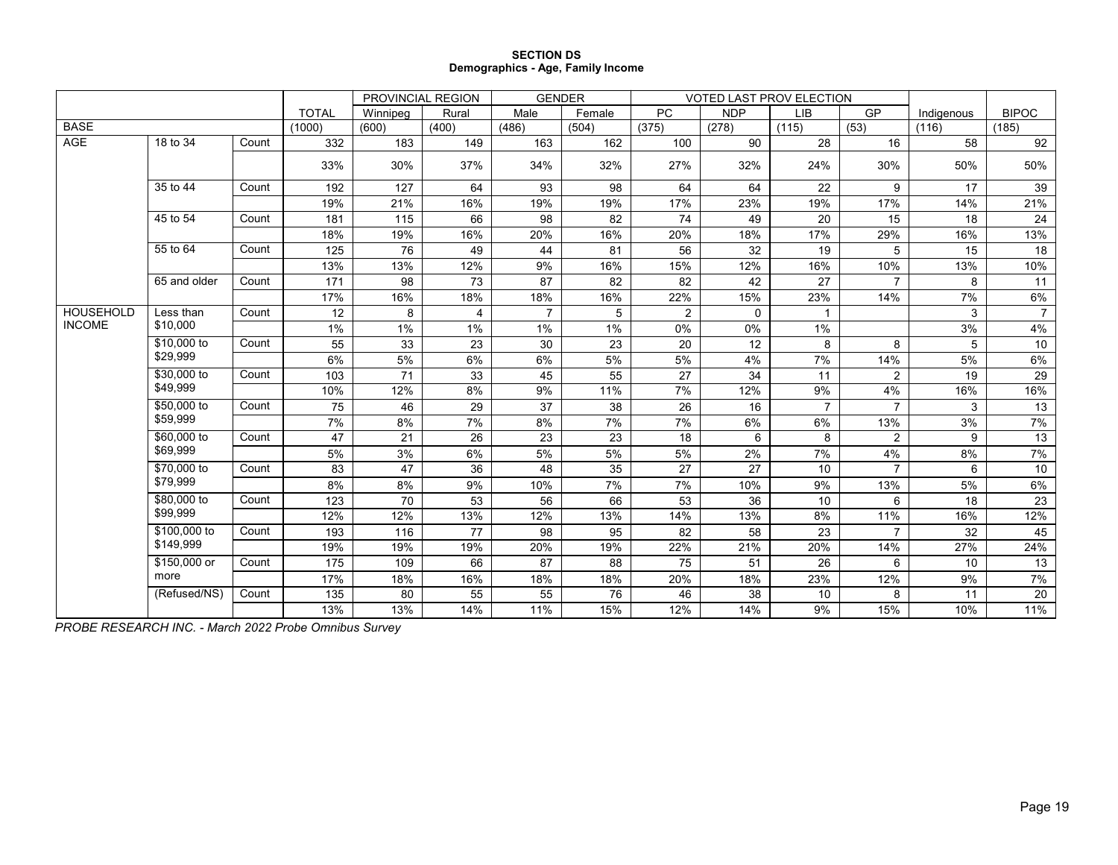### **SECTION DS Demographics - Age, Family Income**

|                  |              |       |              | PROVINCIAL REGION |       | <b>GENDER</b>  |        |           |             | <b>VOTED LAST PROV ELECTION</b> |                |            |                |
|------------------|--------------|-------|--------------|-------------------|-------|----------------|--------|-----------|-------------|---------------------------------|----------------|------------|----------------|
|                  |              |       | <b>TOTAL</b> | Winnipeg          | Rural | Male           | Female | <b>PC</b> | <b>NDP</b>  | <b>LIB</b>                      | <b>GP</b>      | Indigenous | <b>BIPOC</b>   |
| <b>BASE</b>      |              |       | (1000)       | (600)             | (400) | (486)          | (504)  | (375)     | (278)       | (115)                           | (53)           | (116)      | (185)          |
| AGE              | 18 to 34     | Count | 332          | 183               | 149   | 163            | 162    | 100       | 90          | 28                              | 16             | 58         | 92             |
|                  |              |       | 33%          | 30%               | 37%   | 34%            | 32%    | 27%       | 32%         | 24%                             | 30%            | 50%        | 50%            |
|                  | 35 to 44     | Count | 192          | 127               | 64    | 93             | 98     | 64        | 64          | 22                              | 9              | 17         | 39             |
|                  |              |       | 19%          | 21%               | 16%   | 19%            | 19%    | 17%       | 23%         | 19%                             | 17%            | 14%        | 21%            |
|                  | 45 to 54     | Count | 181          | 115               | 66    | 98             | 82     | 74        | 49          | 20                              | 15             | 18         | 24             |
|                  |              |       | 18%          | 19%               | 16%   | 20%            | 16%    | 20%       | 18%         | 17%                             | 29%            | 16%        | 13%            |
|                  | 55 to 64     | Count | 125          | 76                | 49    | 44             | 81     | 56        | 32          | 19                              | 5              | 15         | 18             |
|                  |              |       | 13%          | 13%               | 12%   | 9%             | 16%    | 15%       | 12%         | 16%                             | 10%            | 13%        | 10%            |
|                  | 65 and older | Count | 171          | 98                | 73    | 87             | 82     | 82        | 42          | 27                              |                | 8          | 11             |
|                  |              |       | 17%          | 16%               | 18%   | 18%            | 16%    | 22%       | 15%         | 23%                             | 14%            | 7%         | $6\%$          |
| <b>HOUSEHOLD</b> | Less than    | Count | 12           | 8                 | 4     | $\overline{7}$ | 5      | 2         | $\mathbf 0$ | 1                               |                | 3          | $\overline{7}$ |
| <b>INCOME</b>    | \$10,000     |       | 1%           | 1%                | 1%    | 1%             | 1%     | 0%        | 0%          | 1%                              |                | 3%         | 4%             |
|                  | \$10,000 to  | Count | 55           | 33                | 23    | 30             | 23     | 20        | 12          | 8                               | 8              | 5          | 10             |
|                  | \$29,999     |       | 6%           | 5%                | 6%    | 6%             | 5%     | 5%        | 4%          | 7%                              | 14%            | 5%         | 6%             |
|                  | \$30,000 to  | Count | 103          | 71                | 33    | 45             | 55     | 27        | 34          | 11                              | $\overline{2}$ | 19         | 29             |
|                  | \$49,999     |       | 10%          | 12%               | 8%    | 9%             | 11%    | 7%        | 12%         | 9%                              | 4%             | 16%        | 16%            |
|                  | \$50,000 to  | Count | 75           | 46                | 29    | 37             | 38     | 26        | 16          | $\overline{7}$                  | $\overline{7}$ | 3          | 13             |
|                  | \$59,999     |       | 7%           | 8%                | 7%    | 8%             | 7%     | 7%        | 6%          | 6%                              | 13%            | 3%         | 7%             |
|                  | \$60,000 to  | Count | 47           | 21                | 26    | 23             | 23     | 18        | 6           | 8                               | $\overline{2}$ | 9          | 13             |
|                  | \$69,999     |       | 5%           | 3%                | 6%    | 5%             | 5%     | 5%        | 2%          | 7%                              | 4%             | 8%         | 7%             |
|                  | \$70,000 to  | Count | 83           | 47                | 36    | 48             | 35     | 27        | 27          | 10                              | $\overline{7}$ | 6          | 10             |
|                  | \$79,999     |       | 8%           | 8%                | 9%    | 10%            | 7%     | 7%        | 10%         | 9%                              | 13%            | 5%         | 6%             |
|                  | \$80,000 to  | Count | 123          | 70                | 53    | 56             | 66     | 53        | 36          | 10                              | 6              | 18         | 23             |
|                  | \$99,999     |       | 12%          | 12%               | 13%   | 12%            | 13%    | 14%       | 13%         | 8%                              | 11%            | 16%        | 12%            |
|                  | \$100,000 to | Count | 193          | 116               | 77    | 98             | 95     | 82        | 58          | 23                              | $\overline{7}$ | 32         | 45             |
|                  | \$149,999    |       | 19%          | 19%               | 19%   | 20%            | 19%    | 22%       | 21%         | 20%                             | 14%            | 27%        | 24%            |
|                  | \$150,000 or | Count | 175          | 109               | 66    | 87             | 88     | 75        | 51          | 26                              | 6              | 10         | 13             |
|                  | more         |       | 17%          | 18%               | 16%   | 18%            | 18%    | 20%       | 18%         | 23%                             | 12%            | 9%         | 7%             |
|                  | (Refused/NS) | Count | 135          | 80                | 55    | 55             | 76     | 46        | 38          | 10                              | 8              | 11         | 20             |
|                  |              |       | 13%          | 13%               | 14%   | 11%            | 15%    | 12%       | 14%         | 9%                              | 15%            | 10%        | 11%            |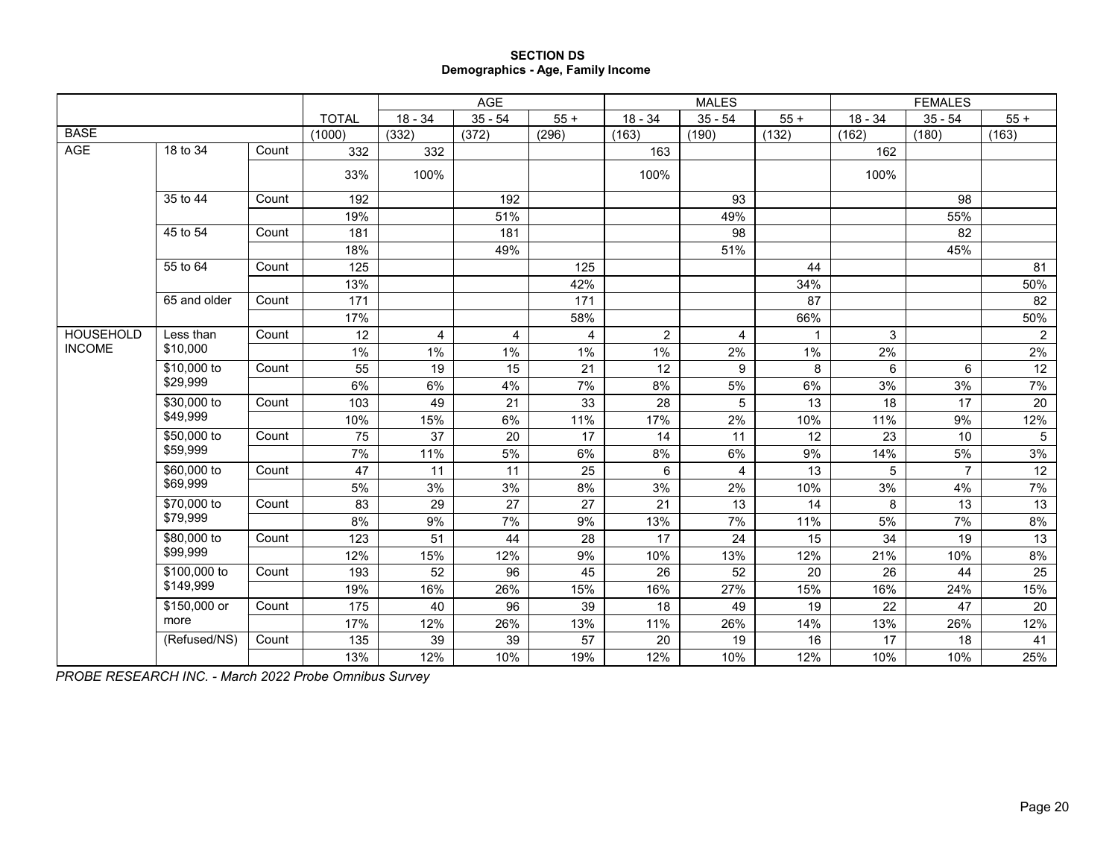## **SECTION DS Demographics - Age, Family Income**

|                  |              |       |              |           | AGE       |        |                | <b>MALES</b>   |             |           | <b>FEMALES</b> |                 |
|------------------|--------------|-------|--------------|-----------|-----------|--------|----------------|----------------|-------------|-----------|----------------|-----------------|
|                  |              |       | <b>TOTAL</b> | $18 - 34$ | $35 - 54$ | $55 +$ | $18 - 34$      | $35 - 54$      | $55 +$      | $18 - 34$ | $35 - 54$      | $55+$           |
| <b>BASE</b>      |              |       | (1000)       | (332)     | (372)     | (296)  | (163)          | (190)          | (132)       | (162)     | (180)          | (163)           |
| <b>AGE</b>       | 18 to 34     | Count | 332          | 332       |           |        | 163            |                |             | 162       |                |                 |
|                  |              |       | 33%          | 100%      |           |        | 100%           |                |             | 100%      |                |                 |
|                  | 35 to 44     | Count | 192          |           | 192       |        |                | 93             |             |           | 98             |                 |
|                  |              |       | 19%          |           | 51%       |        |                | 49%            |             |           | 55%            |                 |
|                  | 45 to 54     | Count | 181          |           | 181       |        |                | 98             |             |           | 82             |                 |
|                  |              |       | 18%          |           | 49%       |        |                | 51%            |             |           | 45%            |                 |
|                  | 55 to 64     | Count | 125          |           |           | 125    |                |                | 44          |           |                | 81              |
|                  |              |       | 13%          |           |           | 42%    |                |                | 34%         |           |                | 50%             |
|                  | 65 and older | Count | 171          |           |           | 171    |                |                | 87          |           |                | 82              |
|                  |              |       | 17%          |           |           | 58%    |                |                | 66%         |           |                | 50%             |
| <b>HOUSEHOLD</b> | Less than    | Count | 12           | 4         | 4         | 4      | $\overline{2}$ | 4              | $\mathbf 1$ | 3         |                | $\overline{2}$  |
| <b>INCOME</b>    | \$10,000     |       | 1%           | $1\%$     | 1%        | 1%     | 1%             | 2%             | $1\%$       | 2%        |                | 2%              |
|                  | \$10,000 to  | Count | 55           | 19        | 15        | 21     | 12             | 9              | 8           | 6         | 6              | 12              |
|                  | \$29,999     |       | 6%           | 6%        | 4%        | 7%     | 8%             | 5%             | 6%          | 3%        | 3%             | 7%              |
|                  | \$30,000 to  | Count | 103          | 49        | 21        | 33     | 28             | 5              | 13          | 18        | 17             | 20              |
|                  | \$49,999     |       | 10%          | 15%       | 6%        | 11%    | 17%            | 2%             | 10%         | 11%       | 9%             | 12%             |
|                  | \$50,000 to  | Count | 75           | 37        | 20        | 17     | 14             | 11             | 12          | 23        | 10             | $5\phantom{.0}$ |
|                  | \$59,999     |       | 7%           | 11%       | 5%        | 6%     | 8%             | 6%             | 9%          | 14%       | 5%             | 3%              |
|                  | \$60,000 to  | Count | 47           | 11        | 11        | 25     | 6              | $\overline{4}$ | 13          | 5         | $\overline{7}$ | 12              |
|                  | \$69,999     |       | 5%           | 3%        | 3%        | 8%     | 3%             | 2%             | 10%         | 3%        | 4%             | 7%              |
|                  | \$70,000 to  | Count | 83           | 29        | 27        | 27     | 21             | 13             | 14          | 8         | 13             | 13              |
|                  | \$79,999     |       | 8%           | 9%        | 7%        | 9%     | 13%            | 7%             | 11%         | 5%        | 7%             | 8%              |
|                  | \$80,000 to  | Count | 123          | 51        | 44        | 28     | 17             | 24             | 15          | 34        | 19             | 13              |
|                  | \$99,999     |       | 12%          | 15%       | 12%       | 9%     | 10%            | 13%            | 12%         | 21%       | 10%            | 8%              |
|                  | \$100,000 to | Count | 193          | 52        | 96        | 45     | 26             | 52             | 20          | 26        | 44             | 25              |
|                  | \$149,999    |       | 19%          | 16%       | 26%       | 15%    | 16%            | 27%            | 15%         | 16%       | 24%            | 15%             |
|                  | \$150,000 or | Count | 175          | 40        | 96        | 39     | 18             | 49             | 19          | 22        | 47             | 20              |
|                  | more         |       | 17%          | 12%       | 26%       | 13%    | 11%            | 26%            | 14%         | 13%       | 26%            | 12%             |
|                  | (Refused/NS) | Count | 135          | 39        | 39        | 57     | 20             | 19             | 16          | 17        | 18             | 41              |
|                  |              |       | 13%          | 12%       | 10%       | 19%    | 12%            | 10%            | 12%         | 10%       | 10%            | 25%             |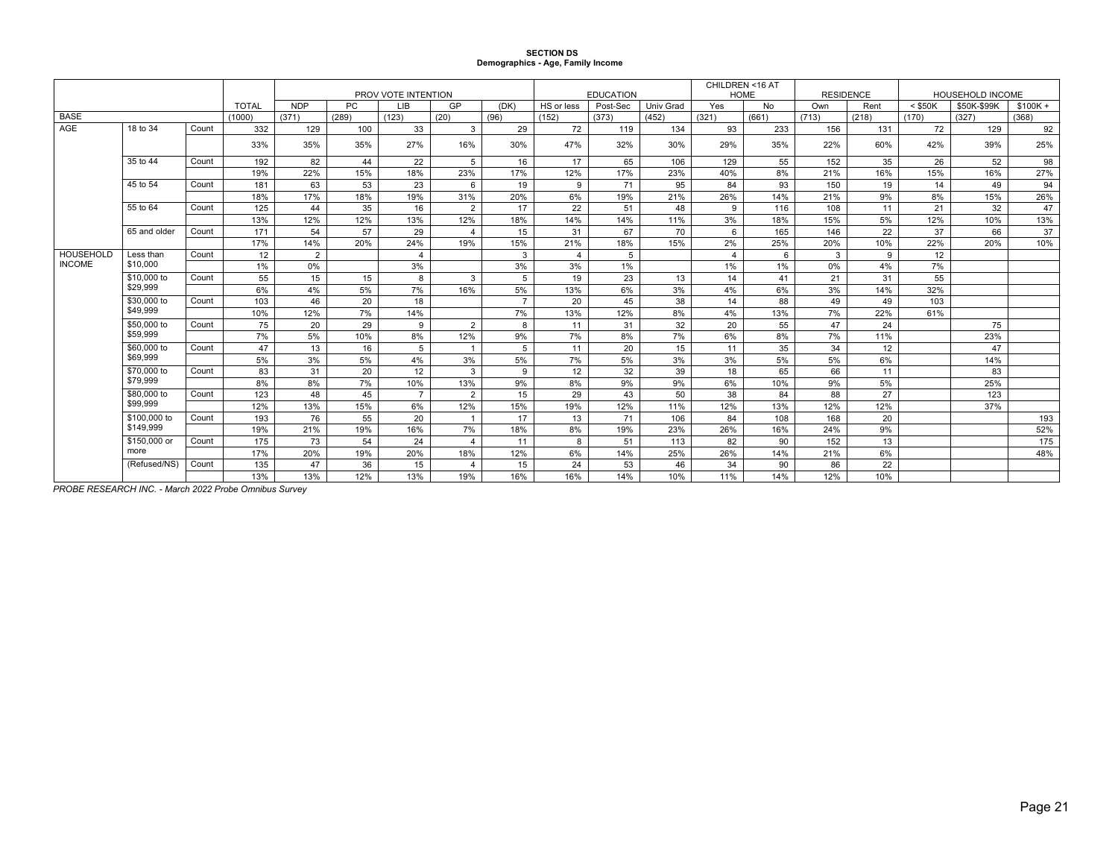# **SECTION DS Demographics - Age, Family Income**

|                  |              |       |              |                |       |                     |                         |                |                         |                  |           | CHILDREN <16 AT |       |                  |       |           |                  |           |
|------------------|--------------|-------|--------------|----------------|-------|---------------------|-------------------------|----------------|-------------------------|------------------|-----------|-----------------|-------|------------------|-------|-----------|------------------|-----------|
|                  |              |       |              |                |       | PROV VOTE INTENTION |                         |                |                         | <b>EDUCATION</b> |           | <b>HOME</b>     |       | <b>RESIDENCE</b> |       |           | HOUSEHOLD INCOME |           |
|                  |              |       | <b>TOTAL</b> | <b>NDP</b>     | PC.   | LIB                 | GP                      | (DK)           | HS or less              | Post-Sec         | Univ Grad | Yes             | No    | Own              | Rent  | $<$ \$50K | \$50K-\$99K      | $$100K +$ |
| <b>BASE</b>      |              |       | (1000)       | (371)          | (289) | (123)               | (20)                    | (96)           | (152)                   | (373)            | (452)     | (321)           | (661) | (713)            | (218) | (170)     | (327)            | (368)     |
| AGE              | 18 to 34     | Count | 332          | 129            | 100   | 33                  | 3                       | 29             | 72                      | 119              | 134       | 93              | 233   | 156              | 131   | 72        | 129              | 92        |
|                  |              |       | 33%          | 35%            | 35%   | 27%                 | 16%                     | 30%            | 47%                     | 32%              | 30%       | 29%             | 35%   | 22%              | 60%   | 42%       | 39%              | 25%       |
|                  | 35 to 44     | Count | 192          | 82             | 44    | 22                  | 5                       | 16             | 17                      | 65               | 106       | 129             | 55    | 152              | 35    | 26        | 52               | 98        |
|                  |              |       | 19%          | 22%            | 15%   | 18%                 | 23%                     | 17%            | 12%                     | 17%              | 23%       | 40%             | 8%    | 21%              | 16%   | 15%       | 16%              | 27%       |
|                  | 45 to 54     | Count | 181          | 63             | 53    | 23                  | 6                       | 19             | 9                       | 71               | 95        | 84              | 93    | 150              | 19    | 14        | 49               | 94        |
|                  |              |       | 18%          | 17%            | 18%   | 19%                 | 31%                     | 20%            | 6%                      | 19%              | 21%       | 26%             | 14%   | 21%              | 9%    | 8%        | 15%              | 26%       |
|                  | 55 to 64     | Count | 125          | 44             | 35    | 16                  | 2                       | 17             | 22                      | 51               | 48        | 9               | 116   | 108              | 11    | 21        | 32               | 47        |
|                  |              |       | 13%          | 12%            | 12%   | 13%                 | 12%                     | 18%            | 14%                     | 14%              | 11%       | 3%              | 18%   | 15%              | 5%    | 12%       | 10%              | 13%       |
|                  | 65 and older | Count | 171          | 54             | 57    | 29                  | $\overline{4}$          | 15             | 31                      | 67               | 70        | 6               | 165   | 146              | 22    | 37        | 66               | 37        |
|                  |              |       | 17%          | 14%            | 20%   | 24%                 | 19%                     | 15%            | 21%                     | 18%              | 15%       | 2%              | 25%   | 20%              | 10%   | 22%       | 20%              | 10%       |
| <b>HOUSEHOLD</b> | Less than    | Count | 12           | $\overline{2}$ |       | $\overline{4}$      |                         | 3              | $\overline{\mathbf{4}}$ | 5                |           | $\overline{4}$  | 6     | 3                | 9     | 12        |                  |           |
| <b>INCOME</b>    | \$10,000     |       | 1%           | 0%             |       | 3%                  |                         | 3%             | 3%                      | $1\%$            |           | 1%              | $1\%$ | $0\%$            | 4%    | 7%        |                  |           |
|                  | \$10,000 to  | Count | 55           | 15             | 15    | 8                   | 3                       | 5              | 19                      | 23               | 13        | 14              | 41    | 21               | 31    | 55        |                  |           |
|                  | \$29,999     |       | 6%           | 4%             | 5%    | 7%                  | 16%                     | 5%             | 13%                     | 6%               | 3%        | 4%              | 6%    | 3%               | 14%   | 32%       |                  |           |
|                  | \$30,000 to  | Count | 103          | 46             | 20    | 18                  |                         | $\overline{7}$ | 20                      | 45               | 38        | 14              | 88    | 49               | 49    | 103       |                  |           |
|                  | \$49.999     |       | 10%          | 12%            | 7%    | 14%                 |                         | 7%             | 13%                     | 12%              | 8%        | 4%              | 13%   | 7%               | 22%   | 61%       |                  |           |
|                  | \$50,000 to  | Count | 75           | 20             | 29    | 9                   | 2                       | 8              | 11                      | 31               | 32        | 20              | 55    | 47               | 24    |           | 75               |           |
|                  | \$59,999     |       | 7%           | 5%             | 10%   | 8%                  | 12%                     | 9%             | 7%                      | 8%               | 7%        | 6%              | 8%    | 7%               | 11%   |           | 23%              |           |
|                  | \$60,000 to  | Count | 47           | 13             | 16    | 5                   | $\overline{1}$          | 5              | 11                      | 20               | 15        | 11              | 35    | 34               | 12    |           | 47               |           |
|                  | \$69,999     |       | 5%           | 3%             | 5%    | 4%                  | 3%                      | 5%             | 7%                      | 5%               | 3%        | 3%              | 5%    | 5%               | 6%    |           | 14%              |           |
|                  | \$70,000 to  | Count | 83           | 31             | 20    | 12                  | 3                       | 9              | 12                      | 32               | 39        | 18              | 65    | 66               | 11    |           | 83               |           |
|                  | \$79,999     |       | 8%           | 8%             | 7%    | 10%                 | 13%                     | 9%             | 8%                      | 9%               | 9%        | 6%              | 10%   | 9%               | 5%    |           | 25%              |           |
|                  | \$80,000 to  | Count | 123          | 48             | 45    | $\overline{7}$      | $\overline{2}$          | 15             | 29                      | 43               | 50        | 38              | 84    | 88               | 27    |           | 123              |           |
|                  | \$99,999     |       | 12%          | 13%            | 15%   | 6%                  | 12%                     | 15%            | 19%                     | 12%              | 11%       | 12%             | 13%   | 12%              | 12%   |           | 37%              |           |
|                  | \$100,000 to | Count | 193          | 76             | 55    | 20                  | $\overline{1}$          | 17             | 13                      | 71               | 106       | 84              | 108   | 168              | 20    |           |                  | 193       |
|                  | \$149,999    |       | 19%          | 21%            | 19%   | 16%                 | 7%                      | 18%            | 8%                      | 19%              | 23%       | 26%             | 16%   | 24%              | 9%    |           |                  | 52%       |
|                  | \$150,000 or | Count | 175          | 73             | 54    | 24                  | $\overline{4}$          | 11             | 8                       | 51               | 113       | 82              | 90    | 152              | 13    |           |                  | 175       |
|                  | more         |       | 17%          | 20%            | 19%   | 20%                 | 18%                     | 12%            | 6%                      | 14%              | 25%       | 26%             | 14%   | 21%              | 6%    |           |                  | 48%       |
|                  | (Refused/NS) | Count | 135          | 47             | 36    | 15                  | $\overline{\mathbf{4}}$ | 15             | 24                      | 53               | 46        | 34              | 90    | 86               | 22    |           |                  |           |
|                  |              |       | 13%          | 13%            | 12%   | 13%                 | 19%                     | 16%            | 16%                     | 14%              | 10%       | 11%             | 14%   | 12%              | 10%   |           |                  |           |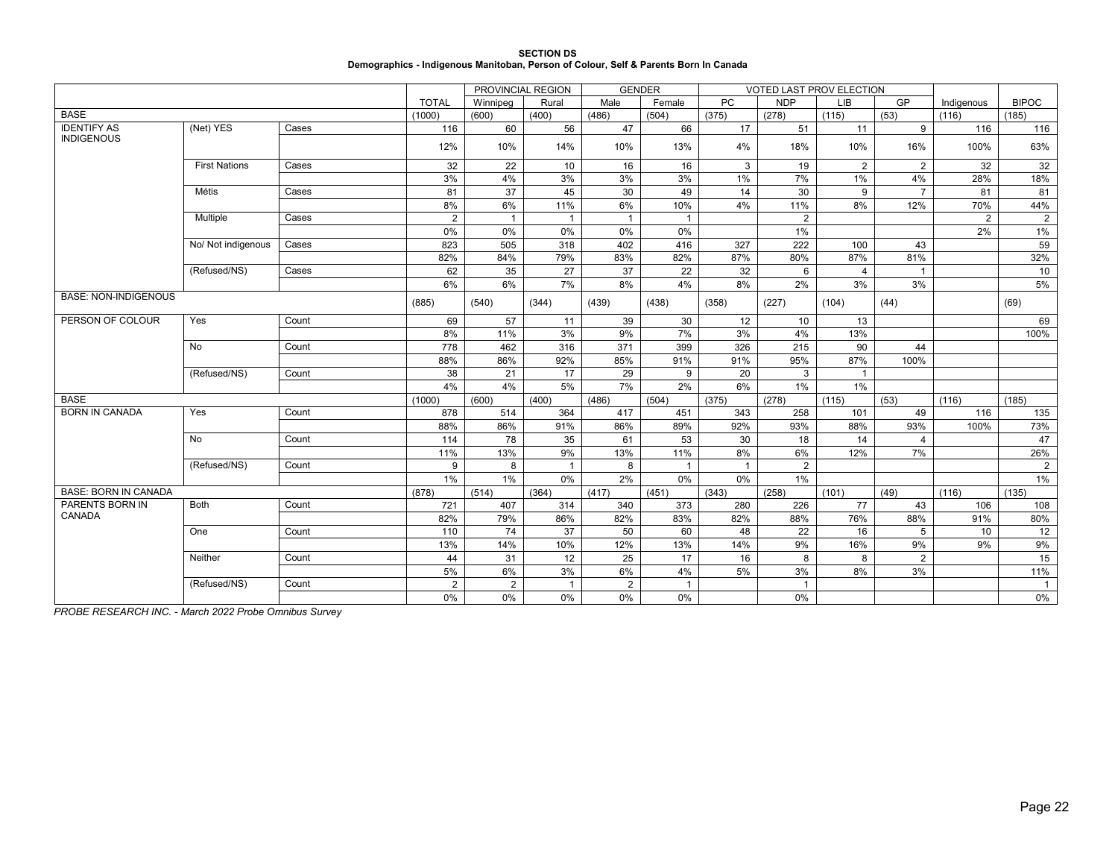**SECTION DS Demographics - Indigenous Manitoban, Person of Colour, Self & Parents Born In Canada**

|                             |                      |       |                | PROVINCIAL REGION |                | <b>GENDER</b> |                |                 | VOTED LAST PROV ELECTION |                |                |                |                 |
|-----------------------------|----------------------|-------|----------------|-------------------|----------------|---------------|----------------|-----------------|--------------------------|----------------|----------------|----------------|-----------------|
|                             |                      |       | <b>TOTAL</b>   | Winnipeg          | Rural          | Male          | Female         | <b>PC</b>       | <b>NDP</b>               | <b>LIB</b>     | GP             | Indigenous     | <b>BIPOC</b>    |
| <b>BASE</b>                 |                      |       | (1000)         | (600)             | (400)          | (486)         | (504)          | (375)           | (278)                    | (115)          | (53)           | (116)          | (185)           |
| <b>IDENTIFY AS</b>          | (Net) YES            | Cases | 116            | 60                | 56             | 47            | 66             | $\overline{17}$ | 51                       | 11             | 9              | 116            | 116             |
| <b>INDIGENOUS</b>           |                      |       | 12%            | 10%               | 14%            | 10%           | 13%            | 4%              | 18%                      | 10%            | 16%            | 100%           | 63%             |
|                             | <b>First Nations</b> | Cases | 32             | 22                | 10             | 16            | 16             | 3               | 19                       | $\overline{2}$ | $\overline{2}$ | 32             | 32              |
|                             |                      |       | 3%             | 4%                | 3%             | 3%            | 3%             | 1%              | 7%                       | 1%             | 4%             | 28%            | 18%             |
|                             | Métis                | Cases | 81             | 37                | 45             | 30            | 49             | 14              | 30                       | 9              | $\overline{7}$ | 81             | 81              |
|                             |                      |       | 8%             | 6%                | 11%            | 6%            | 10%            | 4%              | 11%                      | 8%             | 12%            | 70%            | 44%             |
|                             | Multiple             | Cases | $\overline{2}$ | $\mathbf{1}$      | $\mathbf{1}$   | $\mathbf 1$   | $\overline{1}$ |                 | $\overline{2}$           |                |                | $\overline{2}$ | $\overline{2}$  |
|                             |                      |       | 0%             | 0%                | 0%             | 0%            | 0%             |                 | 1%                       |                |                | 2%             | $1\%$           |
|                             | No/ Not indigenous   | Cases | 823            | 505               | 318            | 402           | 416            | 327             | 222                      | 100            | 43             |                | $\overline{59}$ |
|                             |                      |       | 82%            | 84%               | 79%            | 83%           | 82%            | 87%             | 80%                      | 87%            | 81%            |                | 32%             |
|                             | (Refused/NS)         | Cases | 62             | 35                | 27             | 37            | 22             | 32              | 6                        | $\overline{4}$ | $\mathbf{1}$   |                | 10              |
|                             |                      |       | 6%             | 6%                | 7%             | 8%            | 4%             | 8%              | 2%                       | 3%             | 3%             |                | 5%              |
| <b>BASE: NON-INDIGENOUS</b> |                      |       | (885)          | (540)             | (344)          | (439)         | (438)          | (358)           | (227)                    | (104)          | (44)           |                | (69)            |
| PERSON OF COLOUR            | Yes                  | Count | 69             | 57                | 11             | 39            | 30             | 12              | 10                       | 13             |                |                | 69              |
|                             |                      |       | 8%             | 11%               | 3%             | 9%            | 7%             | 3%              | 4%                       | 13%            |                |                | 100%            |
|                             | No                   | Count | 778            | 462               | 316            | 371           | 399            | 326             | 215                      | 90             | 44             |                |                 |
|                             |                      |       | 88%            | 86%               | 92%            | 85%           | 91%            | 91%             | 95%                      | 87%            | 100%           |                |                 |
|                             | (Refused/NS)         | Count | 38             | 21                | 17             | 29            | 9              | 20              | 3                        | $\mathbf{1}$   |                |                |                 |
|                             |                      |       | 4%             | 4%                | 5%             | 7%            | 2%             | 6%              | $1\%$                    | $1\%$          |                |                |                 |
| <b>BASE</b>                 |                      |       | (1000)         | (600)             | (400)          | (486)         | (504)          | (375)           | (278)                    | (115)          | (53)           | (116)          | (185)           |
| <b>BORN IN CANADA</b>       | Yes                  | Count | 878            | 514               | 364            | 417           | 451            | 343             | 258                      | 101            | 49             | 116            | 135             |
|                             |                      |       | 88%            | 86%               | 91%            | 86%           | 89%            | 92%             | 93%                      | 88%            | 93%            | 100%           | 73%             |
|                             | No                   | Count | 114            | 78                | 35             | 61            | 53             | 30              | 18                       | 14             | $\overline{4}$ |                | 47              |
|                             |                      |       | 11%            | 13%               | 9%             | 13%           | 11%            | 8%              | 6%                       | 12%            | 7%             |                | 26%             |
|                             | (Refused/NS)         | Count | 9              | 8                 | $\overline{1}$ | 8             | $\mathbf{1}$   | $\overline{1}$  | $\overline{2}$           |                |                |                | $\overline{2}$  |
|                             |                      |       | 1%             | $1\%$             | 0%             | $2\%$         | $0\%$          | 0%              | $1\%$                    |                |                |                | $1\%$           |
| <b>BASE: BORN IN CANADA</b> |                      |       | (878)          | (514)             | (364)          | (417)         | (451)          | (343)           | (258)                    | (101)          | (49)           | (116)          | (135)           |
| PARENTS BORN IN             | <b>Both</b>          | Count | 721            | 407               | 314            | 340           | 373            | 280             | 226                      | 77             | 43             | 106            | 108             |
| CANADA                      |                      |       | 82%            | 79%               | 86%            | 82%           | 83%            | 82%             | 88%                      | 76%            | 88%            | 91%            | 80%             |
|                             | One                  | Count | 110            | 74                | 37             | 50            | 60             | 48              | 22                       | 16             | 5              | 10             | 12              |
|                             |                      |       | 13%            | 14%               | 10%            | 12%           | 13%            | 14%             | 9%                       | 16%            | 9%             | 9%             | $9\%$           |
|                             | Neither              | Count | 44             | 31                | 12             | 25            | 17             | 16              | 8                        | 8              | 2              |                | 15              |
|                             |                      |       | 5%             | 6%                | 3%             | 6%            | 4%             | 5%              | 3%                       | 8%             | 3%             |                | 11%             |
|                             | (Refused/NS)         | Count | $\overline{2}$ | 2                 | $\mathbf{1}$   | 2             | $\mathbf{1}$   |                 |                          |                |                |                | $\overline{1}$  |
|                             |                      |       | 0%             | $0\%$             | 0%             | $0\%$         | $0\%$          |                 | 0%                       |                |                |                | 0%              |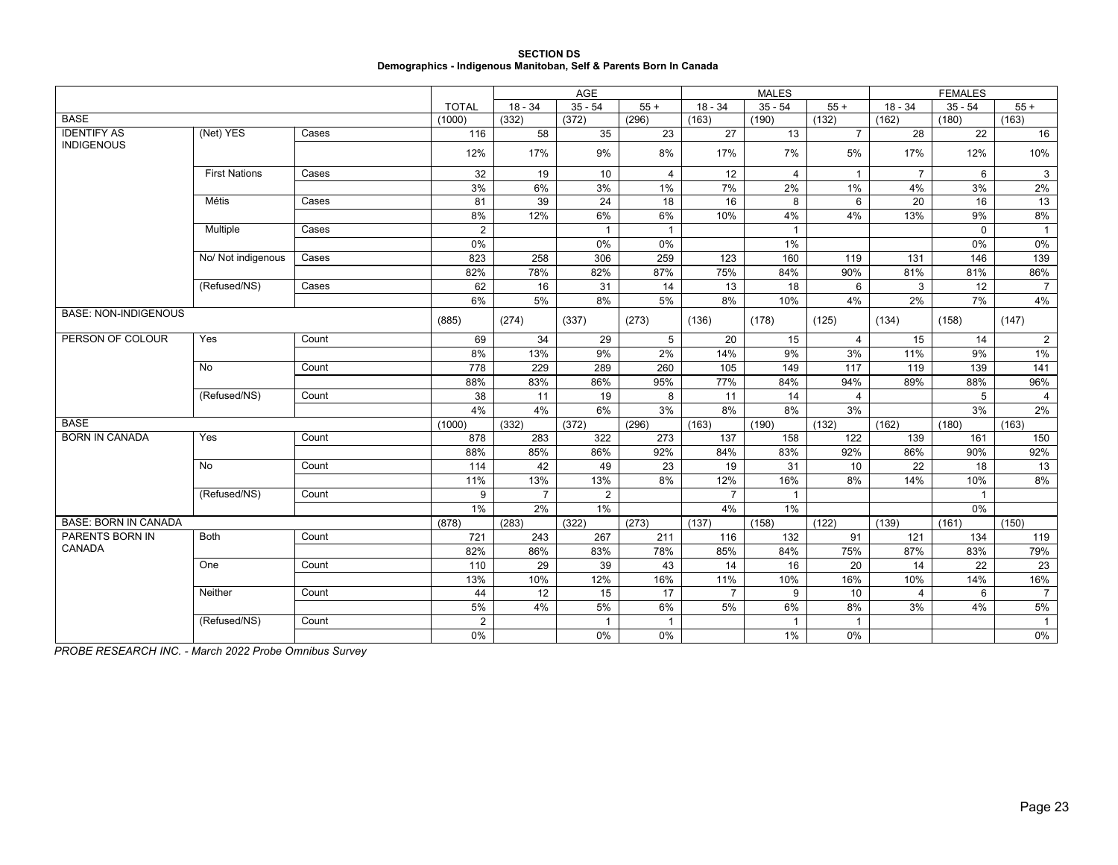| <b>SECTION DS</b>                                                  |
|--------------------------------------------------------------------|
| Demographics - Indigenous Manitoban, Self & Parents Born In Canada |

|                             |                      |       |                 |                | AGE            |                |                | <b>MALES</b>   |                |                |              |                |
|-----------------------------|----------------------|-------|-----------------|----------------|----------------|----------------|----------------|----------------|----------------|----------------|--------------|----------------|
|                             |                      |       | <b>TOTAL</b>    | $18 - 34$      | $35 - 54$      | $55+$          | $18 - 34$      | $35 - 54$      | $55+$          | $18 - 34$      | $35 - 54$    | $55+$          |
| <b>BASE</b>                 |                      |       | (1000)          | (332)          | (372)          | (296)          | (163)          | (190)          | (132)          | (162)          | (180)        | (163)          |
| <b>IDENTIFY AS</b>          | (Net) YES            | Cases | 116             | 58             | 35             | 23             | 27             | 13             | $\overline{7}$ | 28             | 22           | 16             |
| <b>INDIGENOUS</b>           |                      |       | 12%             | 17%            | 9%             | 8%             | 17%            | 7%             | 5%             | 17%            | 12%          | 10%            |
|                             | <b>First Nations</b> | Cases | $\overline{32}$ | 19             | 10             | $\overline{4}$ | 12             | $\overline{4}$ | $\mathbf{1}$   | $\overline{7}$ | 6            | $\mathbf{3}$   |
|                             |                      |       | 3%              | 6%             | 3%             | 1%             | 7%             | 2%             | 1%             | 4%             | 3%           | 2%             |
|                             | <b>Métis</b>         | Cases | 81              | 39             | 24             | 18             | 16             | 8              | 6              | 20             | 16           | 13             |
|                             |                      |       | 8%              | 12%            | 6%             | 6%             | 10%            | 4%             | 4%             | 13%            | 9%           | 8%             |
|                             | Multiple             | Cases | 2               |                | $\overline{1}$ | $\overline{1}$ |                | $\overline{1}$ |                |                | $\Omega$     | $\overline{1}$ |
|                             |                      |       | 0%              |                | 0%             | 0%             |                | $1\%$          |                |                | 0%           | $0\%$          |
|                             | No/ Not indigenous   | Cases | 823             | 258            | 306            | 259            | 123            | 160            | 119            | 131            | 146          | 139            |
|                             |                      |       | 82%             | 78%            | 82%            | 87%            | 75%            | 84%            | 90%            | 81%            | 81%          | 86%            |
|                             | (Refused/NS)         | Cases | 62              | 16             | 31             | 14             | 13             | 18             | 6              | 3              | 12           | $\overline{7}$ |
|                             |                      |       | 6%              | 5%             | 8%             | 5%             | 8%             | 10%            | 4%             | 2%             | 7%           | 4%             |
| <b>BASE: NON-INDIGENOUS</b> |                      |       | (885)           | (274)          | (337)          | (273)          | (136)          | (178)          | (125)          | (134)          | (158)        | (147)          |
| PERSON OF COLOUR            | Yes                  | Count | 69              | 34             | 29             | 5              | 20             | 15             | 4              | 15             | 14           | $\overline{2}$ |
|                             |                      |       | 8%              | 13%            | 9%             | 2%             | 14%            | 9%             | 3%             | 11%            | 9%           | $1\%$          |
|                             | No                   | Count | 778             | 229            | 289            | 260            | 105            | 149            | 117            | 119            | 139          | 141            |
|                             |                      |       | 88%             | 83%            | 86%            | 95%            | 77%            | 84%            | 94%            | 89%            | 88%          | 96%            |
|                             | (Refused/NS)         | Count | 38              | 11             | 19             | 8              | 11             | 14             | $\overline{4}$ |                | 5            | $\overline{4}$ |
|                             |                      |       | 4%              | 4%             | 6%             | 3%             | 8%             | 8%             | 3%             |                | 3%           | 2%             |
| <b>BASE</b>                 |                      |       | (1000)          | (332)          | (372)          | (296)          | (163)          | (190)          | (132)          | (162)          | (180)        | (163)          |
| <b>BORN IN CANADA</b>       | Yes                  | Count | 878             | 283            | 322            | 273            | 137            | 158            | 122            | 139            | 161          | 150            |
|                             |                      |       | 88%             | 85%            | 86%            | 92%            | 84%            | 83%            | 92%            | 86%            | 90%          | 92%            |
|                             | No                   | Count | 114             | 42             | 49             | 23             | 19             | 31             | 10             | 22             | 18           | 13             |
|                             |                      |       | 11%             | 13%            | 13%            | 8%             | 12%            | 16%            | 8%             | 14%            | 10%          | 8%             |
|                             | (Refused/NS)         | Count | 9               | $\overline{7}$ | 2              |                | $\overline{7}$ | $\overline{1}$ |                |                | $\mathbf{1}$ |                |
|                             |                      |       | 1%              | 2%             | $1\%$          |                | 4%             | $1\%$          |                |                | 0%           |                |
| <b>BASE: BORN IN CANADA</b> |                      |       | (878)           | (283)          | (322)          | (273)          | (137)          | (158)          | (122)          | (139)          | (161)        | (150)          |
| PARENTS BORN IN             | <b>Both</b>          | Count | 721             | 243            | 267            | 211            | 116            | 132            | 91             | 121            | 134          | 119            |
| CANADA                      |                      |       | 82%             | 86%            | 83%            | 78%            | 85%            | 84%            | 75%            | 87%            | 83%          | 79%            |
|                             | One                  | Count | 110             | 29             | 39             | 43             | 14             | 16             | 20             | 14             | 22           | 23             |
|                             |                      |       | 13%             | 10%            | 12%            | 16%            | 11%            | 10%            | 16%            | 10%            | 14%          | 16%            |
|                             | Neither              | Count | 44              | 12             | 15             | 17             | $\overline{7}$ | 9              | 10             | 4              | 6            | $\overline{7}$ |
|                             |                      |       | 5%              | 4%             | 5%             | 6%             | 5%             | 6%             | 8%             | 3%             | 4%           | 5%             |
|                             | (Refused/NS)         | Count | $\overline{2}$  |                | $\mathbf{1}$   | $\mathbf{1}$   |                | $\overline{1}$ | $\mathbf{1}$   |                |              | $\overline{1}$ |
|                             |                      |       | $0\%$           |                | $0\%$          | 0%             |                | $1\%$          | 0%             |                |              | 0%             |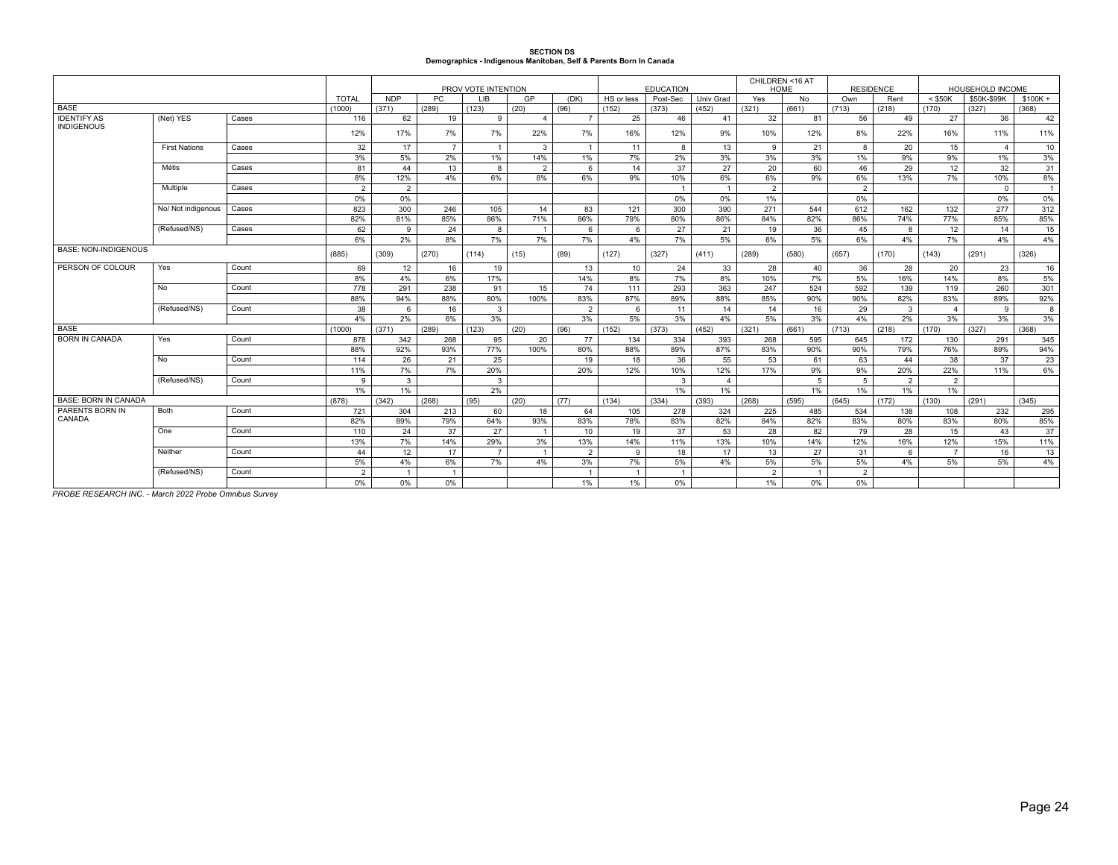# **SECTION DS Demographics - Indigenous Manitoban, Self & Parents Born In Canada**

|                                         |                      |       |                | PROV VOTE INTENTION |                |                |                |                  |                |                  |                | CHILDREN <16 AT<br>HOME |                | <b>RESIDENCE</b> |                | HOUSEHOLD INCOME |                |                |
|-----------------------------------------|----------------------|-------|----------------|---------------------|----------------|----------------|----------------|------------------|----------------|------------------|----------------|-------------------------|----------------|------------------|----------------|------------------|----------------|----------------|
|                                         |                      |       |                |                     |                |                |                |                  |                | <b>EDUCATION</b> |                |                         |                |                  |                |                  |                |                |
|                                         |                      |       | <b>TOTAL</b>   | <b>NDP</b>          | PC.            | <b>LIB</b>     | GP             | (DK)             | HS or less     | Post-Sec         | Univ Grad      | Yes                     | No.            | Own              | Rent           | $<$ \$50K        | \$50K-\$99K    | $$100K +$      |
| <b>BASE</b>                             |                      |       | (1000)         | (371)               | (289)          | (123)          | (20)           | (96)             | (152)          | (373)            | (452)          | (321)                   | (661)          | (713)            | (218)          | (170)            | (327)          | (368)          |
| <b>IDENTIFY AS</b><br><b>INDIGENOUS</b> | (Net) YES            | Cases | 116            | 62                  | 19             | 9              | $\mathbf{A}$   | $\overline{7}$   | 25             | 46               | 41             | 32                      | 81             | 56               | 49             | 27               | 36             | 42             |
|                                         |                      |       | 12%            | 17%                 | 7%             | 7%             | 22%            | 7%               | 16%            | 12%              | 9%             | 10%                     | 12%            | 8%               | 22%            | 16%              | 11%            | 11%            |
|                                         | <b>First Nations</b> | Cases | 32             | 17                  | $\overline{7}$ | $\overline{1}$ | $\mathbf{3}$   | $\mathbf{1}$     | 11             | 8                | 13             | 9                       | 21             | 8                | 20             | 15               | $\overline{a}$ | 10             |
|                                         |                      |       | 3%             | 5%                  | 2%             | $1\%$          | 14%            | 1%               | 7%             | 2%               | 3%             | 3%                      | 3%             | 1%               | 9%             | 9%               | $1\%$          | 3%             |
|                                         | Métis                | Cases | 81             | 44                  | 13             | 8              | $\overline{2}$ | 6                | 14             | 37               | 27             | 20                      | 60             | 46               | 29             | 12               | 32             | 31             |
|                                         |                      |       | 8%             | 12%                 | 4%             | 6%             | 8%             | 6%               | 9%             | 10%              | 6%             | 6%                      | 9%             | 6%               | 13%            | 7%               | 10%            | 8%             |
|                                         | Multiple             | Cases | $\overline{2}$ | $\overline{2}$      |                |                |                |                  |                | $\overline{1}$   | $-1$           | $\overline{2}$          |                | 2                |                |                  | $\Omega$       | $\overline{1}$ |
|                                         |                      |       | 0%             | 0%                  |                |                |                |                  |                | 0%               | 0%             | 1%                      |                | 0%               |                |                  | 0%             | 0%             |
|                                         | No/ Not indigenous   | Cases | 823            | 300                 | 246            | 105            | 14             | 83               | 121            | 300              | 390            | 271                     | 544            | 612              | 162            | 132              | 277            | 312            |
|                                         |                      |       | 82%            | 81%                 | 85%            | 86%            | 71%            | 86%              | 79%            | 80%              | 86%            | 84%                     | 82%            | 86%              | 74%            | 77%              | 85%            | 85%            |
|                                         | (Refused/NS)         | Cases | 62             | 9                   | 24             | 8              | $\overline{1}$ | 6                | 6              | 27               | 21             | 19                      | 36             | 45               | -8             | 12               | 14             | 15             |
|                                         |                      |       | 6%             | 2%                  | 8%             | 7%             | 7%             | 7%               | 4%             | 7%               | 5%             | 6%                      | 5%             | 6%               | 4%             | 7%               | 4%             | 4%             |
| BASE: NON-INDIGENOUS                    |                      |       | (885)          | (309)               | (270)          | (114)          | (15)           | (89)             | (127)          | (327)            | (411)          | (289)                   | (580)          | (657)            | (170)          | (143)            | (291)          | (326)          |
| PERSON OF COLOUR                        | Yes                  | Count | 69             | 12                  | 16             | 19             |                | 13               | 10             | 24               | 33             | 28                      | 40             | 36               | 28             | 20               | 23             | 16             |
|                                         |                      |       | 8%             | 4%                  | 6%             | 17%            |                | 14%              | 8%             | 7%               | 8%             | 10%                     | 7%             | 5%               | 16%            | 14%              | 8%             | 5%             |
|                                         | No                   | Count | 778            | 291                 | 238            | 91             | 15             | 74               | 111            | 293              | 363            | 247                     | 524            | 592              | 139            | 119              | 260            | 301            |
|                                         |                      |       | 88%            | 94%                 | 88%            | 80%            | 100%           | 83%              | 87%            | 89%              | 88%            | 85%                     | 90%            | 90%              | 82%            | 83%              | 89%            | 92%            |
|                                         | (Refused/NS)         | Count | 38             | 6                   | 16             | 3              |                | $\overline{2}$   | 6              | 11               | 14             | 14                      | 16             | 29               | $\mathbf{3}$   | $\mathbf{A}$     | 9              | 8              |
|                                         |                      |       | 4%             | 2%                  | 6%             | 3%             |                | 3%               | 5%             | 3%               | 4%             | 5%                      | 3%             | 4%               | 2%             | 3%               | 3%             | 3%             |
| <b>BASE</b>                             |                      |       | (1000)         | (371)               | (289)          | (123)          | (20)           | (96)             | (152)          | (373)            | (452)          | (321)                   | (661)          | (713)            | (218)          | (170)            | (327)          | (368)          |
| <b>BORN IN CANADA</b>                   | Yes                  | Count | 878            | 342                 | 268            | 95             | 20             | 77               | 134            | 334              | 393            | 268                     | 595            | 645              | 172            | 130              | 291            | 345            |
|                                         |                      |       | 88%            | 92%                 | 93%            | 77%            | 100%           | 80%              | 88%            | 89%              | 87%            | 83%                     | 90%            | 90%              | 79%            | 76%              | 89%            | 94%            |
|                                         | No.                  | Count | 114            | 26                  | 21             | 25             |                | 19               | 18             | 36               | 55             | 53                      | 61             | 63               | 44             | 38               | 37             | 23             |
|                                         |                      |       | 11%            | 7%                  | 7%             | 20%            |                | 20%              | 12%            | 10%              | 12%            | 17%                     | 9%             | 9%               | 20%            | 22%              | 11%            | 6%             |
|                                         | (Refused/NS)         | Count | 9              | $\mathbf{3}$        |                | 3              |                |                  |                | $\mathbf{3}$     | $\overline{4}$ |                         | 5              | $5^{\circ}$      | $\overline{2}$ | $\overline{2}$   |                |                |
|                                         |                      |       | $1\%$          | 1%                  |                | 2%             |                |                  |                | $1\%$            | 1%             |                         | $1\%$          | $1\%$            | 1%             | 1%               |                |                |
| <b>BASE: BORN IN CANADA</b>             |                      |       | (878)          | (342)               | (268)          | (95)           | (20)           | (77)             | (134)          | (334)            | (393)          | (268)                   | (595)          | (645)            | (172)          | (130)            | (291)          | (345)          |
| <b>PARENTS BORN IN</b>                  | <b>Both</b>          | Count | 721            | 304                 | 213            | 60             | 18             | 64               | 105            | 278              | 324            | 225                     | 485            | 534              | 138            | 108              | 232            | 295            |
| CANADA                                  |                      |       | 82%            | 89%                 | 79%            | 64%            | 93%            | 83%              | 78%            | 83%              | 82%            | 84%                     | 82%            | 83%              | 80%            | 83%              | 80%            | 85%            |
|                                         | One                  | Count | 110            | 24                  | 37             | 27             | $\overline{1}$ | 10 <sup>10</sup> | 19             | 37               | 53             | 28                      | 82             | 79               | 28             | 15               | 43             | 37             |
|                                         |                      |       | 13%            | 7%                  | 14%            | 29%            | 3%             | 13%              | 14%            | 11%              | 13%            | 10%                     | 14%            | 12%              | 16%            | 12%              | 15%            | 11%            |
|                                         | Neither              | Count | 44             | 12                  | 17             | $\overline{7}$ | $\overline{1}$ | $\overline{2}$   | 9              | 18               | 17             | 13                      | 27             | 31               | -6             | $\overline{7}$   | 16             | 13             |
|                                         |                      |       | 5%             | 4%                  | 6%             | 7%             | 4%             | 3%               | 7%             | 5%               | 4%             | 5%                      | 5%             | 5%               | 4%             | 5%               | 5%             | 4%             |
|                                         | (Refused/NS)         | Count | $\overline{2}$ | $\overline{1}$      | $\overline{1}$ |                |                | $\overline{1}$   | $\overline{1}$ | $\overline{1}$   |                | $\overline{2}$          | $\overline{1}$ | $\overline{2}$   |                |                  |                |                |
|                                         |                      |       | $0\%$          | 0%                  | 0%             |                |                | 1%               | 1%             | 0%               |                | 1%                      | 0%             | 0%               |                |                  |                |                |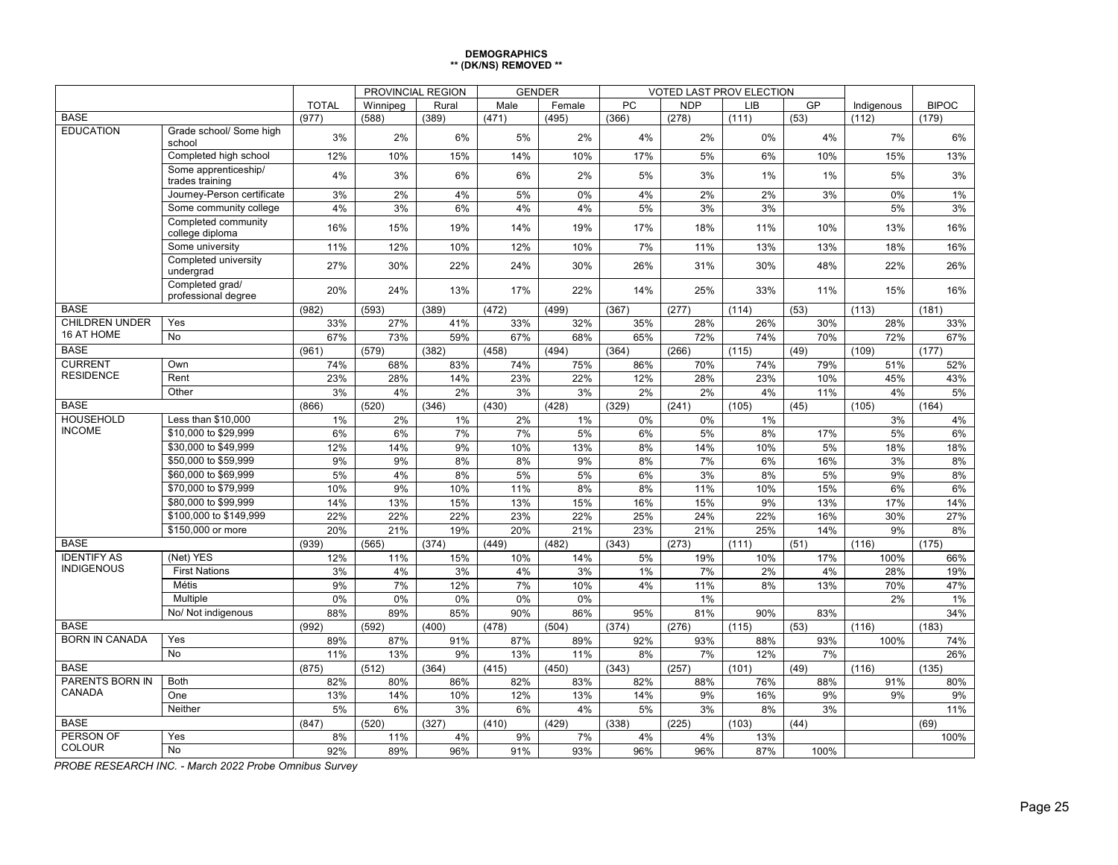| <b>DEMOGRAPHICS</b>   |  |
|-----------------------|--|
| ** (DK/NS) REMOVED ** |  |

|                                         |                                         | PROVINCIAL REGION |          |       | <b>GENDER</b> |        | VOTED LAST PROV ELECTION |            |            |           |            |              |
|-----------------------------------------|-----------------------------------------|-------------------|----------|-------|---------------|--------|--------------------------|------------|------------|-----------|------------|--------------|
|                                         |                                         | <b>TOTAL</b>      | Winnipeg | Rural | Male          | Female | PC                       | <b>NDP</b> | <b>LIB</b> | GP        | Indigenous | <b>BIPOC</b> |
| <b>BASE</b>                             |                                         | (977)             | (588)    | (389) | (471)         | (495)  | (366)                    | (278)      | (111)      | (53)      | (112)      | (179)        |
| <b>EDUCATION</b>                        | Grade school/ Some high<br>school       | 3%                | 2%       | 6%    | 5%            | 2%     | 4%                       | 2%         | 0%         | 4%        | 7%         | 6%           |
|                                         | Completed high school                   | 12%               | 10%      | 15%   | 14%           | 10%    | 17%                      | 5%         | 6%         | 10%       | 15%        | 13%          |
|                                         | Some apprenticeship/<br>trades training | 4%                | 3%       | 6%    | 6%            | 2%     | 5%                       | 3%         | 1%         | 1%        | 5%         | 3%           |
|                                         | Journey-Person certificate              | 3%                | 2%       | 4%    | 5%            | 0%     | 4%                       | 2%         | 2%         | 3%        | 0%         | 1%           |
|                                         | Some community college                  | 4%                | 3%       | 6%    | 4%            | 4%     | 5%                       | 3%         | 3%         |           | 5%         | 3%           |
|                                         | Completed community<br>college diploma  | 16%               | 15%      | 19%   | 14%           | 19%    | 17%                      | 18%        | 11%        | 10%       | 13%        | 16%          |
|                                         | Some university                         | 11%               | 12%      | 10%   | 12%           | 10%    | 7%                       | 11%        | 13%        | 13%       | 18%        | 16%          |
|                                         | Completed university<br>undergrad       | 27%               | 30%      | 22%   | 24%           | 30%    | 26%                      | 31%        | 30%        | 48%       | 22%        | 26%          |
|                                         | Completed grad/<br>professional degree  | 20%               | 24%      | 13%   | 17%           | 22%    | 14%                      | 25%        | 33%        | 11%       | 15%        | 16%          |
| <b>BASE</b>                             |                                         | (982)             | (593)    | (389) | (472)         | (499)  | (367)                    | (277)      | (114)      | (53)      | (113)      | (181)        |
| <b>CHILDREN UNDER</b>                   | Yes                                     | 33%               | 27%      | 41%   | 33%           | 32%    | 35%                      | 28%        | 26%        | 30%       | 28%        | 33%          |
| 16 AT HOME                              | N <sub>o</sub>                          | 67%               | 73%      | 59%   | 67%           | 68%    | 65%                      | 72%        | 74%        | 70%       | 72%        | 67%          |
| <b>BASE</b>                             |                                         | (961)             | (579)    | (382) | (458)         | (494)  | (364)                    | (266)      | (115)      | (49)      | (109)      | (177)        |
| <b>CURRENT</b>                          | Own                                     | 74%               | 68%      | 83%   | 74%           | 75%    | 86%                      | 70%        | 74%        | 79%       | 51%        | 52%          |
| <b>RESIDENCE</b>                        | Rent                                    | 23%               | 28%      | 14%   | 23%           | 22%    | 12%                      | 28%        | 23%        | 10%       | 45%        | 43%          |
|                                         | Other                                   | 3%                | 4%       | 2%    | 3%            | 3%     | 2%                       | 2%         | 4%         | 11%       | 4%         | 5%           |
| <b>BASE</b>                             |                                         | (866)             | (520)    | (346) | (430)         | (428)  | (329)                    | (241)      | (105)      | (45)      | (105)      | (164)        |
| <b>HOUSEHOLD</b>                        | Less than \$10,000                      | 1%                | 2%       | 1%    | 2%            | 1%     | 0%                       | 0%         | 1%         |           | 3%         | 4%           |
| <b>INCOME</b>                           | \$10,000 to \$29.999                    | 6%                | 6%       | 7%    | 7%            | 5%     | 6%                       | 5%         | 8%         | 17%       | 5%         | 6%           |
|                                         | \$30,000 to \$49.999                    | 12%               | 14%      | 9%    | 10%           | 13%    | 8%                       | 14%        | 10%        | 5%        | 18%        | 18%          |
|                                         | \$50,000 to \$59,999                    | 9%                | 9%       | 8%    | 8%            | 9%     | 8%                       | 7%         | 6%         | 16%       | 3%         | 8%           |
|                                         | \$60,000 to \$69,999                    | 5%                | 4%       | 8%    | 5%            | 5%     | 6%                       | 3%         | 8%         | 5%        | 9%         | 8%           |
|                                         | \$70,000 to \$79,999                    | 10%               | 9%       | 10%   | 11%           | 8%     | 8%                       | 11%        | 10%        | 15%       | 6%         | 6%           |
|                                         | \$80,000 to \$99,999                    | 14%               | 13%      | 15%   | 13%           | 15%    | 16%                      | 15%        | 9%         | 13%       | 17%        | 14%          |
|                                         | \$100,000 to \$149,999                  | 22%               | 22%      | 22%   | 23%           | 22%    | 25%                      | 24%        | 22%        | 16%       | 30%        | 27%          |
|                                         | \$150,000 or more                       | 20%               | 21%      | 19%   | 20%           | 21%    | 23%                      | 21%        | 25%        | 14%       | 9%         | 8%           |
| <b>BASE</b>                             |                                         | (939)             | (565)    | (374) | (449)         | (482)  | (343)                    | (273)      | (111)      | (51)      | (116)      | (175)        |
| <b>IDENTIFY AS</b><br><b>INDIGENOUS</b> | (Net) YES                               | 12%               | 11%      | 15%   | 10%           | 14%    | 5%                       | 19%        | 10%        | 17%       | 100%       | 66%          |
|                                         | <b>First Nations</b>                    | 3%                | 4%       | 3%    | 4%            | 3%     | 1%                       | 7%         | 2%         | 4%        | 28%        | 19%          |
|                                         | Métis                                   | 9%                | 7%       | 12%   | 7%            | 10%    | 4%                       | 11%        | 8%         | 13%       | 70%        | 47%          |
|                                         | Multiple                                | 0%                | 0%       | 0%    | 0%            | 0%     |                          | 1%         |            |           | 2%         | 1%           |
|                                         | No/ Not indigenous                      | 88%               | 89%      | 85%   | 90%           | 86%    | 95%                      | 81%        | 90%        | 83%       |            | 34%          |
| <b>BASE</b><br><b>BORN IN CANADA</b>    |                                         | (992)             | (592)    | (400) | (478)         | (504)  | (374)                    | (276)      | (115)      | (53)      | (116)      | (183)        |
|                                         | Yes<br><b>No</b>                        | 89%               | 87%      | 91%   | 87%           | 89%    | 92%                      | 93%        | 88%        | 93%       | 100%       | 74%          |
|                                         |                                         | 11%               | 13%      | 9%    | 13%           | 11%    | 8%                       | 7%         | 12%        | 7%        |            | 26%          |
| <b>BASE</b><br><b>PARENTS BORN IN</b>   | <b>Both</b>                             | (875)             | (512)    | (364) | (415)         | (450)  | (343)                    | (257)      | (101)      | (49)      | (116)      | (135)        |
| CANADA                                  | One                                     | 82%               | 80%      | 86%   | 82%           | 83%    | 82%                      | 88%<br>9%  | 76%        | 88%<br>9% | 91%        | 80%          |
|                                         |                                         | 13%               | 14%      | 10%   | 12%           | 13%    | 14%                      |            | 16%        |           | 9%         | 9%           |
| Neither<br><b>BASE</b>                  |                                         | 5%                | 6%       | 3%    | 6%            | 4%     | 5%                       | 3%         | 8%         | 3%        |            | 11%          |
| <b>PERSON OF</b>                        | Yes                                     | (847)             | (520)    | (327) | (410)         | (429)  | (338)                    | (225)      | (103)      | (44)      |            | (69)         |
| COLOUR                                  | No                                      | 8%                | 11%      | 4%    | 9%            | 7%     | 4%                       | 4%         | 13%        |           |            | 100%         |
|                                         |                                         | 92%               | 89%      | 96%   | 91%           | 93%    | 96%                      | 96%        | 87%        | 100%      |            |              |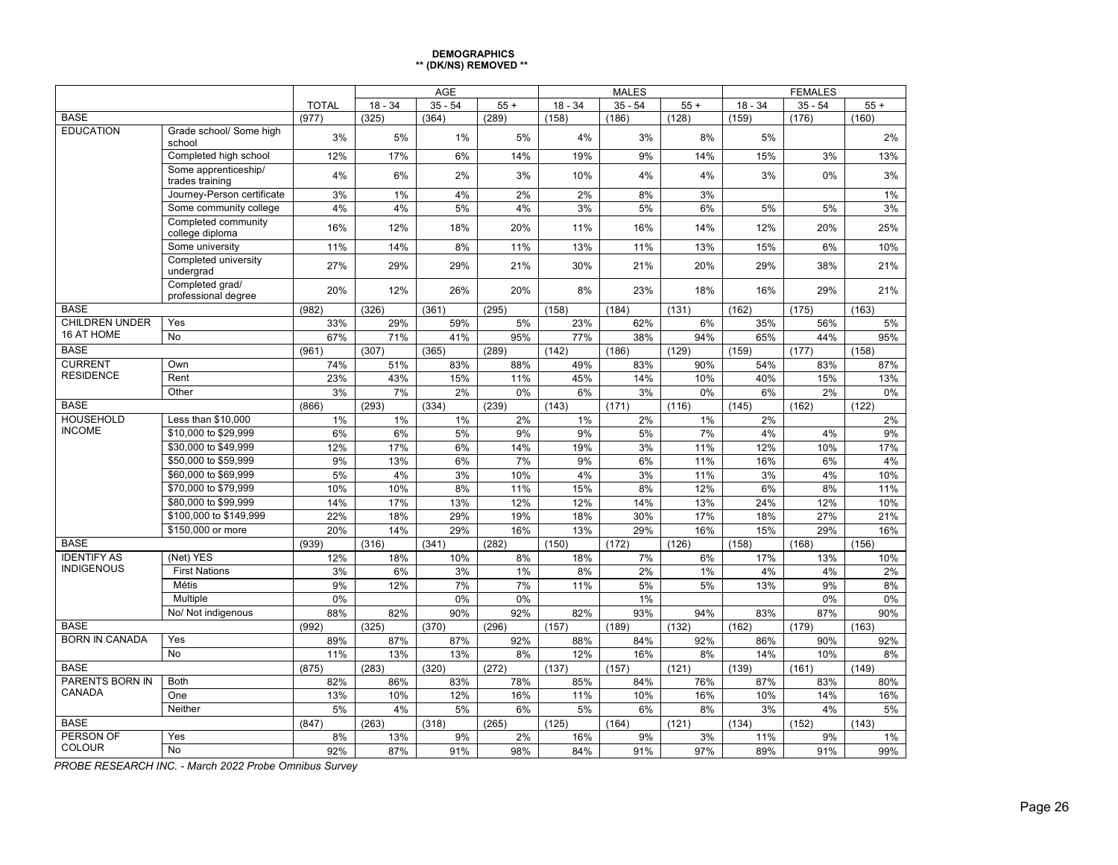#### **DEMOGRAPHICS \*\* (DK/NS) REMOVED \*\***

|                                   |                                             |              | <b>AGE</b>   |              |             |              | <b>MALES</b> |             | <b>FEMALES</b> |              |              |  |
|-----------------------------------|---------------------------------------------|--------------|--------------|--------------|-------------|--------------|--------------|-------------|----------------|--------------|--------------|--|
|                                   |                                             | <b>TOTAL</b> | $18 - 34$    | $35 - 54$    | $55+$       | $18 - 34$    | $35 - 54$    | $55 +$      | $18 - 34$      | $35 - 54$    | $55+$        |  |
| <b>BASE</b>                       |                                             | (977)        | (325)        | (364)        | (289)       | (158)        | (186)        | (128)       | (159)          | (176)        | (160)        |  |
| <b>EDUCATION</b>                  | Grade school/ Some high<br>school           | 3%           | 5%           | 1%           | 5%          | 4%           | 3%           | 8%          | 5%             |              | 2%           |  |
|                                   | Completed high school                       | 12%          | 17%          | 6%           | 14%         | 19%          | 9%           | 14%         | 15%            | 3%           | 13%          |  |
|                                   | Some apprenticeship/<br>trades training     | 4%           | 6%           | 2%           | 3%          | 10%          | 4%           | 4%          | 3%             | 0%           | 3%           |  |
|                                   | Journey-Person certificate                  | 3%           | 1%           | 4%           | 2%          | 2%           | 8%           | 3%          |                |              | 1%           |  |
|                                   | Some community college                      | 4%           | 4%           | 5%           | 4%          | 3%           | 5%           | 6%          | 5%             | 5%           | 3%           |  |
|                                   | Completed community<br>college diploma      | 16%          | 12%          | 18%          | 20%         | 11%          | 16%          | 14%         | 12%            | 20%          | 25%          |  |
|                                   | Some university                             | 11%          | 14%          | 8%           | 11%         | 13%          | 11%          | 13%         | 15%            | 6%           | 10%          |  |
|                                   | Completed university<br>undergrad           | 27%          | 29%          | 29%          | 21%         | 30%          | 21%          | 20%         | 29%            | 38%          | 21%          |  |
|                                   | Completed grad/<br>professional degree      | 20%          | 12%          | 26%          | 20%         | 8%           | 23%          | 18%         | 16%            | 29%          | 21%          |  |
| <b>BASE</b>                       |                                             | (982)        | (326)        | (361)        | (295)       | (158)        | (184)        | (131)       | (162)          | (175)        | (163)        |  |
| <b>CHILDREN UNDER</b>             | Yes                                         | 33%          | 29%          | 59%          | 5%          | 23%          | 62%          | 6%          | 35%            | 56%          | 5%           |  |
| 16 AT HOME                        | No                                          | 67%          | 71%          | 41%          | 95%         | 77%          | 38%          | 94%         | 65%            | 44%          | 95%          |  |
| <b>BASE</b>                       |                                             | (961)        | (307)        | (365)        | (289)       | (142)        | (186)        | (129)       | (159)          | (177)        | (158)        |  |
| <b>CURRENT</b>                    | Own                                         | 74%          | 51%          | 83%          | 88%         | 49%          | 83%          | 90%         | 54%            | 83%          | 87%          |  |
| <b>RESIDENCE</b>                  | Rent                                        | 23%          | 43%          | 15%          | 11%         | 45%          | 14%          | 10%         | 40%            | 15%          | 13%          |  |
|                                   | Other                                       | 3%           | 7%           | 2%           | 0%          | 6%           | 3%           | $0\%$       | 6%             | 2%           | 0%           |  |
| <b>BASE</b>                       |                                             | (866)        | (293)        | (334)        | (239)       | (143)        | (171)        | (116)       | (145)          | (162)        | (122)        |  |
| <b>HOUSEHOLD</b><br><b>INCOME</b> | Less than \$10,000                          | 1%           | 1%           | 1%           | 2%          | 1%           | 2%           | 1%          | 2%             |              | 2%           |  |
|                                   | \$10,000 to \$29,999                        | 6%           | 6%           | 5%           | 9%          | 9%           | 5%           | 7%          | 4%             | 4%           | 9%           |  |
|                                   | \$30,000 to \$49.999                        | 12%          | 17%          | 6%           | 14%         | 19%          | 3%           | 11%         | 12%            | 10%          | 17%          |  |
|                                   | \$50,000 to \$59.999                        | 9%           | 13%          | 6%           | 7%          | 9%           | 6%           | 11%         | 16%            | 6%           | 4%           |  |
|                                   | \$60,000 to \$69,999                        | 5%           | 4%           | 3%           | 10%         | 4%           | 3%           | 11%         | 3%             | 4%           | 10%          |  |
|                                   | \$70,000 to \$79,999                        | 10%          | 10%          | 8%           | 11%         | 15%          | 8%           | 12%         | 6%             | 8%           | 11%          |  |
|                                   | \$80,000 to \$99,999                        | 14%          | 17%          | 13%          | 12%         | 12%          | 14%          | 13%         | 24%            | 12%          | 10%          |  |
|                                   | \$100,000 to \$149,999<br>\$150,000 or more | 22%          | 18%          | 29%<br>29%   | 19%         | 18%          | 30%          | 17%         | 18%            | 27%          | 21%          |  |
| <b>BASE</b>                       |                                             | 20%          | 14%          |              | 16%         | 13%          | 29%          | 16%         | 15%            | 29%          | 16%          |  |
| <b>IDENTIFY AS</b>                | (Net) YES                                   | (939)<br>12% | (316)<br>18% | (341)<br>10% | (282)<br>8% | (150)<br>18% | (172)<br>7%  | (126)<br>6% | (158)<br>17%   | (168)<br>13% | (156)<br>10% |  |
| <b>INDIGENOUS</b>                 | <b>First Nations</b>                        | 3%           | 6%           | 3%           | 1%          | 8%           | 2%           | 1%          | 4%             | 4%           | 2%           |  |
|                                   | Métis                                       | 9%           | 12%          | 7%           | 7%          | 11%          | 5%           | 5%          | 13%            | 9%           | 8%           |  |
|                                   | Multiple                                    | 0%           |              | 0%           | 0%          |              | 1%           |             |                | 0%           | 0%           |  |
|                                   | No/ Not indigenous                          | 88%          | 82%          | 90%          | 92%         | 82%          | 93%          | 94%         | 83%            | 87%          | 90%          |  |
| <b>BASE</b>                       |                                             | (992)        | (325)        | (370)        | (296)       | (157)        | (189)        | (132)       | (162)          | (179)        | (163)        |  |
| <b>BORN IN CANADA</b>             | Yes                                         | 89%          | 87%          | 87%          | 92%         | 88%          | 84%          | 92%         | 86%            | 90%          | 92%          |  |
|                                   | $\overline{No}$                             | 11%          | 13%          | 13%          | 8%          | 12%          | 16%          | 8%          | 14%            | 10%          | 8%           |  |
| <b>BASE</b>                       |                                             | (875)        | (283)        | (320)        | (272)       | (137)        | (157)        | (121)       | (139)          | (161)        | (149)        |  |
| <b>PARENTS BORN IN</b>            | <b>Both</b>                                 | 82%          | 86%          | 83%          | 78%         | 85%          | 84%          | 76%         | 87%            | 83%          | 80%          |  |
| CANADA                            | One                                         | 13%          | 10%          | 12%          | 16%         | 11%          | 10%          | 16%         | 10%            | 14%          | 16%          |  |
|                                   | Neither                                     | 5%           | 4%           | 5%           | 6%          | 5%           | 6%           | 8%          | 3%             | 4%           | 5%           |  |
| <b>BASE</b>                       |                                             | (847)        | (263)        | (318)        | (265)       | (125)        | (164)        | (121)       | (134)          | (152)        | (143)        |  |
| PERSON OF                         | Yes                                         | 8%           | 13%          | 9%           | 2%          | 16%          | 9%           | 3%          | 11%            | 9%           | 1%           |  |
| COLOUR                            | No                                          | 92%          | 87%          | 91%          | 98%         | 84%          | 91%          | 97%         | 89%            | 91%          | 99%          |  |
|                                   |                                             |              |              |              |             |              |              |             |                |              |              |  |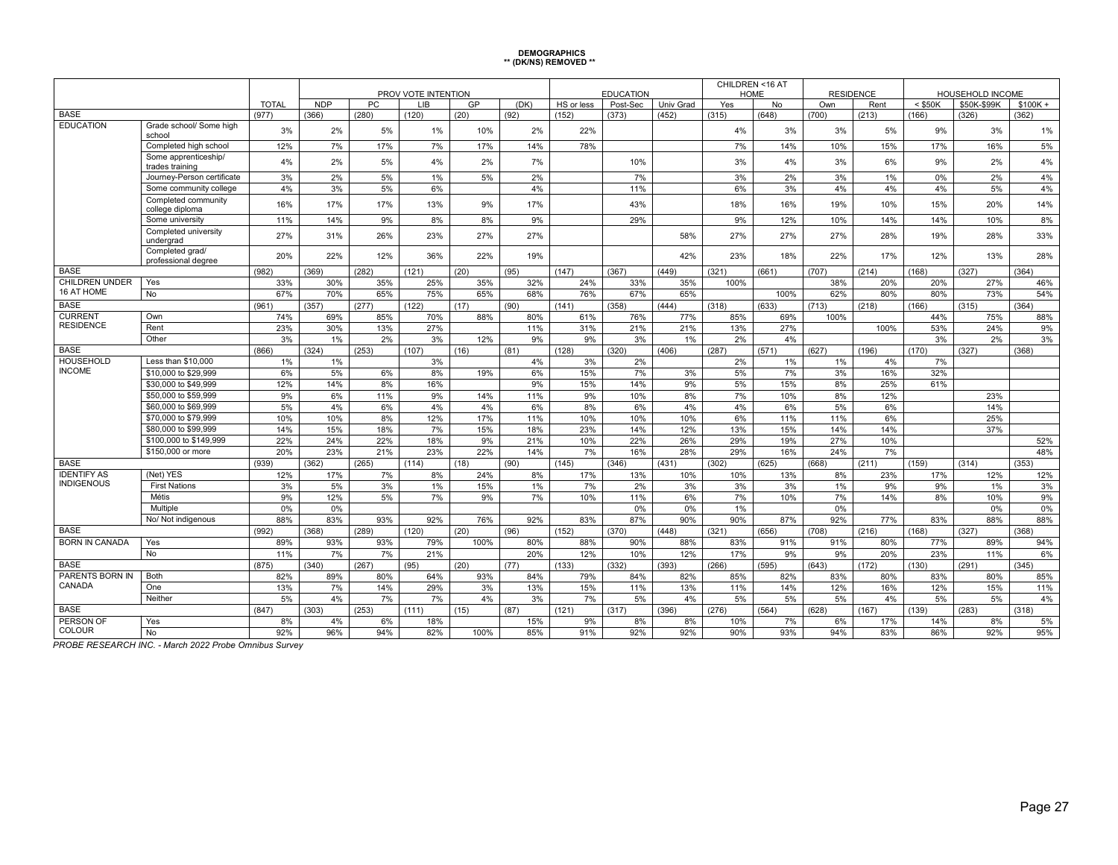# **DEMOGRAPHICS \*\* (DK/NS) REMOVED \*\***

|                                   |                                              | PROV VOTE INTENTION |            |              |              |           |            |             | <b>EDUCATION</b> |            |            | CHILDREN <16 AT<br><b>HOME</b> | <b>RESIDENCE</b> |           | <b>HOUSEHOLD INCOME</b> |             |              |
|-----------------------------------|----------------------------------------------|---------------------|------------|--------------|--------------|-----------|------------|-------------|------------------|------------|------------|--------------------------------|------------------|-----------|-------------------------|-------------|--------------|
|                                   |                                              | <b>TOTAL</b>        | <b>NDP</b> | <b>PC</b>    | LIB          | GP        | (DK)       | HS or less  | Post-Sec         | Univ Grad  | Yes        | No                             | Own              | Rent      | $<$ \$50K               | \$50K-\$99K | $$100K +$    |
| <b>BASE</b>                       |                                              | (977)               | (366)      | (280)        | (120)        | (20)      | (92)       | (152)       | (373)            | (452)      | (315)      | (648)                          | (700)            | (213)     | (166)                   | (326)       | (362)        |
| <b>EDUCATION</b>                  | Grade school/ Some high<br>school            | 3%                  | 2%         | 5%           | 1%           | 10%       | 2%         | 22%         |                  |            | 4%         | 3%                             | 3%               | 5%        | 9%                      | 3%          | 1%           |
|                                   | Completed high school                        | 12%                 | 7%         | 17%          | 7%           | 17%       | 14%        | 78%         |                  |            | 7%         | 14%                            | 10%              | 15%       | 17%                     | 16%         | 5%           |
|                                   | Some apprenticeship/<br>trades training      | 4%                  | 2%         | 5%           | 4%           | 2%        | 7%         |             | 10%              |            | 3%         | 4%                             | 3%               | 6%        | 9%                      | 2%          | 4%           |
|                                   | Journey-Person certificate                   | 3%                  | 2%         | 5%           | 1%           | 5%        | 2%         |             | 7%               |            | 3%         | 2%                             | 3%               | 1%        | 0%                      | 2%          | 4%           |
|                                   | Some community college                       | 4%                  | 3%         | 5%           | 6%           |           | 4%         |             | 11%              |            | 6%         | 3%                             | 4%               | 4%        | 4%                      | 5%          | 4%           |
|                                   | Completed community<br>college diploma       | 16%                 | 17%        | 17%          | 13%          | 9%        | 17%        |             | 43%              |            | 18%        | 16%                            | 19%              | 10%       | 15%                     | 20%         | 14%          |
|                                   | Some university                              | 11%                 | 14%        | 9%           | 8%           | 8%        | 9%         |             | 29%              |            | 9%         | 12%                            | 10%              | 14%       | 14%                     | 10%         | 8%           |
|                                   | Completed university<br>undergrad            | 27%                 | 31%        | 26%          | 23%          | 27%       | 27%        |             |                  | 58%        | 27%        | 27%                            | 27%              | 28%       | 19%                     | 28%         | 33%          |
|                                   | Completed grad/<br>professional degree       | 20%                 | 22%        | 12%          | 36%          | 22%       | 19%        |             |                  | 42%        | 23%        | 18%                            | 22%              | 17%       | 12%                     | 13%         | 28%          |
| <b>BASE</b>                       |                                              | (982)               | (369)      | (282)        | (121)        | (20)      | (95)       | (147)       | (367)            | (449)      | (321)      | (661)                          | (707)            | (214)     | (168)                   | (327)       | (364)        |
| <b>CHILDREN UNDER</b>             | Yes                                          | 33%                 | 30%        | 35%          | 25%          | 35%       | 32%        | 24%         | 33%              | 35%        | 100%       |                                | 38%              | 20%       | 20%                     | 27%         | 46%          |
| 16 AT HOME                        | No                                           | 67%                 | 70%        | 65%          | 75%          | 65%       | 68%        | 76%         | 67%              | 65%        |            | 100%                           | 62%              | 80%       | 80%                     | 73%         | 54%          |
| <b>BASE</b>                       |                                              | (961)               | (357)      | (277)        | (122)        | (17)      | (90)       | (141)       | (358)            | (444)      | (318)      | (633)                          | (713)            | (218)     | (166)                   | (315)       | (364)        |
| <b>CURRENT</b>                    | Own                                          | 74%                 | 69%        | 85%          | 70%          | 88%       | 80%        | 61%         | 76%              | 77%        | 85%        | 69%                            | 100%             |           | 44%                     | 75%         | 88%          |
| <b>RESIDENCE</b>                  | Rent                                         | 23%                 | 30%        | 13%          | 27%          |           | 11%        | 31%         | 21%              | 21%        | 13%        | 27%                            |                  | 100%      | 53%                     | 24%         | 9%           |
|                                   | Other                                        | 3%                  | $1\%$      | 2%           | 3%           | 12%       | 9%         | 9%          | 3%               | 1%         | 2%         | 4%                             |                  |           | 3%                      | 2%          | 3%           |
| <b>BASE</b>                       |                                              | (866)               | (324)      | (253)        | (107)        | (16)      | (81)       | (128)       | (320)            | (406)      | (287)      | (571)                          | (627)            | (196)     | (170)                   | (327)       | (368)        |
| <b>HOUSEHOLD</b><br><b>INCOME</b> | Less than \$10,000                           | 1%                  | $1\%$      |              | 3%           |           | 4%         | 3%          | 2%               |            | 2%         | 1%                             | 1%               | 4%        | 7%                      |             |              |
|                                   | \$10,000 to \$29,999                         | 6%                  | 5%         | 6%           | 8%           | 19%       | 6%         | 15%         | 7%               | 3%         | 5%         | 7%                             | 3%               | 16%       | 32%                     |             |              |
|                                   | \$30,000 to \$49,999                         | 12%                 | 14%        | 8%           | 16%          |           | 9%         | 15%         | 14%              | 9%         | 5%         | 15%                            | 8%               | 25%       | 61%                     |             |              |
|                                   | \$50,000 to \$59,999                         | 9%                  | 6%         | 11%          | 9%           | 14%       | 11%        | 9%          | 10%              | 8%         | 7%         | 10%                            | 8%               | 12%       |                         | 23%         |              |
|                                   | \$60,000 to \$69,999                         | 5%                  | 4%         | 6%           | 4%           | 4%        | 6%         | 8%          | 6%               | 4%         | 4%         | 6%                             | 5%               | 6%        |                         | 14%         |              |
|                                   | \$70,000 to \$79,999<br>\$80,000 to \$99,999 | 10%                 | 10%        | 8%           | 12%          | 17%       | 11%<br>18% | 10%         | 10%              | 10%        | 6%         | 11%                            | 11%<br>14%       | 6%        |                         | 25%<br>37%  |              |
|                                   | \$100,000 to \$149,999                       | 14%                 | 15%        | 18%          | 7%           | 15%       |            | 23%         | 14%              | 12%        | 13%        | 15%                            | 27%              | 14%       |                         |             |              |
|                                   | \$150,000 or more                            | 22%                 | 24%<br>23% | 22%          | 18%          | 9%<br>22% | 21%<br>14% | 10%         | 22%<br>16%       | 26%<br>28% | 29%<br>29% | 19%<br>16%                     | 24%              | 10%<br>7% |                         |             | 52%          |
| <b>BASE</b>                       |                                              | 20%<br>(939)        | (362)      | 21%<br>(265) | 23%<br>(114) | (18)      | (90)       | 7%<br>(145) | (346)            | (431)      | (302)      | (625)                          | (668)            | (211)     | (159)                   | (314)       | 48%<br>(353) |
| <b>IDENTIFY AS</b>                | (Net) YES                                    | 12%                 | 17%        | 7%           | 8%           | 24%       | 8%         | 17%         | 13%              | 10%        | 10%        | 13%                            | 8%               | 23%       | 17%                     | 12%         | 12%          |
| <b>INDIGENOUS</b>                 | <b>First Nations</b>                         | 3%                  | 5%         | 3%           | 1%           | 15%       | $1\%$      | 7%          | 2%               | 3%         | 3%         | 3%                             | 1%               | 9%        | 9%                      | $1\%$       | 3%           |
|                                   | Métis                                        | 9%                  | 12%        | 5%           | 7%           | 9%        | 7%         | 10%         | 11%              | 6%         | 7%         | 10%                            | 7%               | 14%       | 8%                      | 10%         | 9%           |
|                                   | Multiple                                     | 0%                  | 0%         |              |              |           |            |             | 0%               | 0%         | 1%         |                                | 0%               |           |                         | 0%          | 0%           |
|                                   | No/ Not indigenous                           | 88%                 | 83%        | 93%          | 92%          | 76%       | 92%        | 83%         | 87%              | 90%        | 90%        | 87%                            | 92%              | 77%       | 83%                     | 88%         | 88%          |
| <b>BASE</b>                       |                                              | (992)               | (368)      | (289)        | (120)        | (20)      | (96)       | (152)       | (370)            | (448)      | (321)      | (656)                          | (708)            | (216)     | (168)                   | (327)       | (368)        |
| <b>BORN IN CANADA</b>             | Yes                                          | 89%                 | 93%        | 93%          | 79%          | 100%      | 80%        | 88%         | 90%              | 88%        | 83%        | 91%                            | 91%              | 80%       | 77%                     | 89%         | 94%          |
|                                   | No                                           | 11%                 | 7%         | 7%           | 21%          |           | 20%        | 12%         | 10%              | 12%        | 17%        | 9%                             | 9%               | 20%       | 23%                     | 11%         | 6%           |
| <b>BASE</b>                       |                                              | (875)               | (340)      | (267)        | (95)         | (20)      | (77)       | (133)       | (332)            | (393)      | (266)      | (595)                          | (643)            | (172)     | (130)                   | (291)       | (345)        |
| PARENTS BORN IN                   | Both                                         | 82%                 | 89%        | 80%          | 64%          | 93%       | 84%        | 79%         | 84%              | 82%        | 85%        | 82%                            | 83%              | 80%       | 83%                     | 80%         | 85%          |
| CANADA                            | One                                          | 13%                 | 7%         | 14%          | 29%          | 3%        | 13%        | 15%         | 11%              | 13%        | 11%        | 14%                            | 12%              | 16%       | 12%                     | 15%         | 11%          |
|                                   | Neither                                      | 5%                  | 4%         | 7%           | 7%           | 4%        | 3%         | 7%          | 5%               | 4%         | 5%         | 5%                             | 5%               | 4%        | 5%                      | 5%          | 4%           |
| <b>BASE</b>                       |                                              | (847)               | (303)      | (253)        | (111)        | (15)      | (87)       | (121)       | (317)            | (396)      | (276)      | (564)                          | (628)            | (167)     | (139)                   | (283)       | (318)        |
| PERSON OF                         | Yes                                          | 8%                  | 4%         | 6%           | 18%          |           | 15%        | 9%          | 8%               | 8%         | 10%        | 7%                             | 6%               | 17%       | 14%                     | 8%          | 5%           |
| <b>COLOUR</b>                     | No                                           | 92%                 | 96%        | 94%          | 82%          | 100%      | 85%        | 91%         | 92%              | 92%        | 90%        | 93%                            | 94%              | 83%       | 86%                     | 92%         | 95%          |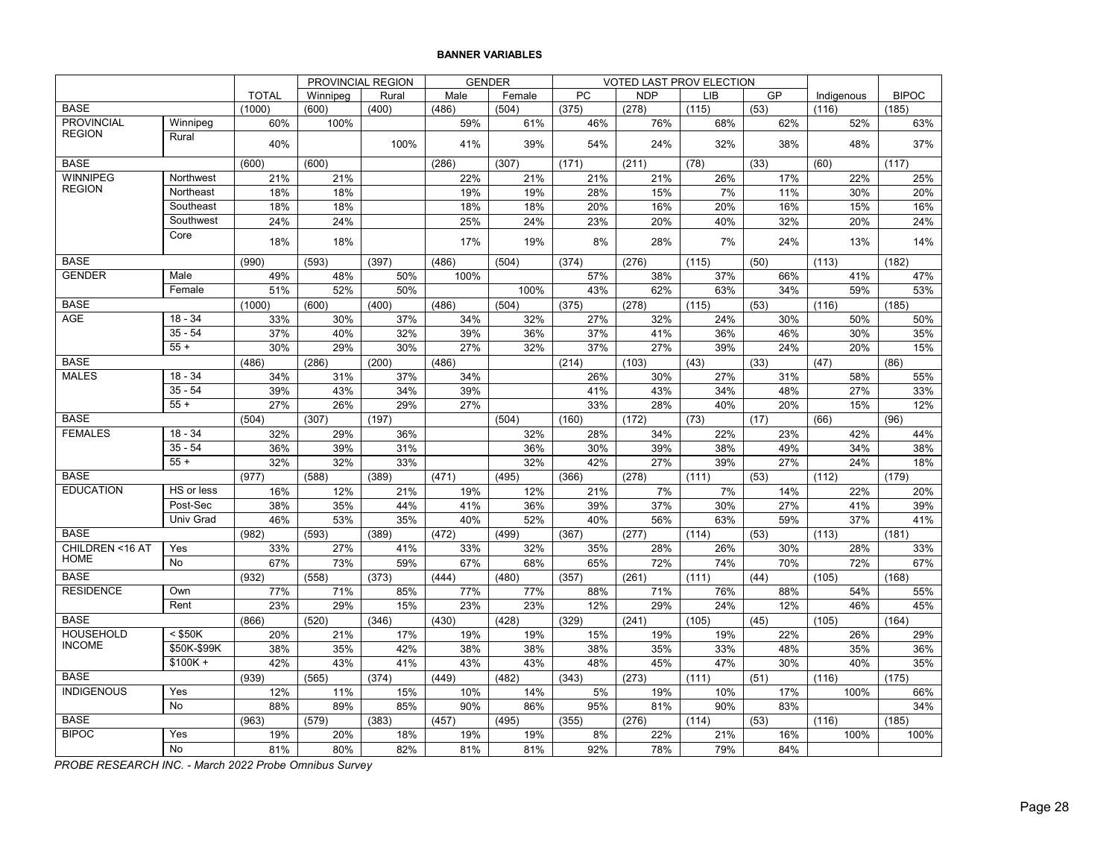#### **BANNER VARIABLES**

|                                |                  |              | PROVINCIAL REGION |              |              | <b>GENDER</b> |             | VOTED LAST PROV ELECTION |              |             |               |              |
|--------------------------------|------------------|--------------|-------------------|--------------|--------------|---------------|-------------|--------------------------|--------------|-------------|---------------|--------------|
|                                |                  | <b>TOTAL</b> | Winnipeg          | Rural        | Male         | Female        | PC          | <b>NDP</b>               | LIB          | GP          | Indigenous    | <b>BIPOC</b> |
| <b>BASE</b>                    |                  | (1000)       | (600)             | (400)        | (486)        | (504)         | (375)       | (278)                    | (115)        | (53)        | (116)         | (185)        |
| <b>PROVINCIAL</b>              | Winnipeg         | 60%          | 100%              |              | 59%          | 61%           | 46%         | 76%                      | 68%          | 62%         | 52%           | 63%          |
| <b>REGION</b>                  | Rural            | 40%          |                   | 100%         | 41%          | 39%           | 54%         | 24%                      | 32%          | 38%         | 48%           | 37%          |
| <b>BASE</b>                    |                  | (600)        | (600)             |              | (286)        | (307)         | (171)       | (211)                    | (78)         | (33)        | (60)          | (117)        |
| <b>WINNIPEG</b>                | Northwest        | 21%          | 21%               |              | 22%          | 21%           | 21%         | 21%                      | 26%          | 17%         | 22%           | 25%          |
| <b>REGION</b>                  | Northeast        | 18%          | 18%               |              | 19%          | 19%           | 28%         | 15%                      | 7%           | 11%         | 30%           | 20%          |
|                                | Southeast        | 18%          | 18%               |              | 18%          | 18%           | 20%         | 16%                      | 20%          | 16%         | 15%           | 16%          |
|                                | Southwest        | 24%          | 24%               |              | 25%          | 24%           | 23%         | 20%                      | 40%          | 32%         | 20%           | 24%          |
|                                | Core             | 18%          | 18%               |              | 17%          | 19%           | 8%          | 28%                      | 7%           | 24%         | 13%           | 14%          |
| <b>BASE</b>                    |                  | (990)        | (593)             | (397)        | (486)        | (504)         | (374)       | (276)                    | (115)        | (50)        | (113)         | (182)        |
| <b>GENDER</b>                  | Male             | 49%          | 48%               | 50%          | 100%         |               | 57%         | 38%                      | 37%          | 66%         | 41%           | 47%          |
|                                | Female           | 51%          | 52%               | 50%          |              | 100%          | 43%         | 62%                      | 63%          | 34%         | 59%           | 53%          |
| <b>BASE</b>                    |                  | (1000)       | (600)             | (400)        | (486)        | (504)         | (375)       | (278)                    | (115)        | (53)        | (116)         | (185)        |
| <b>AGE</b>                     | $18 - 34$        | 33%          | 30%               | 37%          | 34%          | 32%           | 27%         | 32%                      | 24%          | 30%         | 50%           | 50%          |
|                                | $35 - 54$        | 37%          | 40%               | 32%          | 39%          | 36%           | 37%         | 41%                      | 36%          | 46%         | 30%           | 35%          |
|                                | $55+$            | 30%          | 29%               | 30%          | 27%          | 32%           | 37%         | 27%                      | 39%          | 24%         | 20%           | 15%          |
| <b>BASE</b>                    |                  | (486)        | (286)             | (200)        | (486)        |               | (214)       | (103)                    | (43)         | (33)        | (47)          | (86)         |
| <b>MALES</b>                   | $18 - 34$        | 34%          | 31%               | 37%          | 34%          |               | 26%         | 30%                      | 27%          | 31%         | 58%           | 55%          |
|                                | $35 - 54$        | 39%          | 43%               | 34%          | 39%          |               | 41%         | 43%                      | 34%          | 48%         | 27%           | 33%          |
|                                | $\frac{1}{55+1}$ | 27%          | 26%               | 29%          | 27%          |               | 33%         | 28%                      | 40%          | 20%         | 15%           | 12%          |
| <b>BASE</b>                    |                  | (504)        | (307)             | (197)        |              | (504)         | (160)       | (172)                    | (73)         | (17)        | (66)          | (96)         |
| <b>FEMALES</b>                 | $18 - 34$        | 32%          | 29%               | 36%          |              | 32%           | 28%         | 34%                      | 22%          | 23%         | 42%           | 44%          |
|                                | $35 - 54$        | 36%          | 39%               | 31%          |              | 36%           | 30%         | 39%                      | 38%          | 49%         | 34%           | 38%          |
|                                | $55 +$           | 32%          | 32%               | 33%          |              | 32%           | 42%         | 27%                      | 39%          | 27%         | 24%           | 18%          |
| <b>BASE</b>                    |                  | (977)        | (588)             | (389)        | (471)        | (495)         | (366)       | (278)                    | (111)        | (53)        | (112)         | (179)        |
| <b>EDUCATION</b>               | HS or less       | 16%          | 12%               | 21%          | 19%          | 12%           | 21%         | 7%                       | 7%           | 14%         | 22%           | 20%          |
|                                | Post-Sec         | 38%          | 35%               | 44%          | 41%          | 36%           | 39%         | 37%                      | 30%          | 27%         | 41%           | 39%          |
|                                | Univ Grad        | 46%          | 53%               | 35%          | 40%          | 52%           | 40%         | 56%                      | 63%          | 59%         | 37%           | 41%          |
| <b>BASE</b>                    |                  | (982)        | (593)             | (389)        | (472)        | (499)         | (367)       | (277)                    | (114)        | (53)        | (113)         | (181)        |
| CHILDREN <16 AT<br><b>HOME</b> | Yes              | 33%          | 27%               | 41%          | 33%          | 32%           | 35%         | 28%                      | 26%          | 30%         | 28%           | 33%          |
|                                | No               | 67%          | 73%               | 59%          | 67%          | 68%           | 65%         | 72%                      | 74%          | 70%         | 72%           | 67%          |
| <b>BASE</b>                    |                  | (932)        | (558)             | (373)        | (444)        | (480)         | (357)       | (261)                    | (111)        | (44)        | (105)         | (168)        |
| <b>RESIDENCE</b>               | Own<br>Rent      | 77%          | 71%               | 85%          | 77%          | 77%           | 88%         | 71%                      | 76%          | 88%         | 54%           | 55%          |
| <b>BASE</b>                    |                  | 23%          | 29%               | 15%          | 23%          | 23%           | 12%         | 29%                      | 24%          | 12%         | 46%           | 45%          |
| <b>HOUSEHOLD</b>               | $<$ \$50K        | (866)        | (520)             | (346)<br>17% | (430)        | (428)         | (329)       | (241)                    | (105)        | (45)        | (105)         | (164)        |
| <b>INCOME</b>                  | \$50K-\$99K      | 20%<br>38%   | 21%<br>35%        | 42%          | 19%<br>38%   | 19%           | 15%<br>38%  | 19%<br>35%               | 19%<br>33%   | 22%         | 26%<br>35%    | 29%          |
|                                | $$100K +$        | 42%          | 43%               | 41%          | 43%          | 38%<br>43%    | 48%         | 45%                      | 47%          | 48%<br>30%  | 40%           | 36%<br>35%   |
| <b>BASE</b>                    |                  |              |                   |              |              |               |             |                          |              |             |               |              |
| <b>INDIGENOUS</b>              | Yes              | (939)<br>12% | (565)<br>11%      | (374)<br>15% | (449)<br>10% | (482)<br>14%  | (343)<br>5% | (273)<br>19%             | (111)<br>10% | (51)<br>17% | (116)<br>100% | (175)<br>66% |
|                                | No               | 88%          | 89%               | 85%          | 90%          | 86%           | 95%         | 81%                      | 90%          | 83%         |               | 34%          |
| <b>BASE</b>                    |                  | (963)        | (579)             | (383)        | (457)        | (495)         | (355)       | (276)                    | (114)        | (53)        | (116)         | (185)        |
| <b>BIPOC</b>                   | Yes              | 19%          | 20%               | 18%          | 19%          | 19%           | 8%          | 22%                      | 21%          | 16%         | 100%          | 100%         |
|                                | No               | 81%          | 80%               | 82%          | 81%          | 81%           | 92%         | 78%                      | 79%          | 84%         |               |              |
|                                |                  |              |                   |              |              |               |             |                          |              |             |               |              |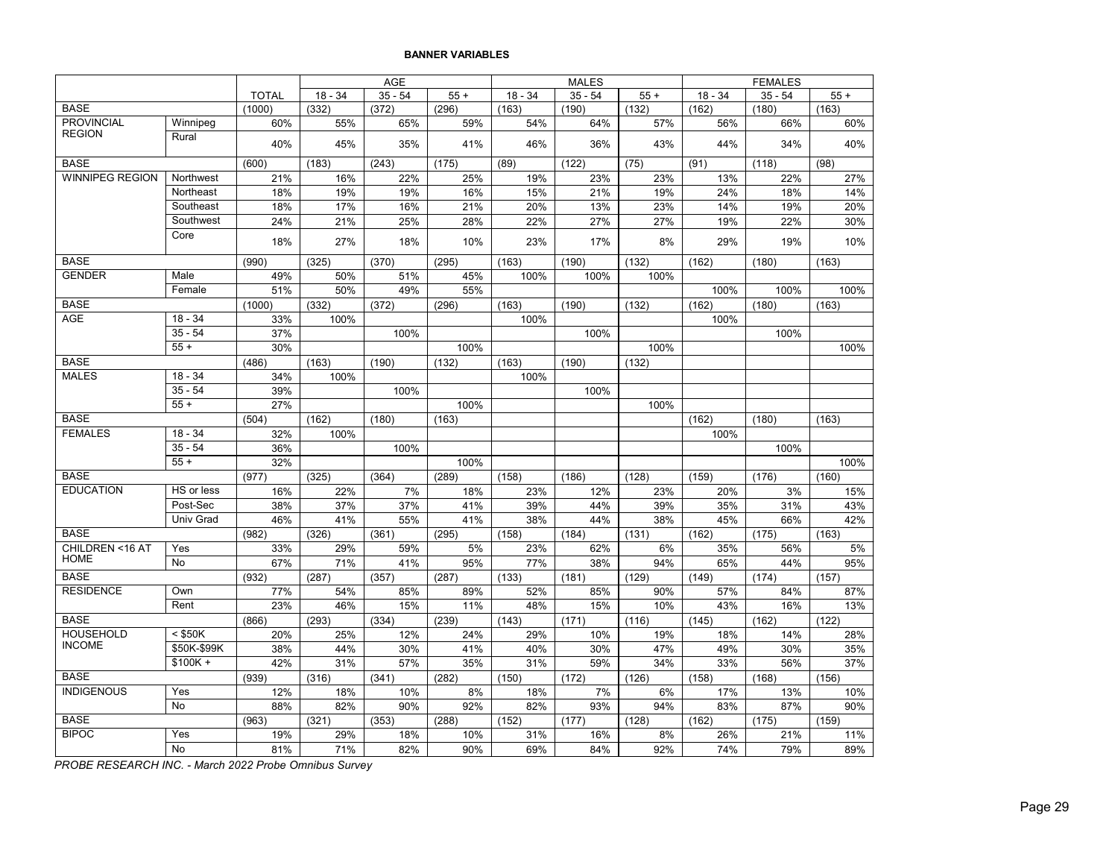#### **BANNER VARIABLES**

| $35 - 54$<br>$18 - 34$<br>$35 - 54$<br>$18 - 34$<br><b>TOTAL</b><br>$18 - 34$<br>$55+$<br>$55+$<br>$35 - 54$<br><b>BASE</b><br>(1000)<br>(332)<br>(372)<br>(296)<br>(163)<br>(190)<br>(132)<br>(162)<br>(180)<br>(163)<br><b>PROVINCIAL</b><br>55%<br>65%<br>59%<br>64%<br>66%<br>Winnipeg<br>60%<br>54%<br>57%<br>56%<br><b>REGION</b><br>Rural | $55+$<br>60%<br>40% |
|--------------------------------------------------------------------------------------------------------------------------------------------------------------------------------------------------------------------------------------------------------------------------------------------------------------------------------------------------|---------------------|
|                                                                                                                                                                                                                                                                                                                                                  |                     |
|                                                                                                                                                                                                                                                                                                                                                  |                     |
|                                                                                                                                                                                                                                                                                                                                                  |                     |
| 43%<br>44%<br>40%<br>45%<br>35%<br>41%<br>46%<br>36%<br>34%                                                                                                                                                                                                                                                                                      |                     |
| <b>BASE</b><br>(600)<br>(183)<br>(243)<br>(175)<br>(89)<br>(122)<br>(75)<br>(91)<br>(118)<br>(98)                                                                                                                                                                                                                                                |                     |
| <b>WINNIPEG REGION</b><br>Northwest<br>22%<br>21%<br>16%<br>25%<br>19%<br>23%<br>23%<br>13%<br>22%                                                                                                                                                                                                                                               | 27%                 |
| 15%<br>21%<br>18%<br>19%<br>19%<br>16%<br>19%<br>24%<br>18%<br>Northeast                                                                                                                                                                                                                                                                         | 14%                 |
| Southeast<br>14%<br>18%<br>17%<br>16%<br>21%<br>20%<br>13%<br>23%<br>19%                                                                                                                                                                                                                                                                         | 20%                 |
| 24%<br>21%<br>25%<br>28%<br>22%<br>27%<br>27%<br>19%<br>22%<br>Southwest                                                                                                                                                                                                                                                                         | 30%                 |
| Core<br>18%<br>27%<br>18%<br>10%<br>23%<br>17%<br>8%<br>29%<br>19%                                                                                                                                                                                                                                                                               | 10%                 |
| <b>BASE</b><br>(990)<br>(325)<br>(370)<br>(295)<br>(163)<br>(190)<br>(132)<br>(162)<br>(180)<br>(163)                                                                                                                                                                                                                                            |                     |
| <b>GENDER</b><br>Male<br>49%<br>50%<br>51%<br>45%<br>100%<br>100%<br>100%                                                                                                                                                                                                                                                                        |                     |
| 51%<br>50%<br>49%<br>55%<br>100%<br>100%<br>Female                                                                                                                                                                                                                                                                                               | 100%                |
| <b>BASE</b><br>(1000)<br>(332)<br>(372)<br>(296)<br>(163)<br>(190)<br>(132)<br>(162)<br>(180)<br>(163)                                                                                                                                                                                                                                           |                     |
| <b>AGE</b><br>$18 - 34$<br>33%<br>100%<br>100%<br>100%                                                                                                                                                                                                                                                                                           |                     |
| $35 - 54$<br>37%<br>100%<br>100%<br>100%                                                                                                                                                                                                                                                                                                         |                     |
| $55 +$<br>30%<br>100%<br>100%<br><b>BASE</b>                                                                                                                                                                                                                                                                                                     | 100%                |
| (486)<br>(163)<br>(132)<br>(163)<br>(132)<br>(190)<br>(190)<br><b>MALES</b><br>$18 - 34$<br>34%<br>100%<br>100%                                                                                                                                                                                                                                  |                     |
| $35 - 54$<br>39%<br>100%<br>100%                                                                                                                                                                                                                                                                                                                 |                     |
| $55+$<br>27%<br>100%<br>100%                                                                                                                                                                                                                                                                                                                     |                     |
| <b>BASE</b><br>(504)<br>(162)<br>(180)<br>(163)<br>(162)<br>(180)<br>(163)                                                                                                                                                                                                                                                                       |                     |
| <b>FEMALES</b><br>$18 - 34$<br>32%<br>100%<br>100%                                                                                                                                                                                                                                                                                               |                     |
| $35 - 54$<br>36%<br>100%<br>100%                                                                                                                                                                                                                                                                                                                 |                     |
| $55 +$<br>32%<br>100%                                                                                                                                                                                                                                                                                                                            | 100%                |
| <b>BASE</b><br>(289)<br>(977)<br>(325)<br>(364)<br>(158)<br>(186)<br>(128)<br>(159)<br>(176)<br>(160)                                                                                                                                                                                                                                            |                     |
| <b>EDUCATION</b><br>HS or less<br>7%<br>16%<br>22%<br>18%<br>23%<br>12%<br>23%<br>20%<br>3%                                                                                                                                                                                                                                                      | 15%                 |
| Post-Sec<br>38%<br>37%<br>37%<br>41%<br>44%<br>39%<br>35%<br>31%<br>39%                                                                                                                                                                                                                                                                          | 43%                 |
| 45%<br><b>Univ Grad</b><br>46%<br>41%<br>55%<br>41%<br>38%<br>44%<br>38%<br>66%                                                                                                                                                                                                                                                                  | 42%                 |
| <b>BASE</b><br>(982)<br>(162)<br>(163)<br>(326)<br>(361)<br>(295)<br>(158)<br>(184)<br>(131)<br>(175)                                                                                                                                                                                                                                            |                     |
| CHILDREN <16 AT<br>33%<br>5%<br>62%<br>Yes<br>29%<br>59%<br>23%<br>6%<br>35%<br>56%                                                                                                                                                                                                                                                              | 5%                  |
| <b>HOME</b><br><b>No</b><br>67%<br>71%<br>41%<br>95%<br>77%<br>38%<br>94%<br>65%<br>44%                                                                                                                                                                                                                                                          | 95%                 |
| <b>BASE</b><br>(932)<br>(287)<br>(133)<br>(129)<br>(149)<br>(174)<br>(157)<br>(287)<br>(357)<br>(181)                                                                                                                                                                                                                                            |                     |
| <b>RESIDENCE</b><br>Own<br>77%<br>54%<br>85%<br>89%<br>52%<br>85%<br>90%<br>57%<br>84%                                                                                                                                                                                                                                                           | 87%                 |
| Rent<br>23%<br>15%<br>15%<br>10%<br>46%<br>11%<br>48%<br>43%<br>16%<br><b>BASE</b>                                                                                                                                                                                                                                                               | 13%                 |
| (293)<br>(334)<br>(239)<br>(143)<br>(116)<br>(145)<br>(162)<br>(122)<br>(866)<br>(171)<br><b>HOUSEHOLD</b><br>$<$ \$50K<br>20%<br>25%<br>12%<br>24%<br>29%<br>10%<br>19%<br>18%<br>14%                                                                                                                                                           | 28%                 |
| <b>INCOME</b><br>\$50K-\$99K<br>38%<br>30%<br>44%<br>30%<br>41%<br>40%<br>30%<br>47%<br>49%                                                                                                                                                                                                                                                      | 35%                 |
| $$100K +$<br>42%<br>31%<br>57%<br>35%<br>31%<br>59%<br>34%<br>33%<br>56%                                                                                                                                                                                                                                                                         | 37%                 |
| <b>BASE</b><br>(939)<br>(316)<br>(341)<br>(282)<br>(150)<br>(172)<br>(126)<br>(158)<br>(168)<br>(156)                                                                                                                                                                                                                                            |                     |
| <b>INDIGENOUS</b><br>Yes<br>12%<br>18%<br>10%<br>8%<br>7%<br>6%<br>17%<br>13%<br>18%                                                                                                                                                                                                                                                             | 10%                 |
| <b>No</b><br>82%<br>90%<br>92%<br>82%<br>93%<br>94%<br>83%<br>88%<br>87%                                                                                                                                                                                                                                                                         | 90%                 |
| <b>BASE</b><br>(152)<br>(162)<br>(175)<br>(159)<br>(963)<br>(321)<br>(353)<br>(288)<br>(177)<br>(128)                                                                                                                                                                                                                                            |                     |
| <b>BIPOC</b><br>Yes<br>19%<br>10%<br>8%<br>21%<br>29%<br>18%<br>31%<br>16%<br>26%                                                                                                                                                                                                                                                                | 11%                 |
| No<br>81%<br>71%<br>82%<br>90%<br>69%<br>84%<br>92%<br>74%<br>79%                                                                                                                                                                                                                                                                                | 89%                 |